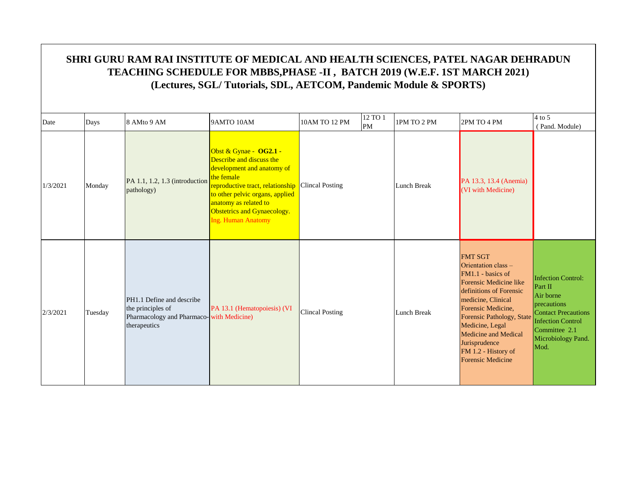| Date     | Days    | 8 AMto 9 AM                                                                                                | 9AMTO 10AM                                                                                                                                                                                                                                                          | 10AM TO 12 PM          | 12 TO 1<br>PM | 1PM TO 2 PM | 2PM TO 4 PM                                                                                                                                                                                                                                                                                             | $4$ to 5<br>(Pand. Module)                                                                                                                                                |
|----------|---------|------------------------------------------------------------------------------------------------------------|---------------------------------------------------------------------------------------------------------------------------------------------------------------------------------------------------------------------------------------------------------------------|------------------------|---------------|-------------|---------------------------------------------------------------------------------------------------------------------------------------------------------------------------------------------------------------------------------------------------------------------------------------------------------|---------------------------------------------------------------------------------------------------------------------------------------------------------------------------|
| 1/3/2021 | Monday  | PA 1.1, 1.2, 1.3 (introduction<br>pathology)                                                               | Obst & Gynae - OG2.1 -<br>Describe and discuss the<br>development and anatomy of<br>the female<br>reproductive tract, relationship Clincal Posting<br>to other pelvic organs, applied<br>anatomy as related to<br>Obstetrics and Gynaecology.<br>Ing. Human Anatomy |                        |               | Lunch Break | PA 13.3, 13.4 (Anemia)<br>(VI with Medicine)                                                                                                                                                                                                                                                            |                                                                                                                                                                           |
| 2/3/2021 | Tuesday | PH1.1 Define and describe<br>the principles of<br>Pharmacology and Pharmaco-with Medicine)<br>therapeutics | PA 13.1 (Hematopoiesis) (VI                                                                                                                                                                                                                                         | <b>Clincal Posting</b> |               | Lunch Break | <b>FMT SGT</b><br>Orientation class -<br>FM1.1 - basics of<br>Forensic Medicine like<br>definitions of Forensic<br>medicine, Clinical<br>Forensic Medicine,<br>Forensic Pathology, State<br>Medicine, Legal<br>Medicine and Medical<br>Jurisprudence<br>FM 1.2 - History of<br><b>Forensic Medicine</b> | <b>Infection Control:</b><br>Part II<br>Air borne<br>precautions<br><b>Contact Precautions</b><br><b>Infection Control</b><br>Committee 2.1<br>Microbiology Pand.<br>Mod. |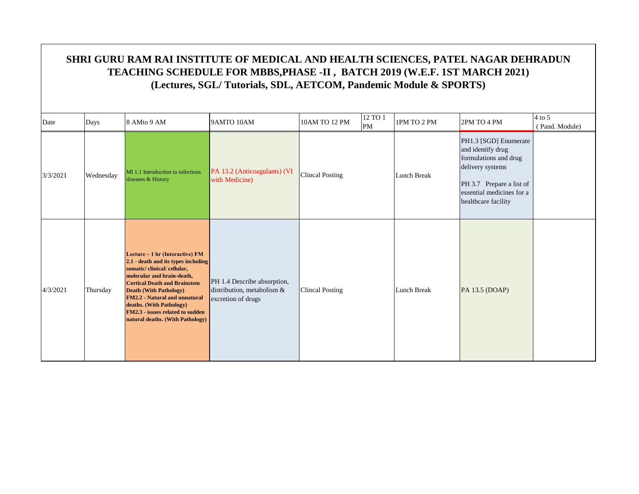| Date     | Days      | 8 AMto 9 AM                                                                                                                                                                                                                                                                                                                                            | 9AMTO 10AM                                                                      | 10AM TO 12 PM          | 12 TO 1<br>PM | 1PM TO 2 PM | 2PM TO 4 PM                                                                                                                                                             | $4$ to 5<br>(Pand. Module) |
|----------|-----------|--------------------------------------------------------------------------------------------------------------------------------------------------------------------------------------------------------------------------------------------------------------------------------------------------------------------------------------------------------|---------------------------------------------------------------------------------|------------------------|---------------|-------------|-------------------------------------------------------------------------------------------------------------------------------------------------------------------------|----------------------------|
| 3/3/2021 | Wednesday | MI 1.1 Introduction to infectious<br>diseases & History                                                                                                                                                                                                                                                                                                | PA 13.2 (Anticoagulants) (VI<br>with Medicine)                                  | <b>Clincal Posting</b> |               | Lunch Break | PH1.3 [SGD] Enumerate<br>and identify drug<br>formulations and drug<br>delivery systems<br>PH 3.7 Prepare a list of<br>essential medicines for a<br>healthcare facility |                            |
| 4/3/2021 | Thursday  | Lecture - 1 hr (Interactive) FM<br>2.1 - death and its types including<br>somatic/clinical/cellular,<br>molecular and brain-death,<br><b>Cortical Death and Brainstem</b><br><b>Death (With Pathology)</b><br><b>FM2.2 - Natural and unnatural</b><br>deaths. (With Pathology)<br>FM2.3 - issues related to sudden<br>natural deaths. (With Pathology) | PH 1.4 Describe absorption,<br>distribution, metabolism &<br>excretion of drugs | <b>Clincal Posting</b> |               | Lunch Break | PA 13.5 (DOAP)                                                                                                                                                          |                            |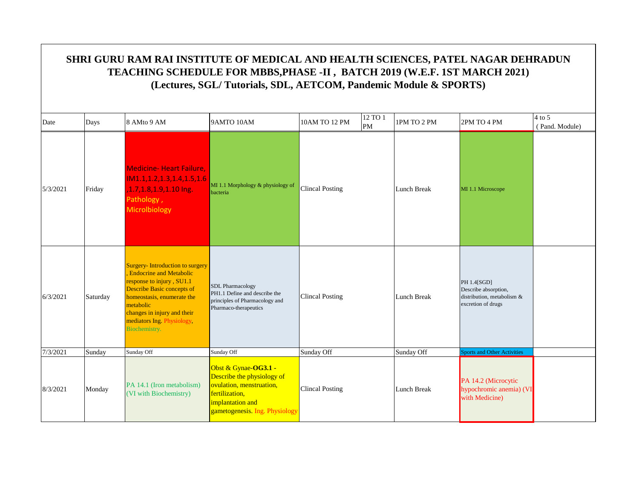|          | SHRI GURU RAM RAI INSTITUTE OF MEDICAL AND HEALTH SCIENCES, PATEL NAGAR DEHRADUN<br>TEACHING SCHEDULE FOR MBBS, PHASE -II, BATCH 2019 (W.E.F. 1ST MARCH 2021)<br>(Lectures, SGL/Tutorials, SDL, AETCOM, Pandemic Module & SPORTS)<br>4 to 5 |                                                                                                                                                                                                                                                              |                                                                                                                                                        |                        |               |             |                                                                                         |                |  |  |  |  |
|----------|---------------------------------------------------------------------------------------------------------------------------------------------------------------------------------------------------------------------------------------------|--------------------------------------------------------------------------------------------------------------------------------------------------------------------------------------------------------------------------------------------------------------|--------------------------------------------------------------------------------------------------------------------------------------------------------|------------------------|---------------|-------------|-----------------------------------------------------------------------------------------|----------------|--|--|--|--|
| Date     | Days                                                                                                                                                                                                                                        | 8 AMto 9 AM                                                                                                                                                                                                                                                  | 9AMTO 10AM                                                                                                                                             | 10AM TO 12 PM          | 12 TO 1<br>PM | 1PM TO 2 PM | 2PM TO 4 PM                                                                             | (Pand. Module) |  |  |  |  |
| 5/3/2021 | Friday                                                                                                                                                                                                                                      | <b>Medicine-Heart Failure,</b><br>IM1.1,1.2,1.3,1.4,1.5,1.6<br>,1.7,1.8,1.9,1.10 lng.<br>Pathology,<br>Microlbiology                                                                                                                                         | MI 1.1 Morphology & physiology of<br>bacteria                                                                                                          | <b>Clincal Posting</b> |               | Lunch Break | MI 1.1 Microscope                                                                       |                |  |  |  |  |
| 6/3/2021 | Saturday                                                                                                                                                                                                                                    | Surgery-Introduction to surgery<br><b>Endocrine and Metabolic</b><br>response to injury, SU1.1<br><b>Describe Basic concepts of</b><br>homeostasis, enumerate the<br>metabolic<br>changes in injury and their<br>mediators Ing. Physiology,<br>Biochemistry. | <b>SDL</b> Pharmacology<br>PH1.1 Define and describe the<br>principles of Pharmacology and<br>Pharmaco-therapeutics                                    | <b>Clincal Posting</b> |               | Lunch Break | PH 1.4[SGD]<br>Describe absorption,<br>distribution, metabolism &<br>excretion of drugs |                |  |  |  |  |
| 7/3/2021 | Sunday                                                                                                                                                                                                                                      | Sunday Off                                                                                                                                                                                                                                                   | Sunday Off                                                                                                                                             | Sunday Off             |               | Sunday Off  | <b>Sports and Other Activities</b>                                                      |                |  |  |  |  |
| 8/3/2021 | Monday                                                                                                                                                                                                                                      | PA 14.1 (Iron metabolism)<br>(VI with Biochemistry)                                                                                                                                                                                                          | Obst & Gynae-OG3.1 -<br>Describe the physiology of<br>ovulation, menstruation,<br>fertilization,<br>implantation and<br>gametogenesis. Ing. Physiology | <b>Clincal Posting</b> |               | Lunch Break | PA 14.2 (Microcytic<br>hypochromic anemia) (VI<br>with Medicine)                        |                |  |  |  |  |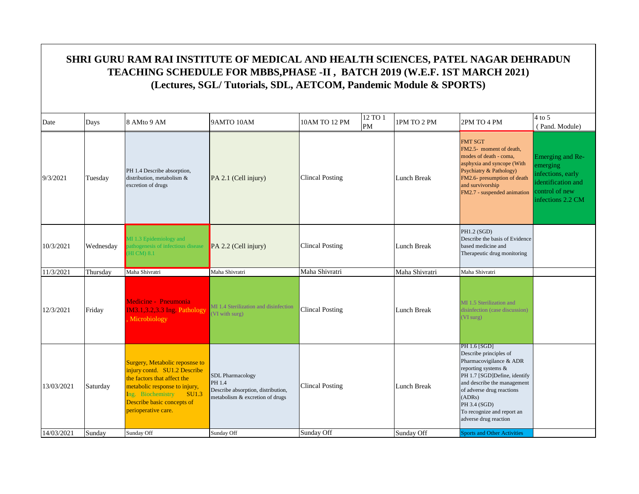| Date                     | Days               | 8 AMto 9 AM                                                                                                                                                                                                                     | 9AMTO 10AM                                                                                                               | 10AM TO 12 PM                        | 12 TO 1<br>PM | 1PM TO 2 PM                      | 2PM TO 4 PM                                                                                                                                                                                                                                                                                                 | $4$ to 5<br>(Pand. Module)                                                                                     |
|--------------------------|--------------------|---------------------------------------------------------------------------------------------------------------------------------------------------------------------------------------------------------------------------------|--------------------------------------------------------------------------------------------------------------------------|--------------------------------------|---------------|----------------------------------|-------------------------------------------------------------------------------------------------------------------------------------------------------------------------------------------------------------------------------------------------------------------------------------------------------------|----------------------------------------------------------------------------------------------------------------|
| 9/3/2021                 | Tuesday            | PH 1.4 Describe absorption,<br>distribution, metabolism &<br>excretion of drugs                                                                                                                                                 | PA 2.1 (Cell injury)                                                                                                     | <b>Clincal Posting</b>               |               | <b>Lunch Break</b>               | <b>FMT SGT</b><br>FM2.5- moment of death,<br>modes of death - coma,<br>asphyxia and syncope (With<br>Psychiatry & Pathology)<br>FM2.6- presumption of death<br>and survivorship<br>FM2.7 - suspended animation                                                                                              | Emerging and Re-<br>emerging<br>infections, early<br>identification and<br>control of new<br>infections 2.2 CM |
| 10/3/2021                | Wednesday          | 41.3 Epidemiology and<br>athogenesis of infectious disease<br><b>HI CM) 8.1</b>                                                                                                                                                 | $PA$ 2.2 (Cell injury)                                                                                                   | <b>Clincal Posting</b>               |               | Lunch Break                      | PH1.2 (SGD)<br>Describe the basis of Evidence<br>based medicine and<br>Therapeutic drug monitoring                                                                                                                                                                                                          |                                                                                                                |
| 11/3/2021                | Thursday           | Maha Shivratri                                                                                                                                                                                                                  | Maha Shivratri                                                                                                           | Maha Shivratri                       |               | Maha Shivratri                   | Maha Shivratri                                                                                                                                                                                                                                                                                              |                                                                                                                |
| 12/3/2021                | Friday             | Medicine - Pneumonia<br>IM3.1,3.2,3.3 Ing. Pathology<br>Microbiology                                                                                                                                                            | MI 1.4 Sterilization and disinfection<br>(VI with surg)                                                                  | <b>Clincal Posting</b>               |               | <b>Lunch Break</b>               | MI 1.5 Sterilization and<br>disinfection (case discussion)<br>(VI surg)                                                                                                                                                                                                                                     |                                                                                                                |
| 13/03/2021<br>14/03/2021 | Saturday<br>Sunday | Surgery, Metabolic reposnse to<br>injury contd. SU1.2 Describe<br>the factors that affect the<br>metabolic response to injury,<br>Ing. Biochemistry<br>SU1.3<br>Describe basic concepts of<br>perioperative care.<br>Sunday Off | <b>SDL</b> Pharmacology<br>PH 1.4<br>Describe absorption, distribution,<br>metabolism & excretion of drugs<br>Sunday Off | <b>Clincal Posting</b><br>Sunday Off |               | <b>Lunch Break</b><br>Sunday Off | PH 1.6 [SGD]<br>Describe principles of<br>Pharmacovigilance & ADR<br>reporting systems &<br>PH 1.7 [SGD]Define, identify<br>and describe the management<br>of adverse drug reactions<br>(ADRs)<br>PH 3.4 (SGD)<br>To recognize and report an<br>adverse drug reaction<br><b>Sports and Other Activities</b> |                                                                                                                |
|                          |                    |                                                                                                                                                                                                                                 |                                                                                                                          |                                      |               |                                  |                                                                                                                                                                                                                                                                                                             |                                                                                                                |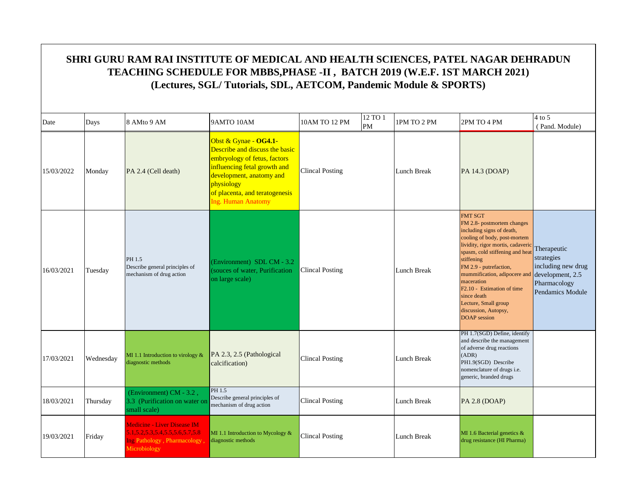| Date       | Days      | 8 AMto 9 AM                                                                                                          | 9AMTO 10AM                                                                                                                                                                                                                       | 10AM TO 12 PM          | 12 TO 1<br>PM | 1PM TO 2 PM        | 2PM TO 4 PM                                                                                                                                                                                                                                                                                                                                                                                             | $4$ to 5<br>(Pand. Module)                                                                              |
|------------|-----------|----------------------------------------------------------------------------------------------------------------------|----------------------------------------------------------------------------------------------------------------------------------------------------------------------------------------------------------------------------------|------------------------|---------------|--------------------|---------------------------------------------------------------------------------------------------------------------------------------------------------------------------------------------------------------------------------------------------------------------------------------------------------------------------------------------------------------------------------------------------------|---------------------------------------------------------------------------------------------------------|
| 15/03/2022 | Monday    | PA 2.4 (Cell death)                                                                                                  | Obst & Gynae - OG4.1-<br>Describe and discuss the basic<br>embryology of fetus, factors<br>influencing fetal growth and<br>development, anatomy and<br>physiology<br>of placenta, and teratogenesis<br><b>Ing. Human Anatomy</b> | <b>Clincal Posting</b> |               | <b>Lunch Break</b> | PA 14.3 (DOAP)                                                                                                                                                                                                                                                                                                                                                                                          |                                                                                                         |
| 16/03/2021 | Tuesday   | PH 1.5<br>Describe general principles of<br>mechanism of drug action                                                 | (Environment) SDL CM - 3.2<br>(souces of water, Purification)<br>on large scale)                                                                                                                                                 | <b>Clincal Posting</b> |               | Lunch Break        | <b>FMT SGT</b><br>FM 2.8- postmortem changes<br>including signs of death,<br>cooling of body, post-mortem<br>lividity, rigor mortis, cadaveric<br>spasm, cold stiffening and heat<br>stiffening<br>FM 2.9 - putrefaction,<br>mummification, adipocere and<br>maceration<br>F <sub>2.10</sub> - Estimation of time<br>since death<br>Lecture, Small group<br>discussion, Autopsy,<br><b>DOAP</b> session | Therapeutic<br>strategies<br>including new drug<br>development, 2.5<br>Pharmacology<br>Pendamics Module |
| 17/03/2021 | Wednesday | MI 1.1 Introduction to virology $&$<br>diagnostic methods                                                            | PA 2.3, 2.5 (Pathological<br>calcification)                                                                                                                                                                                      | Clincal Posting        |               | Lunch Break        | PH 1.7(SGD) Define, identify<br>and describe the management<br>of adverse drug reactions<br>(ADR)<br>PH1.9(SGD) Describe<br>nomenclature of drugs i.e.<br>generic, branded drugs                                                                                                                                                                                                                        |                                                                                                         |
| 18/03/2021 | Thursday  | (Environment) CM - 3.2,<br>3.3 (Purification on water or<br>small scale)                                             | PH 1.5<br>Describe general principles of<br>mechanism of drug action                                                                                                                                                             | Clincal Posting        |               | Lunch Break        | <b>PA 2.8 (DOAP)</b>                                                                                                                                                                                                                                                                                                                                                                                    |                                                                                                         |
| 19/03/2021 | Friday    | <b>Medicine - Liver Disease IM</b><br>5.1.5.2.5.3.5.4.5.5.5.6.5.7.5.8<br>Ing Pathology, Pharmacology<br>Microbiology | MI 1.1 Introduction to Mycology $&$<br>diagnostic methods                                                                                                                                                                        | <b>Clincal Posting</b> |               | Lunch Break        | MI 1.6 Bacterial genetics &<br>drug resistance (HI Pharma)                                                                                                                                                                                                                                                                                                                                              |                                                                                                         |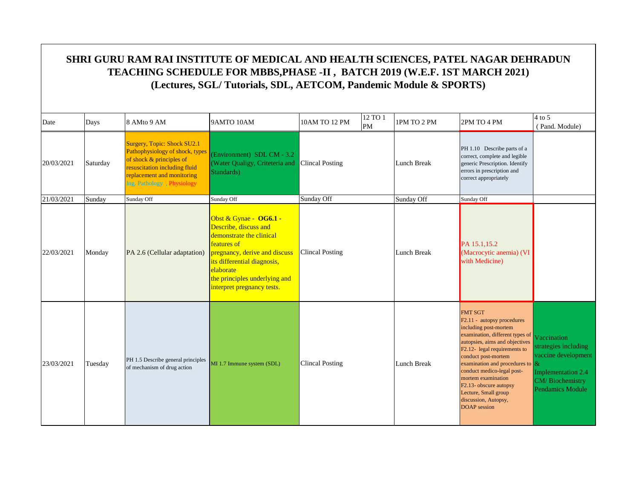| Date       | Days     | 8 AMto 9 AM                                                                                                                                                                             | 9AMTO 10AM                                                                                                                                                                                                                             | 10AM TO 12 PM          | 12 TO 1<br>PM | 1PM TO 2 PM | 2PM TO 4 PM                                                                                                                                                                                                                                                                                                                                                                                               | $4$ to 5<br>(Pand. Module)                                                                                              |
|------------|----------|-----------------------------------------------------------------------------------------------------------------------------------------------------------------------------------------|----------------------------------------------------------------------------------------------------------------------------------------------------------------------------------------------------------------------------------------|------------------------|---------------|-------------|-----------------------------------------------------------------------------------------------------------------------------------------------------------------------------------------------------------------------------------------------------------------------------------------------------------------------------------------------------------------------------------------------------------|-------------------------------------------------------------------------------------------------------------------------|
| 20/03/2021 | Saturday | Surgery, Topic: Shock SU2.1<br>Pathophysiology of shock, types<br>of shock & principles of<br>resuscitation including fluid<br>replacement and monitoring<br>Ing. Pathology, Physiology | (Environment) SDL CM - 3.2<br>(Water Qualigy, Criteteria and<br>Standards)                                                                                                                                                             | <b>Clincal Posting</b> |               | Lunch Break | PH 1.10 Describe parts of a<br>correct, complete and legible<br>generic Prescription. Identify<br>errors in prescription and<br>correct appropriately                                                                                                                                                                                                                                                     |                                                                                                                         |
| 21/03/2021 | Sunday   | Sunday Off                                                                                                                                                                              | Sunday Off                                                                                                                                                                                                                             | Sunday Off             |               | Sunday Off  | Sunday Off                                                                                                                                                                                                                                                                                                                                                                                                |                                                                                                                         |
| 22/03/2021 | Monday   | PA 2.6 (Cellular adaptation)                                                                                                                                                            | Obst & Gynae - OG6.1 -<br>Describe, discuss and<br>demonstrate the clinical<br>features of<br>pregnancy, derive and discuss<br>its differential diagnosis,<br>elaborate<br>the principles underlying and<br>interpret pregnancy tests. | <b>Clincal Posting</b> |               | Lunch Break | PA 15.1,15.2<br>(Macrocytic anemia) (VI<br>with Medicine)                                                                                                                                                                                                                                                                                                                                                 |                                                                                                                         |
| 23/03/2021 | Tuesday  | PH 1.5 Describe general principles<br>of mechanism of drug action                                                                                                                       | MI 1.7 Immune system (SDL)                                                                                                                                                                                                             | <b>Clincal Posting</b> |               | Lunch Break | <b>FMT SGT</b><br>F2.11 - autopsy procedures<br>including post-mortem<br>examination, different types of<br>autopsies, aims and objectives<br>F2.12- legal requirements to<br>conduct post-mortem<br>examination and procedures to $\&$<br>conduct medico-legal post-<br>mortem examination<br>F <sub>2.13</sub> - obscure autopsy<br>Lecture, Small group<br>discussion, Autopsy,<br><b>DOAP</b> session | Vaccination<br>strategies including<br>vaccine development<br>Implementation 2.4<br>CM/Biochemistry<br>Pendamics Module |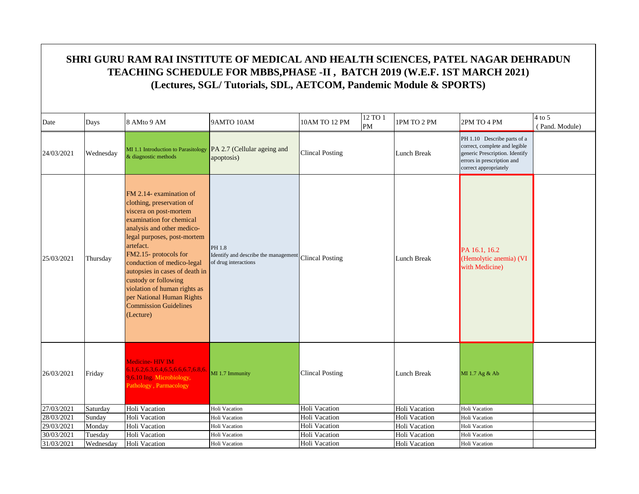| Date       | Days      | 8 AMto 9 AM                                                                                                                                                                                                                                                                                                                                                                                                     | 9AMTO 10AM                                                                             | 10AM TO 12 PM          | 12 TO 1<br>PM | 1PM TO 2 PM        | 2PM TO 4 PM                                                                                                                                           | $4$ to $5$<br>(Pand. Module) |
|------------|-----------|-----------------------------------------------------------------------------------------------------------------------------------------------------------------------------------------------------------------------------------------------------------------------------------------------------------------------------------------------------------------------------------------------------------------|----------------------------------------------------------------------------------------|------------------------|---------------|--------------------|-------------------------------------------------------------------------------------------------------------------------------------------------------|------------------------------|
| 24/03/2021 | Wednesday | MI 1.1 Introduction to Parasitology<br>& diagnostic methods                                                                                                                                                                                                                                                                                                                                                     | PA 2.7 (Cellular ageing and<br>apoptosis)                                              | <b>Clincal Posting</b> |               | Lunch Break        | PH 1.10 Describe parts of a<br>correct, complete and legible<br>generic Prescription. Identify<br>errors in prescription and<br>correct appropriately |                              |
| 25/03/2021 | Thursday  | FM 2.14- examination of<br>clothing, preservation of<br>viscera on post-mortem<br>examination for chemical<br>analysis and other medico-<br>legal purposes, post-mortem<br>artefact.<br>FM2.15- protocols for<br>conduction of medico-legal<br>autopsies in cases of death in<br>custody or following<br>violation of human rights as<br>per National Human Rights<br><b>Commission Guidelines</b><br>(Lecture) | PH 1.8<br>Identify and describe the management Clincal Posting<br>of drug interactions |                        |               | <b>Lunch Break</b> | PA 16.1, 16.2<br>(Hemolytic anemia) (VI<br>with Medicine)                                                                                             |                              |
| 26/03/2021 | Friday    | Medicine-HIV IM<br>$6.1, 6.2, 6.3, 6.4, 6.5, 6.6, 6.7, 6.8, 6.$<br>9,6.10 Ing. Microbiology,<br>Pathology, Parmacology                                                                                                                                                                                                                                                                                          | MI 1.7 Immunity                                                                        | <b>Clincal Posting</b> |               | Lunch Break        | MI 1.7 Ag & Ab                                                                                                                                        |                              |
| 27/03/2021 | Saturday  | Holi Vacation                                                                                                                                                                                                                                                                                                                                                                                                   | Holi Vacation                                                                          | Holi Vacation          |               | Holi Vacation      | Holi Vacation                                                                                                                                         |                              |
| 28/03/2021 | Sunday    | Holi Vacation                                                                                                                                                                                                                                                                                                                                                                                                   | Holi Vacation                                                                          | Holi Vacation          |               | Holi Vacation      | Holi Vacation                                                                                                                                         |                              |
| 29/03/2021 | Monday    | Holi Vacation                                                                                                                                                                                                                                                                                                                                                                                                   | Holi Vacation                                                                          | Holi Vacation          |               | Holi Vacation      | <b>Holi Vacation</b>                                                                                                                                  |                              |
| 30/03/2021 | Tuesday   | Holi Vacation                                                                                                                                                                                                                                                                                                                                                                                                   | Holi Vacation                                                                          | Holi Vacation          |               | Holi Vacation      | Holi Vacation                                                                                                                                         |                              |
| 31/03/2021 | Wednesday | Holi Vacation                                                                                                                                                                                                                                                                                                                                                                                                   | Holi Vacation                                                                          | Holi Vacation          |               | Holi Vacation      | Holi Vacation                                                                                                                                         |                              |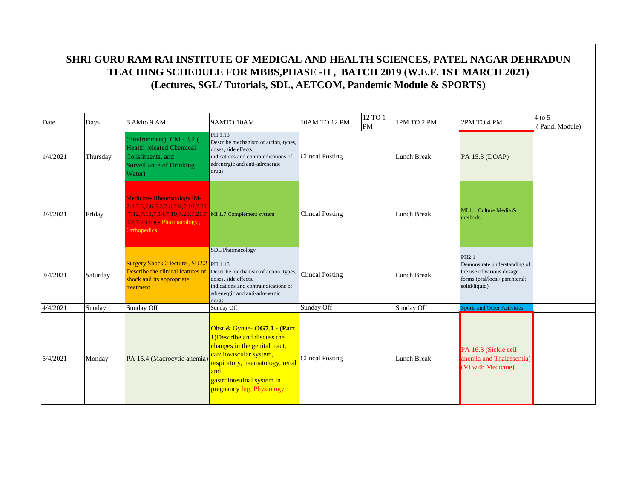| Date     | Days     | 8 AMto 9 AM                                                                                                                                                                      | 9AMTO 10AM                                                                                                                                                                                                                 | 10AM TO 12 PM          | 12 TO 1<br>PM | 1PM TO 2 PM | 2PM TO 4 PM                                                                                                                      | $4$ to 5<br>(Pand. Module) |
|----------|----------|----------------------------------------------------------------------------------------------------------------------------------------------------------------------------------|----------------------------------------------------------------------------------------------------------------------------------------------------------------------------------------------------------------------------|------------------------|---------------|-------------|----------------------------------------------------------------------------------------------------------------------------------|----------------------------|
| 1/4/2021 | Thursday | (Environment) CM - 3.2 (<br><b>Health releated Chemical</b><br>Constituents, and<br><b>Surveillance of Drinking</b><br>Water)                                                    | PH 1.13<br>Describe mechanism of action, types,<br>doses, side effects,<br>indications and contraindications of<br>adrenergic and anti-adrenergic<br>drugs                                                                 | <b>Clincal Posting</b> |               | Lunch Break | PA 15.3 (DOAP)                                                                                                                   |                            |
| 2/4/2021 | Friday   | <b>Medicine-Rheumatology IM-</b><br>7.4,7.5,7.6,7.7,7.8,7.9,7.10,7.11<br>7.12,7.13,7.14,7.19,7.20,7.21,7 MI 1.7 Complement system<br>.22,7.23 Ing - Pharmacology,<br>Orthopedics |                                                                                                                                                                                                                            | <b>Clincal Posting</b> |               | Lunch Break | MI 1.1 Culture Media &<br>methods                                                                                                |                            |
| 3/4/2021 | Saturday | Surgery Shock 2 lecture, SU2.2 PH 1.13<br>Describe the clinical features of<br>shock and its appropriate<br>treatment                                                            | <b>SDL Pharmacology</b><br>Describe mechanism of action, types,<br>doses, side effects.<br>indications and contraindications of<br>adrenergic and anti-adrenergic<br>drugs                                                 | <b>Clincal Posting</b> |               | Lunch Break | PH <sub>2.1</sub><br>Demonstrate understanding of<br>the use of various dosage<br>forms (oral/local/parenteral;<br>solid/liquid) |                            |
| 4/4/2021 | Sunday   | Sunday Off                                                                                                                                                                       | Sunday Off                                                                                                                                                                                                                 | Sunday Off             |               | Sunday Off  | <b>Sports and Other Activities</b>                                                                                               |                            |
| 5/4/2021 | Monday   | PA 15.4 (Macrocytic anemia)                                                                                                                                                      | Obst & Gynae- OG7.1 - (Part<br>1) Describe and discuss the<br>changes in the genital tract,<br>cardiovascular system,<br>respiratory, haematology, renal<br>and<br>gastrointestinal system in<br>pregnancy Ing. Physiology | <b>Clincal Posting</b> |               | Lunch Break | PA 16.3 (Sickle cell<br>anemia and Thalassemia)<br>(VI with Medicine)                                                            |                            |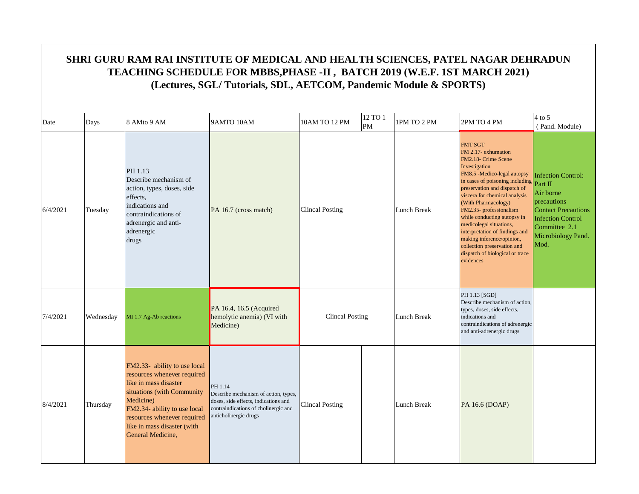|          | SHRI GURU RAM RAI INSTITUTE OF MEDICAL AND HEALTH SCIENCES, PATEL NAGAR DEHRADUN<br>TEACHING SCHEDULE FOR MBBS, PHASE -II, BATCH 2019 (W.E.F. 1ST MARCH 2021)<br>(Lectures, SGL/Tutorials, SDL, AETCOM, Pandemic Module & SPORTS) |                                                                                                                                                                                                                                                    |                                                                                                                                                          |                        |               |             |                                                                                                                                                                                                                                                                                                                                                                                                                                                                            |                                                                                                                                                                           |  |  |  |
|----------|-----------------------------------------------------------------------------------------------------------------------------------------------------------------------------------------------------------------------------------|----------------------------------------------------------------------------------------------------------------------------------------------------------------------------------------------------------------------------------------------------|----------------------------------------------------------------------------------------------------------------------------------------------------------|------------------------|---------------|-------------|----------------------------------------------------------------------------------------------------------------------------------------------------------------------------------------------------------------------------------------------------------------------------------------------------------------------------------------------------------------------------------------------------------------------------------------------------------------------------|---------------------------------------------------------------------------------------------------------------------------------------------------------------------------|--|--|--|
| Date     | Days                                                                                                                                                                                                                              | 8 AMto 9 AM                                                                                                                                                                                                                                        | 9AMTO 10AM                                                                                                                                               | 10AM TO 12 PM          | 12 TO 1<br>PM | 1PM TO 2 PM | 2PM TO 4 PM                                                                                                                                                                                                                                                                                                                                                                                                                                                                | $4$ to 5<br>(Pand. Module)                                                                                                                                                |  |  |  |
| 6/4/2021 | Tuesday                                                                                                                                                                                                                           | PH 1.13<br>Describe mechanism of<br>action, types, doses, side<br>effects,<br>indications and<br>contraindications of<br>adrenergic and anti-<br>adrenergic<br>drugs                                                                               | PA 16.7 (cross match)                                                                                                                                    | <b>Clincal Posting</b> |               | Lunch Break | <b>FMT SGT</b><br>FM 2.17- exhumation<br>FM2.18- Crime Scene<br>Investigation<br>FM8.5 -Medico-legal autopsy<br>in cases of poisoning including<br>preservation and dispatch of<br>viscera for chemical analysis<br>(With Pharmacology)<br>FM2.35- professionalism<br>while conducting autopsy in<br>medicolegal situations,<br>interpretation of findings and<br>making inference/opinion,<br>collection preservation and<br>dispatch of biological or trace<br>evidences | <b>Infection Control:</b><br>Part II<br>Air borne<br>precautions<br><b>Contact Precautions</b><br><b>Infection Control</b><br>Committee 2.1<br>Microbiology Pand.<br>Mod. |  |  |  |
| 7/4/2021 | Wednesday                                                                                                                                                                                                                         | MI 1.7 Ag-Ab reactions                                                                                                                                                                                                                             | PA 16.4, 16.5 (Acquired<br>hemolytic anemia) (VI with<br>Medicine)                                                                                       | <b>Clincal Posting</b> |               | Lunch Break | PH 1.13 [SGD]<br>Describe mechanism of action,<br>types, doses, side effects,<br>indications and<br>contraindications of adrenergic<br>and anti-adrenergic drugs                                                                                                                                                                                                                                                                                                           |                                                                                                                                                                           |  |  |  |
| 8/4/2021 | Thursday                                                                                                                                                                                                                          | FM2.33- ability to use local<br>resources whenever required<br>like in mass disaster<br>situations (with Community<br>Medicine)<br>FM2.34- ability to use local<br>resources whenever required<br>like in mass disaster (with<br>General Medicine, | PH 1.14<br>Describe mechanism of action, types,<br>doses, side effects, indications and<br>contraindications of cholinergic and<br>anticholinergic drugs | <b>Clincal Posting</b> |               | Lunch Break | PA 16.6 (DOAP)                                                                                                                                                                                                                                                                                                                                                                                                                                                             |                                                                                                                                                                           |  |  |  |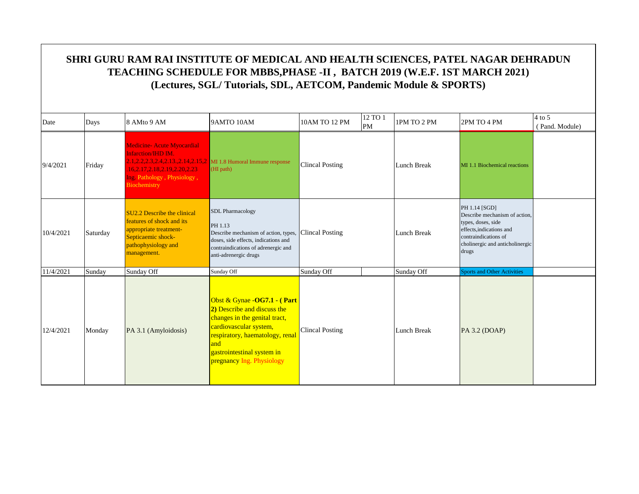| Date      | Days     | 8 AMto 9 AM                                                                                                                                    | 9AMTO 10AM                                                                                                                                                                                                                  | 10AM TO 12 PM          | 12 TO 1<br><b>PM</b> | 1PM TO 2 PM        | 2PM TO 4 PM                                                                                                                                                         | $4$ to 5<br>(Pand. Module) |
|-----------|----------|------------------------------------------------------------------------------------------------------------------------------------------------|-----------------------------------------------------------------------------------------------------------------------------------------------------------------------------------------------------------------------------|------------------------|----------------------|--------------------|---------------------------------------------------------------------------------------------------------------------------------------------------------------------|----------------------------|
| 9/4/2021  | Friday   | <b>Medicine-Acute Myocardial</b><br><b>Infarction/IHD IM.</b><br>16,2.17,2.18,2.19,2.20,2.23<br>Ing. Pathology, Physiology,<br>Biochemistry    | 2.1.2.2.2.3.2.4.2.13.,2.14.2.15.2 MI 1.8 Humoral Immune response<br>(HI path)                                                                                                                                               | <b>Clincal Posting</b> |                      | Lunch Break        | MI 1.1 Biochemical reactions                                                                                                                                        |                            |
| 10/4/2021 | Saturday | SU2.2 Describe the clinical<br>features of shock and its<br>appropriate treatment-<br>Septicaemic shock-<br>pathophysiology and<br>management. | <b>SDL</b> Pharmacology<br>PH 1.13<br>Describe mechanism of action, types,<br>doses, side effects, indications and<br>contraindications of adrenergic and<br>anti-adrenergic drugs                                          | <b>Clincal Posting</b> |                      | Lunch Break        | PH 1.14 [SGD]<br>Describe mechanism of action,<br>types, doses, side<br>effects.indications and<br>contraindications of<br>cholinergic and anticholinergic<br>drugs |                            |
| 11/4/2021 | Sunday   | Sunday Off                                                                                                                                     | Sunday Off                                                                                                                                                                                                                  | Sunday Off             |                      | Sunday Off         | <b>Sports and Other Activities</b>                                                                                                                                  |                            |
| 12/4/2021 | Monday   | PA 3.1 (Amyloidosis)                                                                                                                           | Obst & Gynae - OG7.1 - (Part<br>2) Describe and discuss the<br>changes in the genital tract,<br>cardiovascular system,<br>respiratory, haematology, renal<br>and<br>gastrointestinal system in<br>pregnancy Ing. Physiology | <b>Clincal Posting</b> |                      | <b>Lunch Break</b> | PA 3.2 (DOAP)                                                                                                                                                       |                            |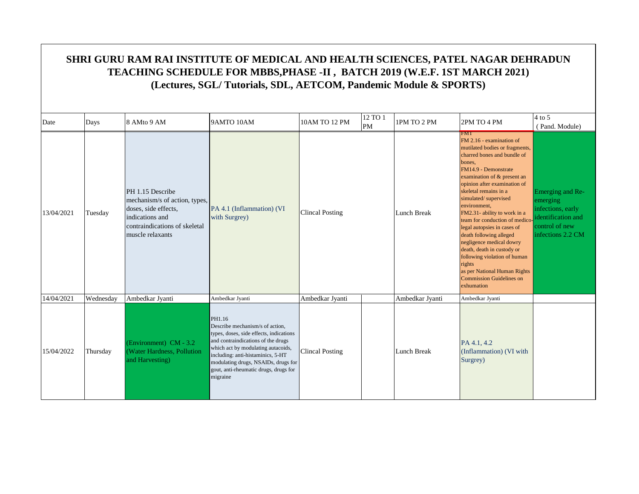|            | SHRI GURU RAM RAI INSTITUTE OF MEDICAL AND HEALTH SCIENCES, PATEL NAGAR DEHRADUN<br>TEACHING SCHEDULE FOR MBBS, PHASE -II, BATCH 2019 (W.E.F. 1ST MARCH 2021)<br>(Lectures, SGL/Tutorials, SDL, AETCOM, Pandemic Module & SPORTS) |                                                                                                                                                   |                                                                                                                                                                                                                                                                                                   |                        |               |                    |                                                                                                                                                                                                                                                                                                                                                                                                                                                                                                                                                                                            |                                                                                                                |  |  |  |
|------------|-----------------------------------------------------------------------------------------------------------------------------------------------------------------------------------------------------------------------------------|---------------------------------------------------------------------------------------------------------------------------------------------------|---------------------------------------------------------------------------------------------------------------------------------------------------------------------------------------------------------------------------------------------------------------------------------------------------|------------------------|---------------|--------------------|--------------------------------------------------------------------------------------------------------------------------------------------------------------------------------------------------------------------------------------------------------------------------------------------------------------------------------------------------------------------------------------------------------------------------------------------------------------------------------------------------------------------------------------------------------------------------------------------|----------------------------------------------------------------------------------------------------------------|--|--|--|
| Date       | Days                                                                                                                                                                                                                              | 8 AMto 9 AM                                                                                                                                       | 9AMTO 10AM                                                                                                                                                                                                                                                                                        | 10AM TO 12 PM          | 12 TO 1<br>PM | 1PM TO 2 PM        | 2PM TO 4 PM                                                                                                                                                                                                                                                                                                                                                                                                                                                                                                                                                                                | $4$ to 5<br>(Pand. Module)                                                                                     |  |  |  |
| 13/04/2021 | Tuesday                                                                                                                                                                                                                           | PH 1.15 Describe<br>mechanism/s of action, types.<br>doses, side effects,<br>indications and<br>contraindications of skeletal<br>muscle relaxants | PA 4.1 (Inflammation) (VI<br>with Surgrey)                                                                                                                                                                                                                                                        | <b>Clincal Posting</b> |               | <b>Lunch Break</b> | <b>EMIL</b><br>FM 2.16 - examination of<br>mutilated bodies or fragments,<br>charred bones and bundle of<br>bones.<br>FM14.9 - Demonstrate<br>examination of & present an<br>opinion after examination of<br>skeletal remains in a<br>simulated/supervised<br>environment,<br>FM2.31- ability to work in a<br>team for conduction of medico<br>legal autopsies in cases of<br>death following alleged<br>negligence medical dowry<br>death, death in custody or<br>following violation of human<br>rights<br>as per National Human Rights<br><b>Commission Guidelines on</b><br>exhumation | Emerging and Re-<br>emerging<br>infections, early<br>identification and<br>control of new<br>infections 2.2 CM |  |  |  |
| 14/04/2021 | Wednesday                                                                                                                                                                                                                         | Ambedkar Jyanti                                                                                                                                   | Ambedkar Jyanti                                                                                                                                                                                                                                                                                   | Ambedkar Jyanti        |               | Ambedkar Jyanti    | Ambedkar Jyanti                                                                                                                                                                                                                                                                                                                                                                                                                                                                                                                                                                            |                                                                                                                |  |  |  |
| 15/04/2022 | Thursday                                                                                                                                                                                                                          | (Environment) CM - 3.2<br>(Water Hardness, Pollution<br>and Harvesting)                                                                           | PH1.16<br>Describe mechanism/s of action.<br>types, doses, side effects, indications<br>and contraindications of the drugs<br>which act by modulating autacoids,<br>including: anti-histaminics, 5-HT<br>modulating drugs, NSAIDs, drugs for<br>gout, anti-rheumatic drugs, drugs for<br>migraine | <b>Clincal Posting</b> |               | Lunch Break        | PA 4.1, 4.2<br>(Inflammation) (VI with<br>Surgrey)                                                                                                                                                                                                                                                                                                                                                                                                                                                                                                                                         |                                                                                                                |  |  |  |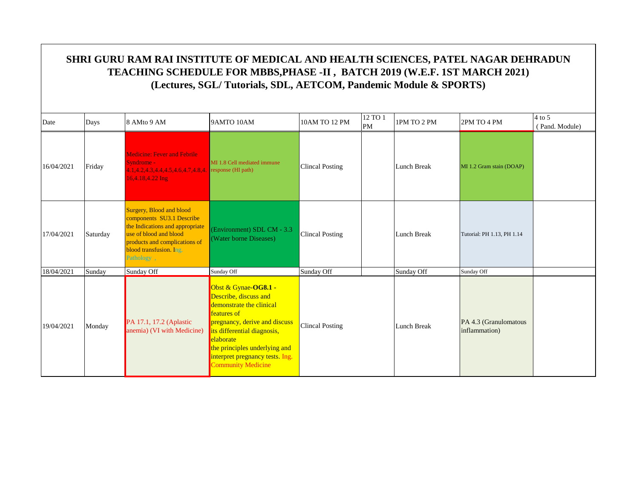| Date       | Days     | 8 AMto 9 AM                                                                                                                                                                                         | 9AMTO 10AM                                                                                                                                                                                                                                                                    | 10AM TO 12 PM          | 12 TO 1<br>PM | 1PM TO 2 PM        | 2PM TO 4 PM                            | $4$ to 5<br>(Pand. Module) |
|------------|----------|-----------------------------------------------------------------------------------------------------------------------------------------------------------------------------------------------------|-------------------------------------------------------------------------------------------------------------------------------------------------------------------------------------------------------------------------------------------------------------------------------|------------------------|---------------|--------------------|----------------------------------------|----------------------------|
| 16/04/2021 | Friday   | <b>Medicine: Fever and Febrile</b><br>Syndrome -<br>4.1.4.2.4.3.4.4.4.5.4.6.4.7.4.8.4.<br>16,4.18,4.22 Ing                                                                                          | MI 1.8 Cell mediated immune<br>response (HI path)                                                                                                                                                                                                                             | <b>Clincal Posting</b> |               | <b>Lunch Break</b> | MI 1.2 Gram stain (DOAP)               |                            |
| 17/04/2021 | Saturday | <b>Surgery, Blood and blood</b><br>components SU3.1 Describe<br>the Indications and appropriate<br>use of blood and blood<br>products and complications of<br>blood transfusion. Ing.<br>Pathology, | (Environment) SDL CM - 3.3<br>(Water borne Diseases)                                                                                                                                                                                                                          | <b>Clincal Posting</b> |               | <b>Lunch Break</b> | Tutorial: PH 1.13, PH 1.14             |                            |
| 18/04/2021 | Sunday   | Sunday Off                                                                                                                                                                                          | Sunday Off                                                                                                                                                                                                                                                                    | Sunday Off             |               | Sunday Off         | Sunday Off                             |                            |
| 19/04/2021 | Monday   | PA 17.1, 17.2 (Aplastic<br>anemia) (VI with Medicine)                                                                                                                                               | Obst & Gynae-OG8.1 -<br>Describe, discuss and<br>demonstrate the clinical<br><b>features</b> of<br>pregnancy, derive and discuss<br>its differential diagnosis,<br>elaborate<br>the principles underlying and<br>interpret pregnancy tests. Ing.<br><b>Community Medicine</b> | Clincal Posting        |               | <b>Lunch Break</b> | PA 4.3 (Granulomatous<br>inflammation) |                            |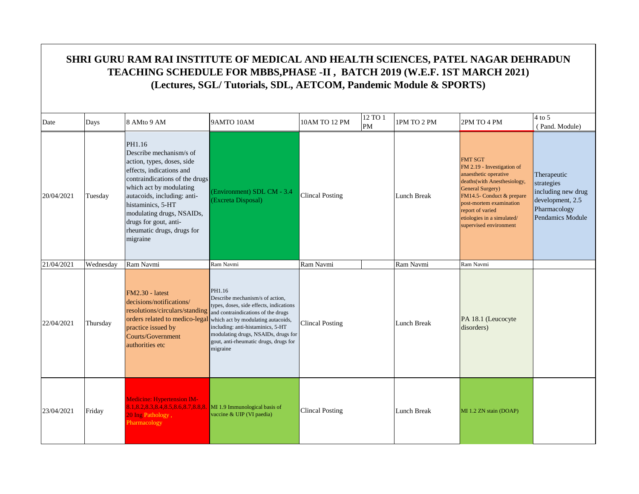|            | SHRI GURU RAM RAI INSTITUTE OF MEDICAL AND HEALTH SCIENCES, PATEL NAGAR DEHRADUN<br>TEACHING SCHEDULE FOR MBBS, PHASE -II, BATCH 2019 (W.E.F. 1ST MARCH 2021)<br>(Lectures, SGL/Tutorials, SDL, AETCOM, Pandemic Module & SPORTS) |                                                                                                                                                                                                                                                                                                              |                                                                                                                                                                                                                                                                                                   |                        |               |             |                                                                                                                                                                                                                                                                       |                                                                                                         |  |  |  |
|------------|-----------------------------------------------------------------------------------------------------------------------------------------------------------------------------------------------------------------------------------|--------------------------------------------------------------------------------------------------------------------------------------------------------------------------------------------------------------------------------------------------------------------------------------------------------------|---------------------------------------------------------------------------------------------------------------------------------------------------------------------------------------------------------------------------------------------------------------------------------------------------|------------------------|---------------|-------------|-----------------------------------------------------------------------------------------------------------------------------------------------------------------------------------------------------------------------------------------------------------------------|---------------------------------------------------------------------------------------------------------|--|--|--|
| Date       | Days                                                                                                                                                                                                                              | 8 AMto 9 AM                                                                                                                                                                                                                                                                                                  | 9AMTO 10AM                                                                                                                                                                                                                                                                                        | 10AM TO 12 PM          | 12 TO 1<br>PM | 1PM TO 2 PM | 2PM TO 4 PM                                                                                                                                                                                                                                                           | $4$ to 5<br>(Pand. Module)                                                                              |  |  |  |
| 20/04/2021 | Tuesday                                                                                                                                                                                                                           | PH1.16<br>Describe mechanism/s of<br>action, types, doses, side<br>effects, indications and<br>contraindications of the drugs<br>which act by modulating<br>autacoids, including: anti-<br>histaminics, 5-HT<br>modulating drugs, NSAIDs,<br>drugs for gout, anti-<br>rheumatic drugs, drugs for<br>migraine | Environment) SDL CM - 3.4<br>(Excreta Disposal)                                                                                                                                                                                                                                                   | <b>Clincal Posting</b> |               | Lunch Break | <b>FMT SGT</b><br>FM 2.19 - Investigation of<br>anaesthetic operative<br>deaths (with Anesthesiology,<br><b>General Surgery</b> )<br>FM14.5- Conduct & prepare<br>post-mortem examination<br>report of varied<br>etiologies in a simulated/<br>supervised environment | Therapeutic<br>strategies<br>including new drug<br>development, 2.5<br>Pharmacology<br>Pendamics Module |  |  |  |
| 21/04/2021 | Wednesday                                                                                                                                                                                                                         | Ram Navmi                                                                                                                                                                                                                                                                                                    | Ram Navmi                                                                                                                                                                                                                                                                                         | Ram Navmi              |               | Ram Navmi   | Ram Navmi                                                                                                                                                                                                                                                             |                                                                                                         |  |  |  |
| 22/04/2021 | Thursday                                                                                                                                                                                                                          | $FM2.30 - latest$<br>decisions/notifications/<br>resolutions/circulars/standing<br>orders related to medico-legal<br>practice issued by<br>Courts/Government<br>authorities etc                                                                                                                              | PH1.16<br>Describe mechanism/s of action,<br>types, doses, side effects, indications<br>and contraindications of the drugs<br>which act by modulating autacoids,<br>including: anti-histaminics, 5-HT<br>modulating drugs, NSAIDs, drugs for<br>gout, anti-rheumatic drugs, drugs for<br>migraine | <b>Clincal Posting</b> |               | Lunch Break | PA 18.1 (Leucocyte<br>disorders)                                                                                                                                                                                                                                      |                                                                                                         |  |  |  |
| 23/04/2021 | Friday                                                                                                                                                                                                                            | <b>Medicine: Hypertension IM-</b><br>8.1, 8.2, 8.3, 8.4, 8.5, 8.6, 8.7, 8.8, 8.<br>20 Ing Pathology,<br>Pharmacology                                                                                                                                                                                         | MI 1.9 Immunological basis of<br>vaccine & UIP (VI paedia)                                                                                                                                                                                                                                        | <b>Clincal Posting</b> |               | Lunch Break | MI 1.2 ZN stain (DOAP)                                                                                                                                                                                                                                                |                                                                                                         |  |  |  |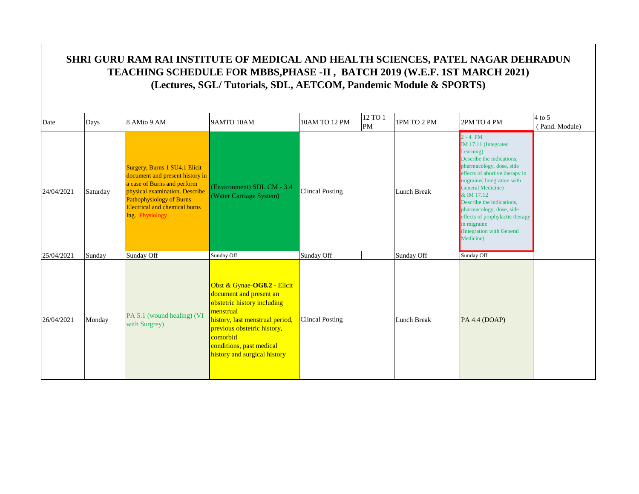| Date       | Days     | 8 AMto 9 AM                                                                                                                                                                                                                     | 9AMTO 10AM                                                                                                                                                                                                                                   | 10AM TO 12 PM          | 12 TO 1<br>PM | 1PM TO 2 PM        | 2PM TO 4 PM                                                                                                                                                                                                                                                                                                                                                       | $4$ to 5<br>(Pand. Module) |
|------------|----------|---------------------------------------------------------------------------------------------------------------------------------------------------------------------------------------------------------------------------------|----------------------------------------------------------------------------------------------------------------------------------------------------------------------------------------------------------------------------------------------|------------------------|---------------|--------------------|-------------------------------------------------------------------------------------------------------------------------------------------------------------------------------------------------------------------------------------------------------------------------------------------------------------------------------------------------------------------|----------------------------|
| 24/04/2021 | Saturday | Surgery, Burns 1 SU4.1 Elicit<br>document and present history in<br>a case of Burns and perform<br>physical examination. Describe<br><b>Pathophysiology of Burns</b><br><b>Electrical and chemical burns</b><br>Ing. Physiology | (Environment) SDL CM - 3.4<br>(Water Carriage System)                                                                                                                                                                                        | <b>Clincal Posting</b> |               | <b>Lunch Break</b> | $2 - 4$ PM<br>IM 17.11 (Integrated<br>Learning)<br>Describe the indications,<br>pharmacology, dose, side<br>effects of abortive therapy in<br>migraine(Integration with<br>General Medicine)<br>$&$ IM 17.12<br>Describe the indications.<br>pharmacology, dose, side<br>effects of prophylactic therapy<br>in migraine<br>(Integration with General<br>Medicine) |                            |
| 25/04/2021 | Sunday   | Sunday Off                                                                                                                                                                                                                      | Sunday Off                                                                                                                                                                                                                                   | Sunday Off             |               | Sunday Off         | Sunday Off                                                                                                                                                                                                                                                                                                                                                        |                            |
| 26/04/2021 | Monday   | PA 5.1 (wound healing) (VI<br>with Surgrey)                                                                                                                                                                                     | Obst & Gynae-OG8.2 - Elicit<br>document and present an<br>obstetric history including<br>menstrual<br>history, last menstrual period,<br>previous obstetric history,<br>comorbid<br>conditions, past medical<br>history and surgical history | <b>Clincal Posting</b> |               | <b>Lunch Break</b> | PA 4.4 (DOAP)                                                                                                                                                                                                                                                                                                                                                     |                            |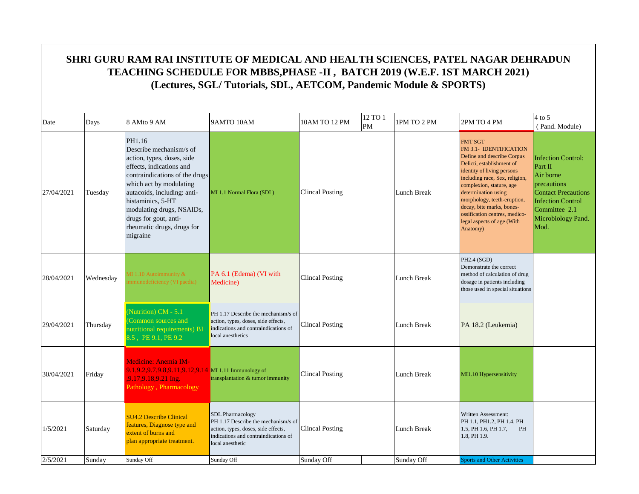|            | SHRI GURU RAM RAI INSTITUTE OF MEDICAL AND HEALTH SCIENCES, PATEL NAGAR DEHRADUN<br>TEACHING SCHEDULE FOR MBBS, PHASE -II, BATCH 2019 (W.E.F. 1ST MARCH 2021)<br>(Lectures, SGL/Tutorials, SDL, AETCOM, Pandemic Module & SPORTS) |                                                                                                                                                                                                                                                                                                              |                                                                                                                                                                   |                        |                      |                    |                                                                                                                                                                                                                                                                                                                                                               |                                                                                                                                                                           |  |  |  |  |
|------------|-----------------------------------------------------------------------------------------------------------------------------------------------------------------------------------------------------------------------------------|--------------------------------------------------------------------------------------------------------------------------------------------------------------------------------------------------------------------------------------------------------------------------------------------------------------|-------------------------------------------------------------------------------------------------------------------------------------------------------------------|------------------------|----------------------|--------------------|---------------------------------------------------------------------------------------------------------------------------------------------------------------------------------------------------------------------------------------------------------------------------------------------------------------------------------------------------------------|---------------------------------------------------------------------------------------------------------------------------------------------------------------------------|--|--|--|--|
| Date       | Days                                                                                                                                                                                                                              | 8 AMto 9 AM                                                                                                                                                                                                                                                                                                  | 9AMTO 10AM                                                                                                                                                        | 10AM TO 12 PM          | 12 TO 1<br><b>PM</b> | 1PM TO 2 PM        | 2PM TO 4 PM                                                                                                                                                                                                                                                                                                                                                   | $4$ to 5<br>(Pand. Module)                                                                                                                                                |  |  |  |  |
| 27/04/2021 | Tuesday                                                                                                                                                                                                                           | PH1.16<br>Describe mechanism/s of<br>action, types, doses, side<br>effects, indications and<br>contraindications of the drugs<br>which act by modulating<br>autacoids, including: anti-<br>histaminics, 5-HT<br>modulating drugs, NSAIDs,<br>drugs for gout, anti-<br>rheumatic drugs, drugs for<br>migraine | MI 1.1 Normal Flora (SDL)                                                                                                                                         | Clincal Posting        |                      | Lunch Break        | <b>FMT SGT</b><br>FM 3.1- IDENTIFICATION<br>Define and describe Corpus<br>Delicti, establishment of<br>identity of living persons<br>including race, Sex, religion,<br>complexion, stature, age<br>determination using<br>morphology, teeth-eruption,<br>decay, bite marks, bones-<br>ossification centres, medico-<br>legal aspects of age (With<br>Anatomy) | <b>Infection Control:</b><br>Part II<br>Air borne<br>precautions<br><b>Contact Precautions</b><br><b>Infection Control</b><br>Committee 2.1<br>Microbiology Pand.<br>Mod. |  |  |  |  |
| 28/04/2021 | Wednesday                                                                                                                                                                                                                         | $\overline{M}$ 1.10 Autoimmunity &<br>mmunodeficiency (VI paedia)                                                                                                                                                                                                                                            | PA 6.1 (Edema) (VI with<br>Medicine)                                                                                                                              | Clincal Posting        |                      | Lunch Break        | PH2.4 (SGD)<br>Demonstrate the correct<br>method of calculation of drug<br>dosage in patients including<br>those used in special situations                                                                                                                                                                                                                   |                                                                                                                                                                           |  |  |  |  |
| 29/04/2021 | Thursday                                                                                                                                                                                                                          | (Nutrition) CM - 5.1<br>Common sources and<br>nutritional requirements) BI<br>8.5, PE 9.1, PE 9.2                                                                                                                                                                                                            | PH 1.17 Describe the mechanism/s of<br>action, types, doses, side effects,<br>indications and contraindications of<br>local anesthetics                           | Clincal Posting        |                      | Lunch Break        | PA 18.2 (Leukemia)                                                                                                                                                                                                                                                                                                                                            |                                                                                                                                                                           |  |  |  |  |
| 30/04/2021 | Friday                                                                                                                                                                                                                            | <b>Medicine: Anemia IM-</b><br>9.1,9.2,9.7,9.8,9.11,9.12,9.14 MI 1.11 Immunology of<br>.9.17.9.18,9.21 Ing.<br>Pathology, Pharmacology                                                                                                                                                                       | transplantation & tumor immunity                                                                                                                                  | <b>Clincal Posting</b> |                      | Lunch Break        | MI1.10 Hypersensitivity                                                                                                                                                                                                                                                                                                                                       |                                                                                                                                                                           |  |  |  |  |
| 1/5/2021   | Saturday                                                                                                                                                                                                                          | <b>SU4.2 Describe Clinical</b><br>features, Diagnose type and<br>extent of burns and<br>plan appropriate treatment.                                                                                                                                                                                          | <b>SDL</b> Pharmacology<br>PH 1.17 Describe the mechanism/s of<br>action, types, doses, side effects,<br>indications and contraindications of<br>local anesthetic | <b>Clincal Posting</b> |                      | <b>Lunch Break</b> | Written Assessment:<br>PH 1.1, PH1.2, PH 1.4, PH<br>1.5, PH 1.6, PH 1.7,<br>PH<br>1.8, PH 1.9.                                                                                                                                                                                                                                                                |                                                                                                                                                                           |  |  |  |  |
| 2/5/2021   | Sunday                                                                                                                                                                                                                            | Sunday Off                                                                                                                                                                                                                                                                                                   | Sunday Off                                                                                                                                                        | Sunday Off             |                      | Sunday Off         | <b>Sports and Other Activities</b>                                                                                                                                                                                                                                                                                                                            |                                                                                                                                                                           |  |  |  |  |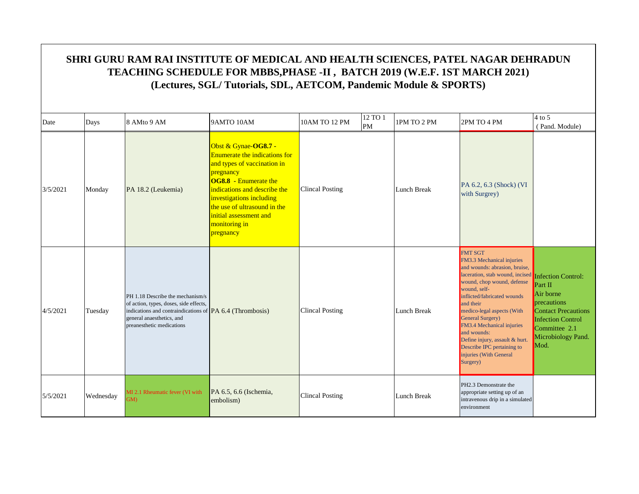#### Date  $\begin{array}{|c|c|c|c|c|c|}\n\hline\n\text{Days} & \text{8 AMto 9 AM} & \text{9AMTO 10AM} & \text{10AM TO 12 PM} & \text{12 TO 1} \\
\hline\n\end{array}$  $\begin{array}{|l|c|c|c|c|}\n 12\, \text{TO 1} & \text{IPM TO 2 PM} & \text{2PM TO 4 PM} & \text{QP} & \text{QP} \\
 \hline\n \text{PM} & & & \text{QP} & \text{QP} & \text{QP} \\
 \end{array}$  ( Pand. Module) **SHRI GURU RAM RAI INSTITUTE OF MEDICAL AND HEALTH SCIENCES, PATEL NAGAR DEHRADUN TEACHING SCHEDULE FOR MBBS,PHASE -II , BATCH 2019 (W.E.F. 1ST MARCH 2021) (Lectures, SGL/ Tutorials, SDL, AETCOM, Pandemic Module & SPORTS)**  $\frac{1}{3}$  Monday PA 18.2 (Leukemia) indications and describe the Clincal Posting Obst & Gynae-**OG8.7 -**  Enumerate the indications for and types of vaccination in pregnancy **OG8.8** - Enumerate the investigations including the use of ultrasound in the initial assessment and monitoring in pregnancy Lunch Break PA 6.2, 6.3 (Shock) (VI with Surgrey) 4/5/2021 Tuesday PH 1.18 Describe the mechanism/s of action, types, doses, side effects, indications and contraindications of **PA** 6.4 (Thrombosis) **Clincal Posting Lunch Break** general anaesthetics, and preanesthetic medications FMT SGT FM3.3 Mechanical injuries and wounds: abrasion, bruise, laceration, stab wound, incised wound, chop wound, defense wound, selfinflicted/fabricated wounds and their medico-legal aspects (With General Surgery) FM3.4 Mechanical injuries and wounds: Define injury, assault & hurt. Describe IPC pertaining to injuries (With General Surgery) Infection Control: Part II Air borne precautions **Contact Precautions** Infection Control Committee 2.1 Microbiology Pand. Mod.  $5/5/2021$  Wednesday MI 2.1 Rheumatic fever (VI with GM<sub>G</sub> PA 6.5, 6.6 (Ischemia, embolism) Lunch Break Clincal Posting PH2.3 Demonstrate the appropriate setting up of an intravenous drip in a simulated environment Clincal Posting Clincal Posting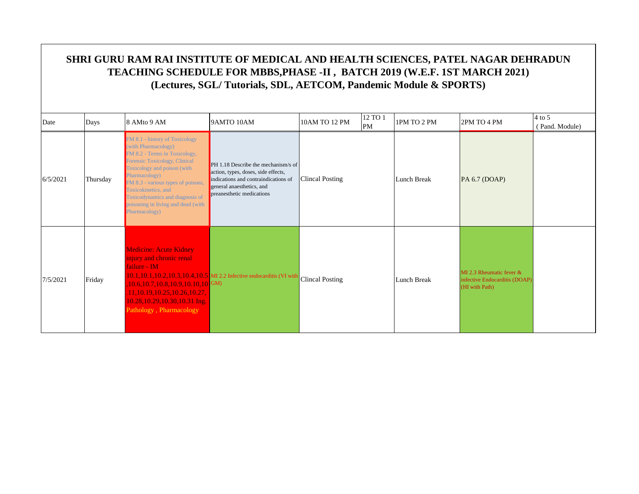|          | SHRI GURU RAM RAI INSTITUTE OF MEDICAL AND HEALTH SCIENCES, PATEL NAGAR DEHRADUN<br>TEACHING SCHEDULE FOR MBBS, PHASE -II, BATCH 2019 (W.E.F. 1ST MARCH 2021)<br>(Lectures, SGL/Tutorials, SDL, AETCOM, Pandemic Module & SPORTS) |                                                                                                                                                                                                                                                                                                                                |                                                                                                                                                                                |                            |         |             |                                                                               |                            |  |  |  |  |
|----------|-----------------------------------------------------------------------------------------------------------------------------------------------------------------------------------------------------------------------------------|--------------------------------------------------------------------------------------------------------------------------------------------------------------------------------------------------------------------------------------------------------------------------------------------------------------------------------|--------------------------------------------------------------------------------------------------------------------------------------------------------------------------------|----------------------------|---------|-------------|-------------------------------------------------------------------------------|----------------------------|--|--|--|--|
| Date     | Days                                                                                                                                                                                                                              | 8 AMto 9 AM                                                                                                                                                                                                                                                                                                                    | 9AMTO 10AM                                                                                                                                                                     | 10AM TO 12 PM<br><b>PM</b> | 12 TO 1 | 1PM TO 2 PM | 2PM TO 4 PM                                                                   | $4$ to 5<br>(Pand. Module) |  |  |  |  |
| 6/5/2021 | Thursday                                                                                                                                                                                                                          | FM 8.1 - history of Toxicology<br>(with Pharmacology)<br>FM 8.2 - Terms in Toxicology,<br>Forensic Toxicology, Clinical<br>Toxicology and poison (with<br>Pharmacology)<br>FM 8.3 - various types of poisons,<br>Toxicokinetics, and<br>Toxicodynamics and diagnosis of<br>poisoning in living and dead (with<br>Pharmacology) | $PH 1.18$ Describe the mechanism/s of<br>action, types, doses, side effects,<br>indications and contraindications of<br>general anaesthetics, and<br>preanesthetic medications | <b>Clincal Posting</b>     |         | Lunch Break | PA 6.7 (DOAP)                                                                 |                            |  |  |  |  |
| 7/5/2021 | Friday                                                                                                                                                                                                                            | <b>Medicine: Acute Kidney</b><br>injury and chronic renal<br>failure - IM<br>10.6,10.7,10.8,10.9,10.10,10 GM)<br>11.10.19.10.25.10.26.10.27.<br>10.28,10.29,10.30,10.31 Ing.<br>Pathology, Pharmacology                                                                                                                        | 10.1,10.1,10.2,10.3,10.4,10.5 MI 2.2 Infective endocarditis (VI with                                                                                                           | <b>Clincal Posting</b>     |         | Lunch Break | MI 2.3 Rheumatic fever $&$<br>infective Endocarditis (DOAP)<br>(HI with Path) |                            |  |  |  |  |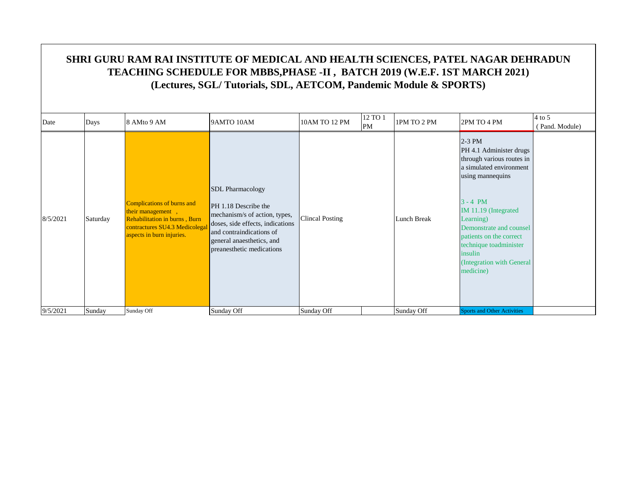| Date     | Days     | 8 AMto 9 AM                                                                                                                                     | 9AMTO 10AM                                                                                                                                                                                                 | 10AM TO 12 PM          | 12 TO 1<br>PM | 1PM TO 2 PM        | 2PM TO 4 PM                                                                                                                                                                                                                                                                                             | $4$ to 5<br>(Pand. Module) |
|----------|----------|-------------------------------------------------------------------------------------------------------------------------------------------------|------------------------------------------------------------------------------------------------------------------------------------------------------------------------------------------------------------|------------------------|---------------|--------------------|---------------------------------------------------------------------------------------------------------------------------------------------------------------------------------------------------------------------------------------------------------------------------------------------------------|----------------------------|
| 8/5/2021 | Saturday | Complications of burns and<br>their management,<br>Rehabilitation in burns, Burn<br>contractures SU4.3 Medicolegal<br>aspects in burn injuries. | <b>SDL</b> Pharmacology<br>PH 1.18 Describe the<br>mechanism/s of action, types,<br>doses, side effects, indications<br>and contraindications of<br>general anaesthetics, and<br>preanesthetic medications | <b>Clincal Posting</b> |               | <b>Lunch Break</b> | $2-3$ PM<br>PH 4.1 Administer drugs<br>through various routes in<br>a simulated environment<br>using mannequins<br>$3 - 4 PM$<br>IM 11.19 (Integrated<br>Learning)<br>Demonstrate and counsel<br>patients on the correct<br>technique toadminister<br>insulin<br>(Integration with General<br>medicine) |                            |
| 9/5/2021 | Sunday   | Sunday Off                                                                                                                                      | Sunday Off                                                                                                                                                                                                 | Sunday Off             |               | Sunday Off         | <b>Sports and Other Activities</b>                                                                                                                                                                                                                                                                      |                            |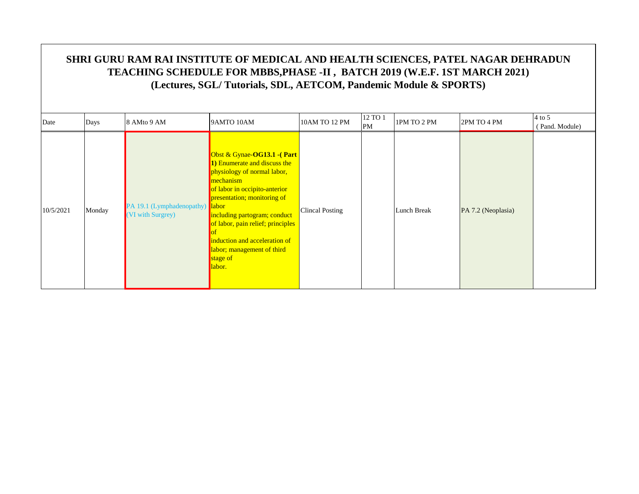|           |        |                                                      |                                                                                                                                                                                                                                                                                                                                  |                 | 12 TO 1 |             |                    | $4$ to 5       |
|-----------|--------|------------------------------------------------------|----------------------------------------------------------------------------------------------------------------------------------------------------------------------------------------------------------------------------------------------------------------------------------------------------------------------------------|-----------------|---------|-------------|--------------------|----------------|
| Date      | Days   | 8 AMto 9 AM                                          | 9AMTO 10AM                                                                                                                                                                                                                                                                                                                       | 10AM TO 12 PM   | PM      | 1PM TO 2 PM | 2PM TO 4 PM        | (Pand. Module) |
| 10/5/2021 | Monday | PA 19.1 (Lymphadenopathy) labor<br>(VI with Surgrey) | Obst & Gynae-OG13.1 -(Part<br>1) Enumerate and discuss the<br>physiology of normal labor,<br>mechanism<br>of labor in occipito-anterior<br>presentation; monitoring of<br>including partogram; conduct<br>of labor, pain relief; principles<br>induction and acceleration of<br>labor; management of third<br>stage of<br>labor. | Clincal Posting |         | Lunch Break | PA 7.2 (Neoplasia) |                |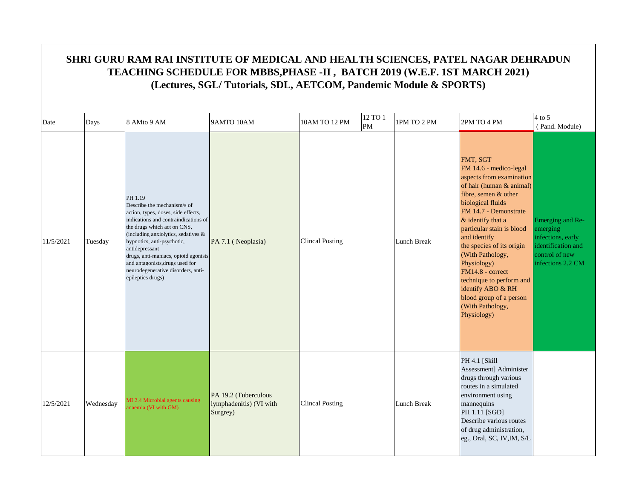|           | SHRI GURU RAM RAI INSTITUTE OF MEDICAL AND HEALTH SCIENCES, PATEL NAGAR DEHRADUN<br>TEACHING SCHEDULE FOR MBBS, PHASE -II, BATCH 2019 (W.E.F. 1ST MARCH 2021)<br>(Lectures, SGL/Tutorials, SDL, AETCOM, Pandemic Module & SPORTS) |                                                                                                                                                                                                                                                                                                                                                                                   |                                                             |                        |               |             |                                                                                                                                                                                                                                                                                                                                                                                                                                          |                                                                                                                |  |  |  |
|-----------|-----------------------------------------------------------------------------------------------------------------------------------------------------------------------------------------------------------------------------------|-----------------------------------------------------------------------------------------------------------------------------------------------------------------------------------------------------------------------------------------------------------------------------------------------------------------------------------------------------------------------------------|-------------------------------------------------------------|------------------------|---------------|-------------|------------------------------------------------------------------------------------------------------------------------------------------------------------------------------------------------------------------------------------------------------------------------------------------------------------------------------------------------------------------------------------------------------------------------------------------|----------------------------------------------------------------------------------------------------------------|--|--|--|
| Date      | Days                                                                                                                                                                                                                              | 8 AMto 9 AM                                                                                                                                                                                                                                                                                                                                                                       | 9AMTO 10AM                                                  | 10AM TO 12 PM          | 12 TO 1<br>PM | 1PM TO 2 PM | 2PM TO 4 PM                                                                                                                                                                                                                                                                                                                                                                                                                              | $4$ to 5<br>(Pand. Module)                                                                                     |  |  |  |
| 11/5/2021 | Tuesday                                                                                                                                                                                                                           | PH 1.19<br>Describe the mechanism/s of<br>action, types, doses, side effects,<br>indications and contraindications of<br>the drugs which act on CNS,<br>(including anxiolytics, sedatives &<br>hypnotics, anti-psychotic,<br>antidepressant<br>drugs, anti-maniacs, opioid agonists<br>and antagonists, drugs used for<br>neurodegenerative disorders, anti-<br>epileptics drugs) | PA 7.1 (Neoplasia)                                          | <b>Clincal Posting</b> |               | Lunch Break | FMT, SGT<br>FM 14.6 - medico-legal<br>aspects from examination<br>of hair (human & animal)<br>fibre, semen & other<br>biological fluids<br>FM 14.7 - Demonstrate<br>$\&$ identify that a<br>particular stain is blood<br>and identify<br>the species of its origin<br>(With Pathology,<br>Physiology)<br>FM14.8 - correct<br>technique to perform and<br>identify ABO & RH<br>blood group of a person<br>(With Pathology,<br>Physiology) | Emerging and Re-<br>emerging<br>infections, early<br>identification and<br>control of new<br>infections 2.2 CM |  |  |  |
| 12/5/2021 | Wednesday                                                                                                                                                                                                                         | MI 2.4 Microbial agents causing<br>unaemia (VI with GM)                                                                                                                                                                                                                                                                                                                           | PA 19.2 (Tuberculous<br>lymphadenitis) (VI with<br>Surgrey) | <b>Clincal Posting</b> |               | Lunch Break | <b>PH 4.1 [Skill</b><br>Assessment] Administer<br>drugs through various<br>routes in a simulated<br>environment using<br>mannequins<br>PH 1.11 [SGD]<br>Describe various routes<br>of drug administration,<br>eg., Oral, SC, IV, IM, S/L                                                                                                                                                                                                 |                                                                                                                |  |  |  |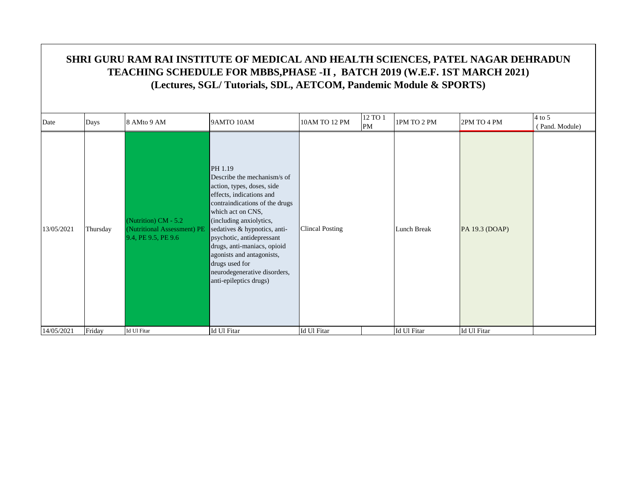| Date       | Days     | 8 AMto 9 AM                                                                  | 9AMTO 10AM                                                                                                                                                                                                                                                                                                                                                                              | 10AM TO 12 PM          | 12 TO 1<br>$\mathbf{PM}$ | 1PM TO 2 PM | 2PM TO 4 PM    | $4$ to 5<br>(Pand. Module) |
|------------|----------|------------------------------------------------------------------------------|-----------------------------------------------------------------------------------------------------------------------------------------------------------------------------------------------------------------------------------------------------------------------------------------------------------------------------------------------------------------------------------------|------------------------|--------------------------|-------------|----------------|----------------------------|
| 13/05/2021 | Thursday | (Nutrition) $CM - 5.2$<br>(Nutritional Assessment) PE<br>9.4, PE 9.5, PE 9.6 | PH 1.19<br>Describe the mechanism/s of<br>action, types, doses, side<br>effects, indications and<br>contraindications of the drugs<br>which act on CNS,<br>(including anxiolytics,<br>sedatives & hypnotics, anti-<br>psychotic, antidepressant<br>drugs, anti-maniacs, opioid<br>agonists and antagonists,<br>drugs used for<br>neurodegenerative disorders,<br>anti-epileptics drugs) | <b>Clincal Posting</b> |                          | Lunch Break | PA 19.3 (DOAP) |                            |
| 14/05/2021 | Friday   | Id Ul Fitar                                                                  | Id Ul Fitar                                                                                                                                                                                                                                                                                                                                                                             | Id Ul Fitar            |                          | Id Ul Fitar | Id Ul Fitar    |                            |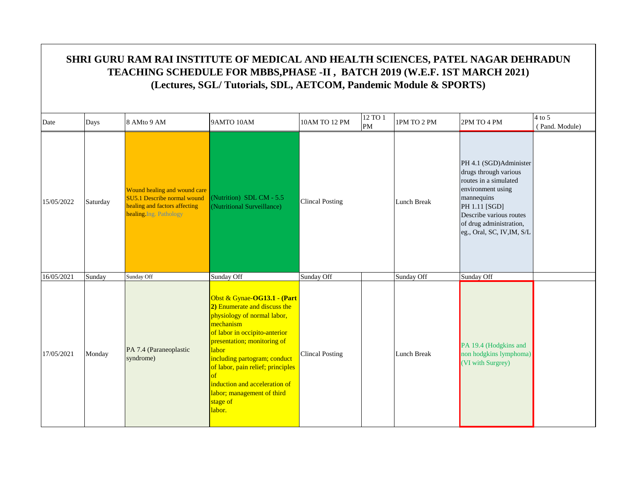#### Date  $\begin{array}{|c|c|c|c|c|c|}\n\hline\n\text{Days} & \text{8 AMto 9 AM} & \text{9AMTO 10AM} & \text{10AM TO 12 PM} & \text{12 TO 1} \\
\hline\n\end{array}$  $\begin{array}{|l|c|c|c|c|}\n 12\, \text{TO 1} & \text{IPM TO 2 PM} \\
 \hline\n \text{PM} & \text{IPM TO 2 PM} \\
 \end{array}$  ( Pand. Module) **SHRI GURU RAM RAI INSTITUTE OF MEDICAL AND HEALTH SCIENCES, PATEL NAGAR DEHRADUN TEACHING SCHEDULE FOR MBBS,PHASE -II , BATCH 2019 (W.E.F. 1ST MARCH 2021) (Lectures, SGL/ Tutorials, SDL, AETCOM, Pandemic Module & SPORTS)** 15/05/2022 Saturday Wound healing and wound care SU5.1 Describe normal wound healing and factors affecting healing.Ing. Pathology (Nutrition) SDL CM - 5.5 (Nutritional Subclem - 3.3)<br>(Nutritional Surveillance) Clincal Posting Lunch Break PH 4.1 (SGD)Administer drugs through various routes in a simulated environment using mannequins PH 1.11 [SGD] Describe various routes of drug administration, eg., Oral, SC, IV,IM, S/L 16/05/2021 Sunday Sunday Off Sunday Off Sunday Off Sunday Off Sunday Off Sunday Off Sunday Off Sunday Off Sunday Off Obst & Gynae-**OG13.1 - (Part 2)** Enumerate and discuss the physiology of normal labor, Clincal Posting

| 17/05/2021 | Monday | PA 7.4 (Paraneoplastic<br>syndrome) | <u> ODST &amp; Gynae-OGI3.1 - (Part</u><br><b>2)</b> Enumerate and discuss the<br>physiology of normal labor,<br>mechanism<br>of labor in occipito-anterior<br>presentation; monitoring of<br>labor<br>including partogram; conduct<br>of labor, pain relief; principles<br>induction and acceleration of<br>labor; management of third<br>stage of<br>labor. | <b>Clincal Posting</b> |  | Lunch Break | PA 19.4 (Hodgkins and<br>non hodgkins lymphoma)<br>(VI with Surgrey) |  |
|------------|--------|-------------------------------------|---------------------------------------------------------------------------------------------------------------------------------------------------------------------------------------------------------------------------------------------------------------------------------------------------------------------------------------------------------------|------------------------|--|-------------|----------------------------------------------------------------------|--|
|------------|--------|-------------------------------------|---------------------------------------------------------------------------------------------------------------------------------------------------------------------------------------------------------------------------------------------------------------------------------------------------------------------------------------------------------------|------------------------|--|-------------|----------------------------------------------------------------------|--|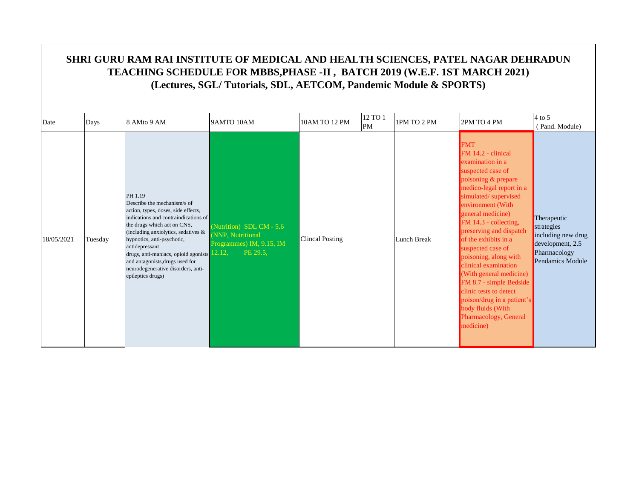|            | SHRI GURU RAM RAI INSTITUTE OF MEDICAL AND HEALTH SCIENCES, PATEL NAGAR DEHRADUN<br>TEACHING SCHEDULE FOR MBBS, PHASE -II, BATCH 2019 (W.E.F. 1ST MARCH 2021)<br>(Lectures, SGL/Tutorials, SDL, AETCOM, Pandemic Module & SPORTS) |                                                                                                                                                                                                                                                                                                                                                                                             |                                                                                       |                        |               |             |                                                                                                                                                                                                                                                                                                                                                                                                                                                                                                                             |                                                                                                         |  |  |  |
|------------|-----------------------------------------------------------------------------------------------------------------------------------------------------------------------------------------------------------------------------------|---------------------------------------------------------------------------------------------------------------------------------------------------------------------------------------------------------------------------------------------------------------------------------------------------------------------------------------------------------------------------------------------|---------------------------------------------------------------------------------------|------------------------|---------------|-------------|-----------------------------------------------------------------------------------------------------------------------------------------------------------------------------------------------------------------------------------------------------------------------------------------------------------------------------------------------------------------------------------------------------------------------------------------------------------------------------------------------------------------------------|---------------------------------------------------------------------------------------------------------|--|--|--|
| Date       | Days                                                                                                                                                                                                                              | 8 AMto 9 AM                                                                                                                                                                                                                                                                                                                                                                                 | 9AMTO 10AM                                                                            | 10AM TO 12 PM          | 12 TO 1<br>PM | 1PM TO 2 PM | 2PM TO 4 PM                                                                                                                                                                                                                                                                                                                                                                                                                                                                                                                 | $4$ to 5<br>(Pand. Module)                                                                              |  |  |  |
| 18/05/2021 | Tuesday                                                                                                                                                                                                                           | PH 1.19<br>Describe the mechanism/s of<br>action, types, doses, side effects,<br>indications and contraindications of<br>the drugs which act on CNS,<br>(including anxiolytics, sedatives $\&$<br>hypnotics, anti-psychotic,<br>antidepressant<br>drugs, anti-maniacs, opioid agonists 12.12,<br>and antagonists, drugs used for<br>neurodegenerative disorders, anti-<br>epileptics drugs) | (Nutrition) SDL CM - 5.6<br>(NNP, Nutritional<br>Programmes) IM, 9.15, IM<br>PE 29.5. | <b>Clincal Posting</b> |               | Lunch Break | <b>FMT</b><br>$FM 14.2$ - clinical<br>examination in a<br>suspected case of<br>poisoning & prepare<br>medico-legal report in a<br>simulated/supervised<br>environment (With<br>general medicine)<br>FM 14.3 - collecting,<br>preserving and dispatch<br>of the exhibits in a<br>suspected case of<br>poisoning, along with<br>clinical examination<br>(With general medicine)<br>FM 8.7 - simple Bedside<br>clinic tests to detect<br>poison/drug in a patient's<br>body fluids (With<br>Pharmacology, General<br>medicine) | Therapeutic<br>strategies<br>including new drug<br>development, 2.5<br>Pharmacology<br>Pendamics Module |  |  |  |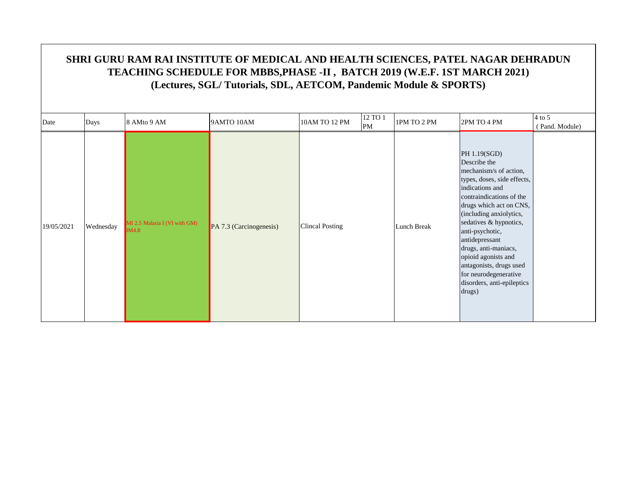| Date       | Days      | 8 AMto 9 AM                            | 9AMTO 10AM              | 10AM TO 12 PM          | 12 TO 1<br>PM | 1PM TO 2 PM | 2PM TO 4 PM                                                                                                                                                                                                                                                                                                                                                                                          | 4 to 5<br>(Pand. Module) |
|------------|-----------|----------------------------------------|-------------------------|------------------------|---------------|-------------|------------------------------------------------------------------------------------------------------------------------------------------------------------------------------------------------------------------------------------------------------------------------------------------------------------------------------------------------------------------------------------------------------|--------------------------|
| 19/05/2021 | Wednesday | MI 2.5 Malaria I (VI with GM)<br>IM4.8 | PA 7.3 (Carcinogenesis) | <b>Clincal Posting</b> |               | Lunch Break | PH 1.19(SGD)<br>Describe the<br>mechanism/s of action,<br>types, doses, side effects,<br>indications and<br>contraindications of the<br>drugs which act on CNS,<br>(including anxiolytics,<br>sedatives & hypnotics,<br>anti-psychotic,<br>antidepressant<br>drugs, anti-maniacs,<br>opioid agonists and<br>antagonists, drugs used<br>for neurodegenerative<br>disorders, anti-epileptics<br>drugs) |                          |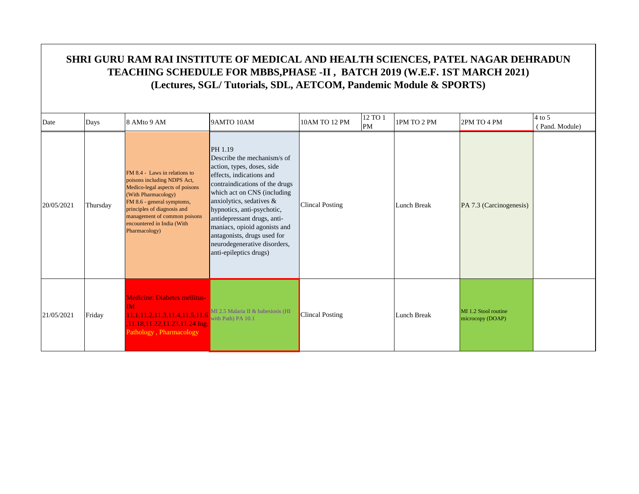|            | SHRI GURU RAM RAI INSTITUTE OF MEDICAL AND HEALTH SCIENCES, PATEL NAGAR DEHRADUN<br>TEACHING SCHEDULE FOR MBBS, PHASE -II, BATCH 2019 (W.E.F. 1ST MARCH 2021)<br>(Lectures, SGL/Tutorials, SDL, AETCOM, Pandemic Module & SPORTS) |                                                                                                                                                                                                                                                                    |                                                                                                                                                                                                                                                                                                                                                                                     |                        |                      |                    |                                          |                            |  |  |  |  |
|------------|-----------------------------------------------------------------------------------------------------------------------------------------------------------------------------------------------------------------------------------|--------------------------------------------------------------------------------------------------------------------------------------------------------------------------------------------------------------------------------------------------------------------|-------------------------------------------------------------------------------------------------------------------------------------------------------------------------------------------------------------------------------------------------------------------------------------------------------------------------------------------------------------------------------------|------------------------|----------------------|--------------------|------------------------------------------|----------------------------|--|--|--|--|
| Date       | Days                                                                                                                                                                                                                              | 8 AMto 9 AM                                                                                                                                                                                                                                                        | 9AMTO 10AM                                                                                                                                                                                                                                                                                                                                                                          | 10AM TO 12 PM          | 12 TO 1<br><b>PM</b> | 1PM TO 2 PM        | 2PM TO 4 PM                              | $4$ to 5<br>(Pand. Module) |  |  |  |  |
| 20/05/2021 | Thursday                                                                                                                                                                                                                          | FM 8.4 - Laws in relations to<br>poisons including NDPS Act,<br>Medico-legal aspects of poisons<br>(With Pharmacology)<br>FM 8.6 - general symptoms,<br>principles of diagnosis and<br>management of common poisons<br>encountered in India (With<br>Pharmacology) | PH 1.19<br>Describe the mechanism/s of<br>action, types, doses, side<br>effects, indications and<br>contraindications of the drugs<br>which act on CNS (including<br>anxiolytics, sedatives &<br>hypnotics, anti-psychotic,<br>antidepressant drugs, anti-<br>maniacs, opioid agonists and<br>antagonists, drugs used for<br>neurodegenerative disorders,<br>anti-epileptics drugs) | <b>Clincal Posting</b> |                      | <b>Lunch Break</b> | PA 7.3 (Carcinogenesis)                  |                            |  |  |  |  |
| 21/05/2021 | Friday                                                                                                                                                                                                                            | <b>Medicine: Diabetes mellitus-</b><br>ĪΜ<br>11.1, 11.2, 11.3, 11.4, 11.5, 11.6<br>11.18,11.22,11.23,11.24 Ing.<br>Pathology, Pharmacology                                                                                                                         | MI 2.5 Malaria II & babesiosis (HI<br>with Path) PA 10.1                                                                                                                                                                                                                                                                                                                            | <b>Clincal Posting</b> |                      | Lunch Break        | MI 1.2 Stool routine<br>microcopy (DOAP) |                            |  |  |  |  |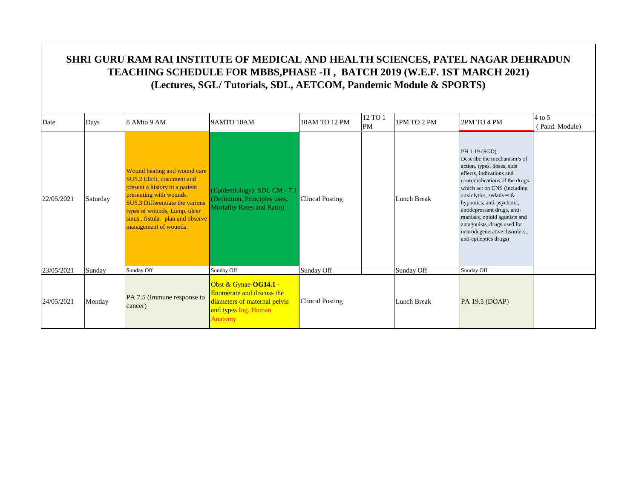| Date       | Days     | 8 AMto 9 AM                                                                                                                                                                                                                                             | 9AMTO 10AM                                                                                                                   | 10AM TO 12 PM          | 12 TO 1<br>PM | 1PM TO 2 PM | 2PM TO 4 PM                                                                                                                                                                                                                                                                                                                                                                               | $4$ to 5<br>(Pand. Module) |
|------------|----------|---------------------------------------------------------------------------------------------------------------------------------------------------------------------------------------------------------------------------------------------------------|------------------------------------------------------------------------------------------------------------------------------|------------------------|---------------|-------------|-------------------------------------------------------------------------------------------------------------------------------------------------------------------------------------------------------------------------------------------------------------------------------------------------------------------------------------------------------------------------------------------|----------------------------|
| 22/05/2021 | Saturday | Wound healing and wound care<br>SU5.2 Elicit, document and<br>present a history in a patient<br>presenting with wounds.<br>SU5.3 Differentiate the various<br>types of wounds, Lump, ulcer<br>sinus, fistula- plan and observe<br>management of wounds. | (Epidemiology) SDL CM - $7.1$<br>(Definition, Principles uses,<br><b>Mortality Rates and Ratio)</b>                          | <b>Clincal Posting</b> |               | Lunch Break | PH 1.19 (SGD)<br>Describe the mechanism/s of<br>action, types, doses, side<br>effects, indications and<br>contraindications of the drugs<br>which act on CNS (including<br>anxiolytics, sedatives &<br>hypnotics, anti-psychotic,<br>antidepressant drugs, anti-<br>maniacs, opioid agonists and<br>antagonists, drugs used for<br>neurodegenerative disorders,<br>anti-epileptics drugs) |                            |
| 23/05/2021 | Sunday   | Sunday Off                                                                                                                                                                                                                                              | Sunday Off                                                                                                                   | Sunday Off             |               | Sunday Off  | Sunday Off                                                                                                                                                                                                                                                                                                                                                                                |                            |
| 24/05/2021 | Monday   | PA 7.5 (Immune response to<br>cancer)                                                                                                                                                                                                                   | Obst & Gynae-OG14.1 -<br><b>Enumerate and discuss the</b><br>diameters of maternal pelvis<br>and types Ing. Human<br>Anatomy | <b>Clincal Posting</b> |               | Lunch Break | PA 19.5 (DOAP)                                                                                                                                                                                                                                                                                                                                                                            |                            |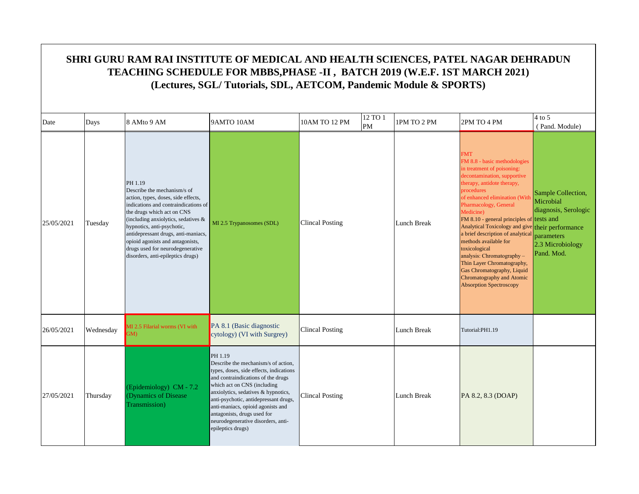|            | SHRI GURU RAM RAI INSTITUTE OF MEDICAL AND HEALTH SCIENCES, PATEL NAGAR DEHRADUN<br>TEACHING SCHEDULE FOR MBBS, PHASE -II, BATCH 2019 (W.E.F. 1ST MARCH 2021)<br>(Lectures, SGL/Tutorials, SDL, AETCOM, Pandemic Module & SPORTS) |                                                                                                                                                                                                                                                                                                                                                                              |                                                                                                                                                                                                                                                                                                                                                                               |                        |               |             |                                                                                                                                                                                                                                                                                                                                                                                                                                                                                                                                                                     |                                                                                                         |  |  |  |
|------------|-----------------------------------------------------------------------------------------------------------------------------------------------------------------------------------------------------------------------------------|------------------------------------------------------------------------------------------------------------------------------------------------------------------------------------------------------------------------------------------------------------------------------------------------------------------------------------------------------------------------------|-------------------------------------------------------------------------------------------------------------------------------------------------------------------------------------------------------------------------------------------------------------------------------------------------------------------------------------------------------------------------------|------------------------|---------------|-------------|---------------------------------------------------------------------------------------------------------------------------------------------------------------------------------------------------------------------------------------------------------------------------------------------------------------------------------------------------------------------------------------------------------------------------------------------------------------------------------------------------------------------------------------------------------------------|---------------------------------------------------------------------------------------------------------|--|--|--|
| Date       | Days                                                                                                                                                                                                                              | 8 AMto 9 AM                                                                                                                                                                                                                                                                                                                                                                  | 9AMTO 10AM                                                                                                                                                                                                                                                                                                                                                                    | 10AM TO 12 PM          | 12 TO 1<br>PM | 1PM TO 2 PM | 2PM TO 4 PM                                                                                                                                                                                                                                                                                                                                                                                                                                                                                                                                                         | $4$ to 5<br>(Pand. Module)                                                                              |  |  |  |
| 25/05/2021 | Tuesday                                                                                                                                                                                                                           | PH 1.19<br>Describe the mechanism/s of<br>action, types, doses, side effects,<br>indications and contraindications of<br>the drugs which act on CNS<br>(including anxiolytics, sedatives &<br>hypnotics, anti-psychotic,<br>antidepressant drugs, anti-maniacs,<br>opioid agonists and antagonists,<br>drugs used for neurodegenerative<br>disorders, anti-epileptics drugs) | MI 2.5 Trypanosomes (SDL)                                                                                                                                                                                                                                                                                                                                                     | <b>Clincal Posting</b> |               | Lunch Break | <b>FMT</b><br>FM 8.8 - basic methodologies<br>in treatment of poisoning:<br>decontamination, supportive<br>therapy, antidote therapy,<br>procedures<br>of enhanced elimination (With<br>Pharmacology, General<br>Medicine)<br>FM 8.10 - general principles of tests and<br>Analytical Toxicology and give their performance<br>a brief description of analytical<br>methods available for<br>toxicological<br>analysis: Chromatography -<br>Thin Layer Chromatography,<br>Gas Chromatography, Liquid<br>Chromatography and Atomic<br><b>Absorption Spectroscopy</b> | Sample Collection,<br>Microbial<br>diagnosis, Serologic<br>parameters<br>2.3 Microbiology<br>Pand. Mod. |  |  |  |
| 26/05/2021 | Wednesday                                                                                                                                                                                                                         | MI 2.5 Filarial worms (VI with<br>GM)                                                                                                                                                                                                                                                                                                                                        | PA 8.1 (Basic diagnostic<br>cytology) (VI with Surgrey)                                                                                                                                                                                                                                                                                                                       | <b>Clincal Posting</b> |               | Lunch Break | Tutorial:PH1.19                                                                                                                                                                                                                                                                                                                                                                                                                                                                                                                                                     |                                                                                                         |  |  |  |
| 27/05/2021 | Thursday                                                                                                                                                                                                                          | (Epidemiology) CM $-7.2$<br>(Dynamics of Disease<br>Transmission)                                                                                                                                                                                                                                                                                                            | PH 1.19<br>Describe the mechanism/s of action,<br>types, doses, side effects, indications<br>and contraindications of the drugs<br>which act on CNS (including<br>anxiolytics, sedatives & hypnotics,<br>anti-psychotic, antidepressant drugs,<br>anti-maniacs, opioid agonists and<br>antagonists, drugs used for<br>neurodegenerative disorders, anti-<br>epileptics drugs) | <b>Clincal Posting</b> |               | Lunch Break | PA 8.2, 8.3 (DOAP)                                                                                                                                                                                                                                                                                                                                                                                                                                                                                                                                                  |                                                                                                         |  |  |  |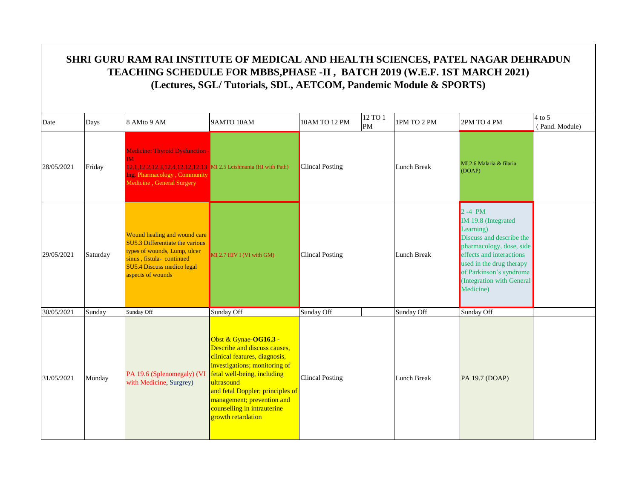| Date       | Days     | 8 AMto 9 AM                                                                                                                                                                         | 9AMTO 10AM                                                                                                                                                                                                                                                                                  | 10AM TO 12 PM          | 12 TO 1<br>PM | 1PM TO 2 PM | 2PM TO 4 PM                                                                                                                                                                                                                         | $4$ to $5$<br>(Pand. Module) |
|------------|----------|-------------------------------------------------------------------------------------------------------------------------------------------------------------------------------------|---------------------------------------------------------------------------------------------------------------------------------------------------------------------------------------------------------------------------------------------------------------------------------------------|------------------------|---------------|-------------|-------------------------------------------------------------------------------------------------------------------------------------------------------------------------------------------------------------------------------------|------------------------------|
| 28/05/2021 | Friday   | <b>Medicine: Thyroid Dysfunction -</b><br>$M$<br>12.1, 12.2, 12.3, 12.4, 12.12, 12.13 MI 2.5 Leishmania (HI with Path)<br>Ing. Pharmacology, Community<br>Medicine, General Surgery |                                                                                                                                                                                                                                                                                             | <b>Clincal Posting</b> |               | Lunch Break | MI 2.6 Malaria & filaria<br>(DOAP)                                                                                                                                                                                                  |                              |
| 29/05/2021 | Saturday | Wound healing and wound care<br>SU5.3 Differentiate the various<br>types of wounds, Lump, ulcer<br>sinus, fistula-continued<br>SU5.4 Discuss medico legal<br>aspects of wounds      | $MI$ 2.7 HIV I (VI with GM)                                                                                                                                                                                                                                                                 | <b>Clincal Posting</b> |               | Lunch Break | $2 - 4$ PM<br>IM 19.8 (Integrated<br>Learning)<br>Discuss and describe the<br>pharmacology, dose, side<br>effects and interactions<br>used in the drug therapy<br>of Parkinson's syndrome<br>(Integration with General<br>Medicine) |                              |
| 30/05/2021 | Sunday   | Sunday Off                                                                                                                                                                          | Sunday Off                                                                                                                                                                                                                                                                                  | Sunday Off             |               | Sunday Off  | Sunday Off                                                                                                                                                                                                                          |                              |
| 31/05/2021 | Monday   | PA 19.6 (Splenomegaly) (VI<br>with Medicine, Surgrey)                                                                                                                               | Obst & Gynae-OG16.3 -<br>Describe and discuss causes,<br>clinical features, diagnosis,<br>investigations; monitoring of<br>fetal well-being, including<br>ultrasound<br>and fetal Doppler; principles of<br>management; prevention and<br>counselling in intrauterine<br>growth retardation | <b>Clincal Posting</b> |               | Lunch Break | PA 19.7 (DOAP)                                                                                                                                                                                                                      |                              |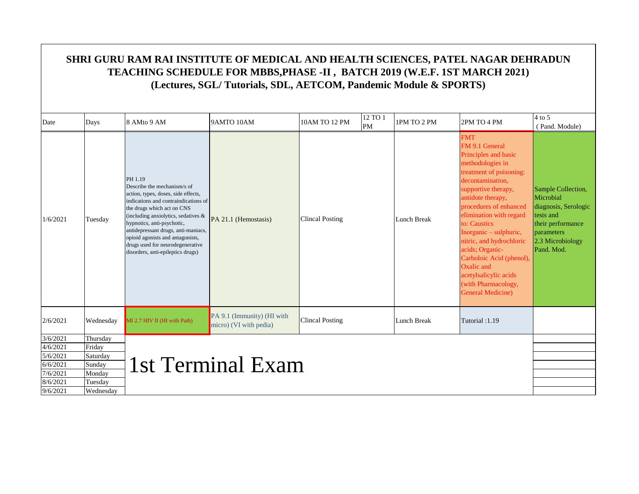|                      |                  |                                                                                                                                                                                                                                                                                                                                                                              | SHRI GURU RAM RAI INSTITUTE OF MEDICAL AND HEALTH SCIENCES, PATEL NAGAR DEHRADUN<br>TEACHING SCHEDULE FOR MBBS, PHASE -II, BATCH 2019 (W.E.F. 1ST MARCH 2021)<br>(Lectures, SGL/Tutorials, SDL, AETCOM, Pandemic Module & SPORTS) |                        |                      |                    |                                                                                                                                                                                                                                                                                                                                                                                                                                          |                                                                                                                                           |
|----------------------|------------------|------------------------------------------------------------------------------------------------------------------------------------------------------------------------------------------------------------------------------------------------------------------------------------------------------------------------------------------------------------------------------|-----------------------------------------------------------------------------------------------------------------------------------------------------------------------------------------------------------------------------------|------------------------|----------------------|--------------------|------------------------------------------------------------------------------------------------------------------------------------------------------------------------------------------------------------------------------------------------------------------------------------------------------------------------------------------------------------------------------------------------------------------------------------------|-------------------------------------------------------------------------------------------------------------------------------------------|
| Date                 | Days             | 8 AMto 9 AM                                                                                                                                                                                                                                                                                                                                                                  | 9AMTO 10AM                                                                                                                                                                                                                        | 10AM TO 12 PM          | 12 TO 1<br><b>PM</b> | 1PM TO 2 PM        | 2PM TO 4 PM                                                                                                                                                                                                                                                                                                                                                                                                                              | $4$ to 5<br>(Pand. Module)                                                                                                                |
| 1/6/2021             | Tuesday          | PH 1.19<br>Describe the mechanism/s of<br>action, types, doses, side effects,<br>indications and contraindications of<br>the drugs which act on CNS<br>(including anxiolytics, sedatives &<br>hypnotics, anti-psychotic,<br>antidepressant drugs, anti-maniacs,<br>opioid agonists and antagonists,<br>drugs used for neurodegenerative<br>disorders, anti-epileptics drugs) | PA 21.1 (Hemostasis)                                                                                                                                                                                                              | <b>Clincal Posting</b> |                      | <b>Lunch Break</b> | <b>FMT</b><br>FM 9.1 General<br>Principles and basic<br>methodologies in<br>treatment of poisoning:<br>decontamination,<br>supportive therapy,<br>antidote therapy,<br>procedures of enhanced<br>elimination with regard<br>to: Caustics<br>Inorganic – sulphuric,<br>nitric, and hydrochloric<br>acids; Organic-<br>Carboloic Acid (phenol),<br>Oxalic and<br>acetylsalicylic acids<br>(with Pharmacology,<br><b>General Medicine</b> ) | Sample Collection,<br>Microbial<br>diagnosis, Serologic<br>tests and<br>their performance<br>parameters<br>2.3 Microbiology<br>Pand. Mod. |
| 2/6/2021             | Wednesday        | MI 2.7 HIV II (HI with Path)                                                                                                                                                                                                                                                                                                                                                 | PA 9.1 (Immunity) (HI with<br>micro) (VI with pedia)                                                                                                                                                                              | <b>Clincal Posting</b> |                      | Lunch Break        | Tutorial: 1.19                                                                                                                                                                                                                                                                                                                                                                                                                           |                                                                                                                                           |
| 3/6/2021             | Thursday         |                                                                                                                                                                                                                                                                                                                                                                              |                                                                                                                                                                                                                                   |                        |                      |                    |                                                                                                                                                                                                                                                                                                                                                                                                                                          |                                                                                                                                           |
| 4/6/2021             | Fridav           |                                                                                                                                                                                                                                                                                                                                                                              |                                                                                                                                                                                                                                   |                        |                      |                    |                                                                                                                                                                                                                                                                                                                                                                                                                                          |                                                                                                                                           |
| 5/6/2021<br>6/6/2021 | Saturday         |                                                                                                                                                                                                                                                                                                                                                                              | 1st Terminal Exam                                                                                                                                                                                                                 |                        |                      |                    |                                                                                                                                                                                                                                                                                                                                                                                                                                          |                                                                                                                                           |
| 7/6/2021             | Sunday<br>Monday |                                                                                                                                                                                                                                                                                                                                                                              |                                                                                                                                                                                                                                   |                        |                      |                    |                                                                                                                                                                                                                                                                                                                                                                                                                                          |                                                                                                                                           |
| 8/6/2021             | Tuesday          |                                                                                                                                                                                                                                                                                                                                                                              |                                                                                                                                                                                                                                   |                        |                      |                    |                                                                                                                                                                                                                                                                                                                                                                                                                                          |                                                                                                                                           |
| 9/6/2021             | Wednesday        |                                                                                                                                                                                                                                                                                                                                                                              |                                                                                                                                                                                                                                   |                        |                      |                    |                                                                                                                                                                                                                                                                                                                                                                                                                                          |                                                                                                                                           |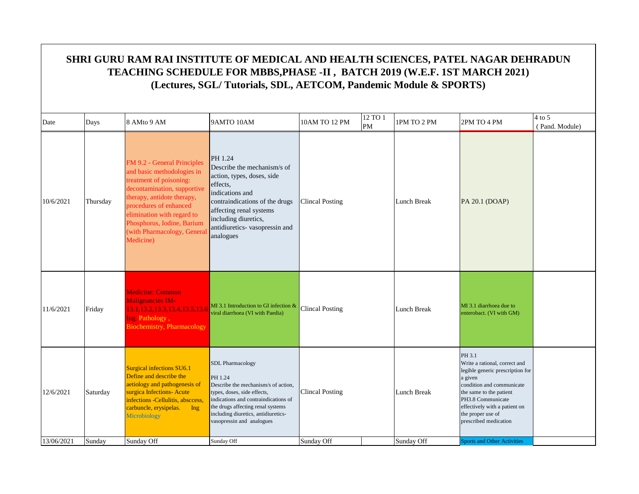|            | SHRI GURU RAM RAI INSTITUTE OF MEDICAL AND HEALTH SCIENCES, PATEL NAGAR DEHRADUN                                                              |                                                                                                                                                                                                                                                                                    |                                                                                                                                                                                                                                                           |                        |               |                    |                                                                                                                                                                                                                                                    |                            |  |  |  |  |
|------------|-----------------------------------------------------------------------------------------------------------------------------------------------|------------------------------------------------------------------------------------------------------------------------------------------------------------------------------------------------------------------------------------------------------------------------------------|-----------------------------------------------------------------------------------------------------------------------------------------------------------------------------------------------------------------------------------------------------------|------------------------|---------------|--------------------|----------------------------------------------------------------------------------------------------------------------------------------------------------------------------------------------------------------------------------------------------|----------------------------|--|--|--|--|
|            | TEACHING SCHEDULE FOR MBBS, PHASE -II, BATCH 2019 (W.E.F. 1ST MARCH 2021)<br>(Lectures, SGL/Tutorials, SDL, AETCOM, Pandemic Module & SPORTS) |                                                                                                                                                                                                                                                                                    |                                                                                                                                                                                                                                                           |                        |               |                    |                                                                                                                                                                                                                                                    |                            |  |  |  |  |
| Date       | Days                                                                                                                                          | 8 AMto 9 AM                                                                                                                                                                                                                                                                        | 9AMTO 10AM                                                                                                                                                                                                                                                | 10AM TO 12 PM          | 12 TO 1<br>PM | 1PM TO 2 PM        | 2PM TO 4 PM                                                                                                                                                                                                                                        | $4$ to 5<br>(Pand. Module) |  |  |  |  |
| 10/6/2021  | Thursday                                                                                                                                      | FM 9.2 - General Principles<br>and basic methodologies in<br>treatment of poisoning:<br>decontamination, supportive<br>therapy, antidote therapy,<br>procedures of enhanced<br>elimination with regard to<br>Phosphorus, Iodine, Barium<br>(with Pharmacology, Genera<br>Medicine) | PH 1.24<br>Describe the mechanism's of<br>action, types, doses, side<br>effects.<br>indications and<br>contraindications of the drugs<br>affecting renal systems<br>including diuretics,<br>antidiuretics-vasopressin and<br>analogues                    | <b>Clincal Posting</b> |               | <b>Lunch Break</b> | PA 20.1 (DOAP)                                                                                                                                                                                                                                     |                            |  |  |  |  |
| 11/6/2021  | Friday                                                                                                                                        | <b>Medicine: Common</b><br><b>Malignancies IM-</b><br>13.1, 13.2, 13.3, 13.4, 13.5, 13.6<br>Ing. Pathology,<br><b>Biochemistry, Pharmacology</b>                                                                                                                                   | MI 3.1 Introduction to GI infection &<br>viral diarrhoea (VI with Paedia)                                                                                                                                                                                 | <b>Clincal Posting</b> |               | Lunch Break        | MI 3.1 diarrhoea due to<br>enterobact. (VI with GM)                                                                                                                                                                                                |                            |  |  |  |  |
| 12/6/2021  | Saturday                                                                                                                                      | <b>Surgical infections SU6.1</b><br>Define and describe the<br>aetiology and pathogenesis of<br>surgica Infections-Acute<br>infections -Cellulitis, absccess,<br>carbuncle, erysipelas. Ing<br>Microbiology                                                                        | <b>SDL Pharmacology</b><br>PH 1.24<br>Describe the mechanism/s of action,<br>types, doses, side effects,<br>indications and contraindications of<br>the drugs affecting renal systems<br>including diuretics, antidiuretics-<br>vasopressin and analogues | <b>Clincal Posting</b> |               | Lunch Break        | PH 3.1<br>Write a rational, correct and<br>legible generic prescription for<br>a given<br>condition and communicate<br>the same to the patient<br>PH3.8 Communicate<br>effectively with a patient on<br>the proper use of<br>prescribed medication |                            |  |  |  |  |
| 13/06/2021 | Sunday                                                                                                                                        | Sunday Off                                                                                                                                                                                                                                                                         | Sunday Off                                                                                                                                                                                                                                                | Sunday Off             |               | Sunday Off         | <b>Sports and Other Activities</b>                                                                                                                                                                                                                 |                            |  |  |  |  |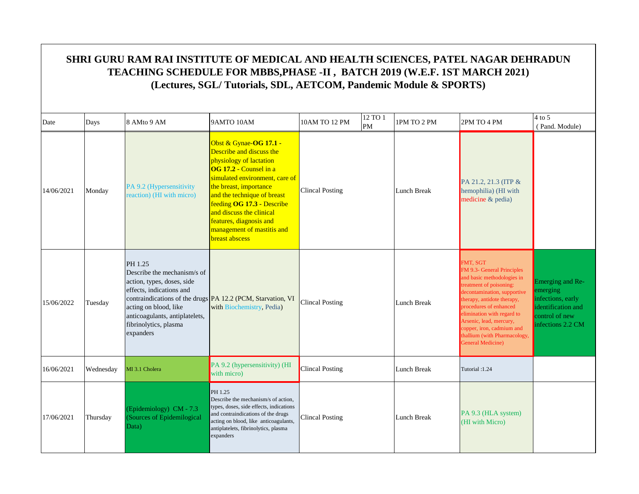|            |           |                                                                                                                                                                                                   | SHRI GURU RAM RAI INSTITUTE OF MEDICAL AND HEALTH SCIENCES, PATEL NAGAR DEHRADUN<br>TEACHING SCHEDULE FOR MBBS, PHASE -II, BATCH 2019 (W.E.F. 1ST MARCH 2021)<br>(Lectures, SGL/Tutorials, SDL, AETCOM, Pandemic Module & SPORTS)                                                                                                              |                                |             |                                                                                                                                                                                                                                                                                                                                   |                                                                                                                |
|------------|-----------|---------------------------------------------------------------------------------------------------------------------------------------------------------------------------------------------------|------------------------------------------------------------------------------------------------------------------------------------------------------------------------------------------------------------------------------------------------------------------------------------------------------------------------------------------------|--------------------------------|-------------|-----------------------------------------------------------------------------------------------------------------------------------------------------------------------------------------------------------------------------------------------------------------------------------------------------------------------------------|----------------------------------------------------------------------------------------------------------------|
| Date       | Days      | 8 AMto 9 AM                                                                                                                                                                                       | 9AMTO 10AM                                                                                                                                                                                                                                                                                                                                     | 12 TO 1<br>10AM TO 12 PM<br>PM | 1PM TO 2 PM | 2PM TO 4 PM                                                                                                                                                                                                                                                                                                                       | $4$ to 5<br>(Pand. Module)                                                                                     |
| 14/06/2021 | Monday    | PA 9.2 (Hypersensitivity<br>reaction) (HI with micro)                                                                                                                                             | Obst & Gynae-OG 17.1 -<br>Describe and discuss the<br>physiology of lactation<br>OG 17.2 - Counsel in a<br>simulated environment, care of<br>the breast, importance<br>and the technique of breast<br>feeding OG 17.3 - Describe<br>and discuss the clinical<br>features, diagnosis and<br>management of mastitis and<br><b>breast abscess</b> | <b>Clincal Posting</b>         | Lunch Break | PA 21.2, 21.3 (ITP &<br>hemophilia) (HI with<br>medicine & pedia)                                                                                                                                                                                                                                                                 |                                                                                                                |
| 15/06/2022 | Tuesday   | PH 1.25<br>Describe the mechanism/s of<br>action, types, doses, side<br>effects, indications and<br>acting on blood, like<br>anticoagulants, antiplatelets,<br>fibrinolytics, plasma<br>expanders | contraindications of the drugs <b>PA</b> 12.2 (PCM, Starvation, VI<br>with Biochemistry, Pedia)                                                                                                                                                                                                                                                | <b>Clincal Posting</b>         | Lunch Break | FMT, SGT<br>FM 9.3- General Principles<br>and basic methodologies in<br>treatment of poisoning:<br>decontamination, supportive<br>therapy, antidote therapy,<br>procedures of enhanced<br>elimination with regard to<br>Arsenic, lead, mercury,<br>copper, iron, cadmium and<br>thallium (with Pharmacology,<br>General Medicine) | Emerging and Re-<br>emerging<br>infections, early<br>identification and<br>control of new<br>infections 2.2 CM |
| 16/06/2021 | Wednesday | MI 3.1 Cholera                                                                                                                                                                                    | PA 9.2 (hypersensitivity) (HI<br>with micro)                                                                                                                                                                                                                                                                                                   | <b>Clincal Posting</b>         | Lunch Break | Tutorial: 1.24                                                                                                                                                                                                                                                                                                                    |                                                                                                                |
| 17/06/2021 | Thursday  | (Epidemiology) CM - 7.3<br>(Sources of Epidemilogical<br>Data)                                                                                                                                    | PH 1.25<br>Describe the mechanism/s of action,<br>types, doses, side effects, indications<br>and contraindications of the drugs<br>acting on blood, like anticoagulants,<br>antiplatelets, fibrinolytics, plasma<br>expanders                                                                                                                  | <b>Clincal Posting</b>         | Lunch Break | PA 9.3 (HLA system)<br>(HI with Micro)                                                                                                                                                                                                                                                                                            |                                                                                                                |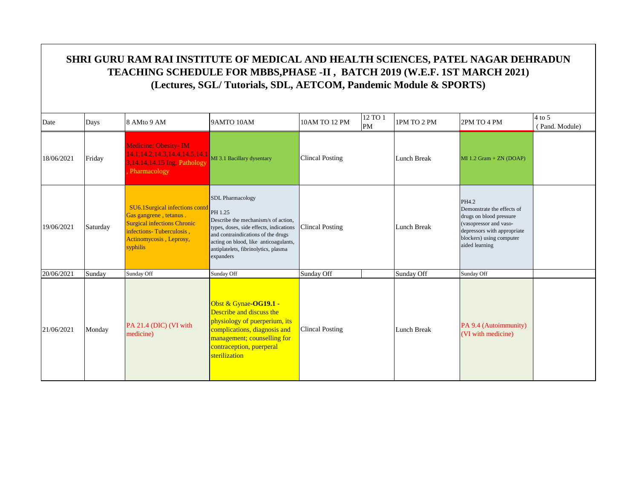| Date       | Days     | 8 AMto 9 AM                                                                                                                                                       | 9AMTO 10AM                                                                                                                                                                                                                                               | 10AM TO 12 PM          | 12 TO 1<br>$\mathbf{PM}$ | 1PM TO 2 PM        | 2PM TO 4 PM                                                                                                                                                           | 4 to 5<br>(Pand. Module) |
|------------|----------|-------------------------------------------------------------------------------------------------------------------------------------------------------------------|----------------------------------------------------------------------------------------------------------------------------------------------------------------------------------------------------------------------------------------------------------|------------------------|--------------------------|--------------------|-----------------------------------------------------------------------------------------------------------------------------------------------------------------------|--------------------------|
| 18/06/2021 | Friday   | <b>Medicine: Obesity- IM</b><br>14.1, 14.2, 14.3, 14.4, 14.5, 14.1<br>3,14.14,14.15 Ing. Pathology<br>Pharmacology                                                | MI 3.1 Bacillary dysentary                                                                                                                                                                                                                               | <b>Clincal Posting</b> |                          | <b>Lunch Break</b> | $MI 1.2 Gram + ZN (DOAP)$                                                                                                                                             |                          |
| 19/06/2021 | Saturday | SU6.1Surgical infections contd<br>Gas gangrene, tetanus.<br><b>Surgical infections Chronic</b><br>infections-Tuberculosis,<br>Actinomycosis, Leprosy,<br>syphilis | <b>SDL</b> Pharmacology<br>PH 1.25<br>Describe the mechanism/s of action,<br>types, doses, side effects, indications<br>and contraindications of the drugs<br>acting on blood, like anticoagulants,<br>antiplatelets, fibrinolytics, plasma<br>expanders | <b>Clincal Posting</b> |                          | Lunch Break        | PH4.2<br>Demonstrate the effects of<br>drugs on blood pressure<br>(vasopressor and vaso-<br>depressors with appropriate<br>blockers) using computer<br>aided learning |                          |
| 20/06/2021 | Sunday   | Sunday Off                                                                                                                                                        | Sunday Off                                                                                                                                                                                                                                               | Sunday Off             |                          | Sunday Off         | Sunday Off                                                                                                                                                            |                          |
| 21/06/2021 | Monday   | PA 21.4 (DIC) (VI with<br>medicine)                                                                                                                               | Obst & Gynae-OG19.1 -<br>Describe and discuss the<br>physiology of puerperium, its<br>complications, diagnosis and<br>management; counselling for<br>contraception, puerperal<br>sterilization                                                           | <b>Clincal Posting</b> |                          | Lunch Break        | PA 9.4 (Autoimmunity)<br>(VI with medicine)                                                                                                                           |                          |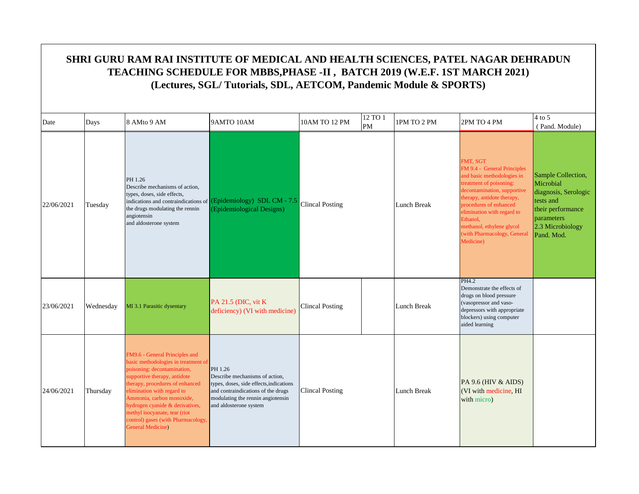|            | SHRI GURU RAM RAI INSTITUTE OF MEDICAL AND HEALTH SCIENCES, PATEL NAGAR DEHRADUN<br>TEACHING SCHEDULE FOR MBBS, PHASE -II, BATCH 2019 (W.E.F. 1ST MARCH 2021)<br>(Lectures, SGL/Tutorials, SDL, AETCOM, Pandemic Module & SPORTS) |                                                                                                                                                                                                                                                                                                                                                                   |                                                                                                                                                                                           |                        |               |             |                                                                                                                                                                                                                                                                                                            |                                                                                                                                           |  |  |  |
|------------|-----------------------------------------------------------------------------------------------------------------------------------------------------------------------------------------------------------------------------------|-------------------------------------------------------------------------------------------------------------------------------------------------------------------------------------------------------------------------------------------------------------------------------------------------------------------------------------------------------------------|-------------------------------------------------------------------------------------------------------------------------------------------------------------------------------------------|------------------------|---------------|-------------|------------------------------------------------------------------------------------------------------------------------------------------------------------------------------------------------------------------------------------------------------------------------------------------------------------|-------------------------------------------------------------------------------------------------------------------------------------------|--|--|--|
| Date       | Days                                                                                                                                                                                                                              | 8 AMto 9 AM                                                                                                                                                                                                                                                                                                                                                       | 9AMTO 10AM                                                                                                                                                                                | 10AM TO 12 PM          | 12 TO 1<br>PM | 1PM TO 2 PM | 2PM TO 4 PM                                                                                                                                                                                                                                                                                                | $4$ to 5<br>(Pand. Module)                                                                                                                |  |  |  |
| 22/06/2021 | Tuesday                                                                                                                                                                                                                           | PH 1.26<br>Describe mechanisms of action,<br>types, doses, side effects,<br>the drugs modulating the rennin<br>angiotensin<br>and aldosterone system                                                                                                                                                                                                              | indications and contraindications of <b>(Epidemiology)</b> SDL CM - 7.5<br>(Epidemiological Designs)                                                                                      | <b>Clincal Posting</b> |               | Lunch Break | FMT, SGT<br>FM 9.4 - General Principles<br>and basic methodologies in<br>treatment of poisoning:<br>decontamination, supportive<br>therapy, antidote therapy,<br>procedures of enhanced<br>elimination with regard to<br>Ethanol,<br>methanol, ethylene glycol<br>(with Pharmacology, General<br>Medicine) | Sample Collection,<br>Microbial<br>diagnosis, Serologic<br>tests and<br>their performance<br>parameters<br>2.3 Microbiology<br>Pand. Mod. |  |  |  |
| 23/06/2021 | Wednesday                                                                                                                                                                                                                         | MI 3.1 Parasitic dysentary                                                                                                                                                                                                                                                                                                                                        | <b>PA 21.5 (DIC, vit K)</b><br>deficiency) (VI with medicine)                                                                                                                             | <b>Clincal Posting</b> |               | Lunch Break | PH4.2<br>Demonstrate the effects of<br>drugs on blood pressure<br>(vasopressor and vaso-<br>depressors with appropriate<br>blockers) using computer<br>aided learning                                                                                                                                      |                                                                                                                                           |  |  |  |
| 24/06/2021 | Thursday                                                                                                                                                                                                                          | FM9.6 - General Principles and<br>basic methodologies in treatment of<br>poisoning: decontamination,<br>supportive therapy, antidote<br>therapy, procedures of enhanced<br>elimination with regard to<br>Ammonia, carbon monoxide,<br>hydrogen cyanide & derivatives,<br>methyl isocyanate, tear (riot<br>control) gases (with Pharmacology,<br>General Medicine) | PH 1.26<br>Describe mechanisms of action,<br>types, doses, side effects, indications<br>and contraindications of the drugs<br>modulating the rennin angiotensin<br>and aldosterone system | <b>Clincal Posting</b> |               | Lunch Break | PA 9.6 (HIV & AIDS)<br>(VI with medicine, HI<br>with micro)                                                                                                                                                                                                                                                |                                                                                                                                           |  |  |  |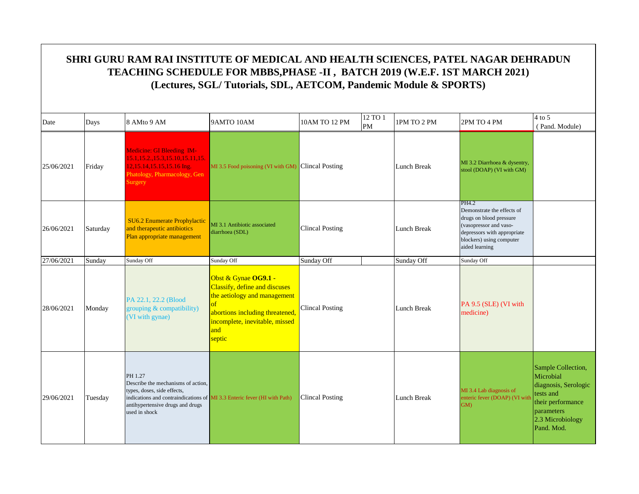| Date       | Days     | 8 AMto 9 AM                                                                                                                              | 9AMTO 10AM                                                                                                                                                                              | 10AM TO 12 PM          | 12 TO 1<br>PM | 1PM TO 2 PM        | 2PM TO 4 PM                                                                                                                                                           | $4$ to 5<br>(Pand. Module)                                                                                                                |
|------------|----------|------------------------------------------------------------------------------------------------------------------------------------------|-----------------------------------------------------------------------------------------------------------------------------------------------------------------------------------------|------------------------|---------------|--------------------|-----------------------------------------------------------------------------------------------------------------------------------------------------------------------|-------------------------------------------------------------------------------------------------------------------------------------------|
| 25/06/2021 | Friday   | Medicine: GI Bleeding IM-<br>15.1, 15.2, 15.3, 15.10, 15.11, 15.<br>12,15.14,15.15,15.16 Ing.<br>Phatology, Pharmacology, Gen<br>Surgery | MI 3.5 Food poisoning (VI with GM) Clincal Posting                                                                                                                                      |                        |               | <b>Lunch Break</b> | MI 3.2 Diarrhoea & dysentry,<br>stool (DOAP) (VI with GM)                                                                                                             |                                                                                                                                           |
| 26/06/2021 | Saturday | <b>SU6.2 Enumerate Prophylactic</b><br>and therapeutic antibiotics<br>Plan appropriate management                                        | MI 3.1 Antibiotic associated<br>diarrhoea (SDL)                                                                                                                                         | <b>Clincal Posting</b> |               | <b>Lunch Break</b> | PH4.2<br>Demonstrate the effects of<br>drugs on blood pressure<br>(vasopressor and vaso-<br>depressors with appropriate<br>blockers) using computer<br>aided learning |                                                                                                                                           |
| 27/06/2021 | Sunday   | Sunday Off                                                                                                                               | Sunday Off                                                                                                                                                                              | Sunday Off             |               | Sunday Off         | Sunday Off                                                                                                                                                            |                                                                                                                                           |
| 28/06/2021 | Monday   | PA 22.1, 22.2 (Blood)<br>grouping & compatibility)<br>(VI with gynae)                                                                    | Obst & Gynae OG9.1 -<br>Classify, define and discuses<br>the aetiology and management<br>$\sigma$<br>abortions including threatened,<br>incomplete, inevitable, missed<br>and<br>septic | <b>Clincal Posting</b> |               | Lunch Break        | PA 9.5 (SLE) (VI with<br>medicine)                                                                                                                                    |                                                                                                                                           |
| 29/06/2021 | Tuesday  | PH 1.27<br>Describe the mechanisms of action,<br>types, doses, side effects,<br>antihypertensive drugs and drugs<br>used in shock        | indications and contraindications of MI 3.3 Enteric fever (HI with Path)                                                                                                                | <b>Clincal Posting</b> |               | <b>Lunch Break</b> | MI 3.4 Lab diagnosis of<br>enteric fever (DOAP) (VI with<br>GM)                                                                                                       | Sample Collection,<br>Microbial<br>diagnosis, Serologic<br>tests and<br>their performance<br>parameters<br>2.3 Microbiology<br>Pand. Mod. |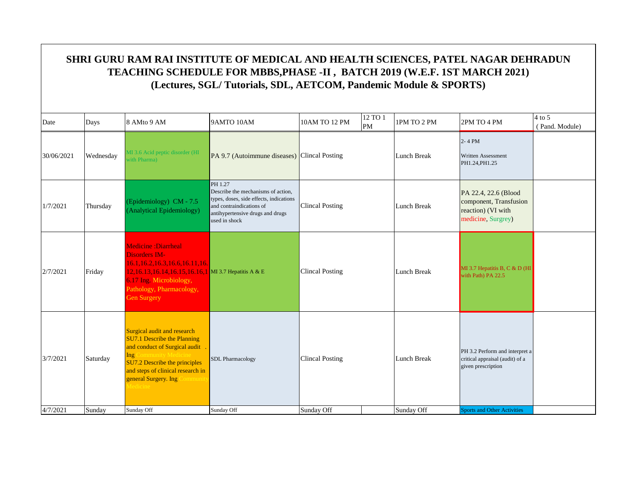| Date       | Days      | 8 AMto 9 AM                                                                                                                                                                                                                                        | 9AMTO 10AM                                                                                                                                                                | 10AM TO 12 PM          | 12 TO 1<br>PM | 1PM TO 2 PM | 2PM TO 4 PM                                                                                | 4 to 5<br>(Pand. Module) |
|------------|-----------|----------------------------------------------------------------------------------------------------------------------------------------------------------------------------------------------------------------------------------------------------|---------------------------------------------------------------------------------------------------------------------------------------------------------------------------|------------------------|---------------|-------------|--------------------------------------------------------------------------------------------|--------------------------|
| 30/06/2021 | Wednesday | MI 3.6 Acid peptic disorder (HI<br>with Pharma)                                                                                                                                                                                                    | PA 9.7 (Autoimmune diseases) Clincal Posting                                                                                                                              |                        |               | Lunch Break | 2-4 PM<br>Written Assessment<br>PH1.24, PH1.25                                             |                          |
| 1/7/2021   | Thursday  | (Epidemiology) CM - 7.5<br>(Analytical Epidemiology)                                                                                                                                                                                               | PH 1.27<br>Describe the mechanisms of action,<br>types, doses, side effects, indications<br>and contraindications of<br>antihypertensive drugs and drugs<br>used in shock | <b>Clincal Posting</b> |               | Lunch Break | PA 22.4, 22.6 (Blood<br>component, Transfusion<br>reaction) (VI with<br>medicine, Surgrey) |                          |
| 2/7/2021   | Friday    | <b>Medicine : Diarrheal</b><br><b>Disorders IM-</b><br>16.1, 16.2, 16.3, 16.6, 16.11, 16.<br>12,16.13,16.14,16.15,16.16,1 MI 3.7 Hepatitis A & E<br>6.17 Ing. Microbiology,<br>Pathology, Pharmacology,<br>Gen Surgery                             |                                                                                                                                                                           | <b>Clincal Posting</b> |               | Lunch Break | MI 3.7 Hepatitis B, C & D (HI<br>with Path) PA 22.5                                        |                          |
| 3/7/2021   | Saturday  | Surgical audit and research<br><b>SU7.1 Describe the Planning</b><br>and conduct of Surgical audit<br>Ing (<br><b>Community Medicin</b><br>SU7.2 Describe the principles<br>and steps of clinical research in<br>general Surgery. Ing O<br>ommunit | <b>SDL</b> Pharmacology                                                                                                                                                   | <b>Clincal Posting</b> |               | Lunch Break | PH 3.2 Perform and interpret a<br>critical appraisal (audit) of a<br>given prescription    |                          |
| 4/7/2021   | Sunday    | Sunday Off                                                                                                                                                                                                                                         | Sunday Off                                                                                                                                                                | Sunday Off             |               | Sunday Off  | <b>Sports and Other Activities</b>                                                         |                          |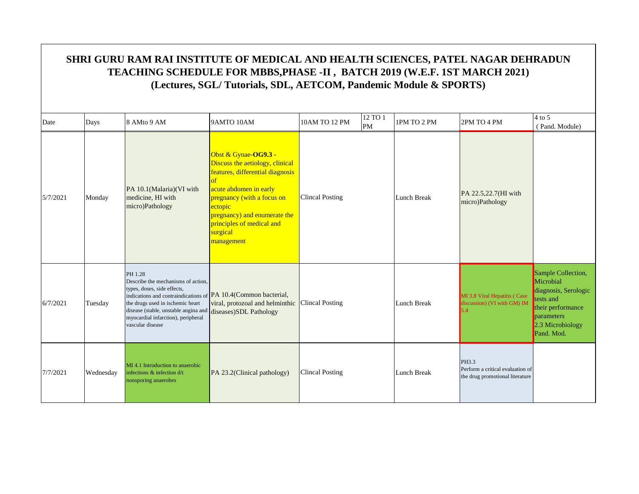|          | SHRI GURU RAM RAI INSTITUTE OF MEDICAL AND HEALTH SCIENCES, PATEL NAGAR DEHRADUN<br>TEACHING SCHEDULE FOR MBBS, PHASE -II, BATCH 2019 (W.E.F. 1ST MARCH 2021)<br>(Lectures, SGL/Tutorials, SDL, AETCOM, Pandemic Module & SPORTS) |                                                                                                                                                                                                                                                                                      |                                                                                                                                                                                                                                                                   |                        |               |             |                                                                              |                                                                                                                                           |  |  |  |  |
|----------|-----------------------------------------------------------------------------------------------------------------------------------------------------------------------------------------------------------------------------------|--------------------------------------------------------------------------------------------------------------------------------------------------------------------------------------------------------------------------------------------------------------------------------------|-------------------------------------------------------------------------------------------------------------------------------------------------------------------------------------------------------------------------------------------------------------------|------------------------|---------------|-------------|------------------------------------------------------------------------------|-------------------------------------------------------------------------------------------------------------------------------------------|--|--|--|--|
|          |                                                                                                                                                                                                                                   |                                                                                                                                                                                                                                                                                      |                                                                                                                                                                                                                                                                   |                        |               |             |                                                                              |                                                                                                                                           |  |  |  |  |
| Date     | Days                                                                                                                                                                                                                              | 8 AMto 9 AM                                                                                                                                                                                                                                                                          | 9AMTO 10AM                                                                                                                                                                                                                                                        | 10AM TO 12 PM          | 12 TO 1<br>PM | 1PM TO 2 PM | 2PM TO 4 PM                                                                  | 4 to 5<br>(Pand. Module)                                                                                                                  |  |  |  |  |
| 5/7/2021 | Monday                                                                                                                                                                                                                            | PA 10.1(Malaria)(VI with<br>medicine, HI with<br>micro)Pathology                                                                                                                                                                                                                     | Obst & Gynae-OG9.3 -<br>Discuss the aetiology, clinical<br>features, differential diagnosis<br>$\alpha$<br>acute abdomen in early<br>pregnancy (with a focus on<br>ectopic<br>pregnancy) and enumerate the<br>principles of medical and<br>surgical<br>management | <b>Clincal Posting</b> |               | Lunch Break | PA 22.5,22.7(HI with<br>micro)Pathology                                      |                                                                                                                                           |  |  |  |  |
| 6/7/2021 | Tuesday                                                                                                                                                                                                                           | PH 1.28<br>Describe the mechanisms of action,<br>types, doses, side effects,<br>indications and contraindications of PA 10.4(Common bacterial,<br>the drugs used in ischemic heart<br>disease (stable, unstable angina and<br>myocardial infarction), peripheral<br>vascular disease | viral, protozoal and helminthic<br>diseases) SDL Pathology                                                                                                                                                                                                        | <b>Clincal Posting</b> |               | Lunch Break | MI 3.8 Viral Hepatitis (Case<br>discussion) (VI with GM) IM                  | Sample Collection,<br>Microbial<br>diagnosis, Serologic<br>tests and<br>their performance<br>parameters<br>2.3 Microbiology<br>Pand. Mod. |  |  |  |  |
| 7/7/2021 | Wednesday                                                                                                                                                                                                                         | MI 4.1 Introduction to anaerobic<br>infections & infection d/t<br>nonsporing anaerobes                                                                                                                                                                                               | PA 23.2(Clinical pathology)                                                                                                                                                                                                                                       | <b>Clincal Posting</b> |               | Lunch Break | PH3.3<br>Perform a critical evaluation of<br>the drug promotional literature |                                                                                                                                           |  |  |  |  |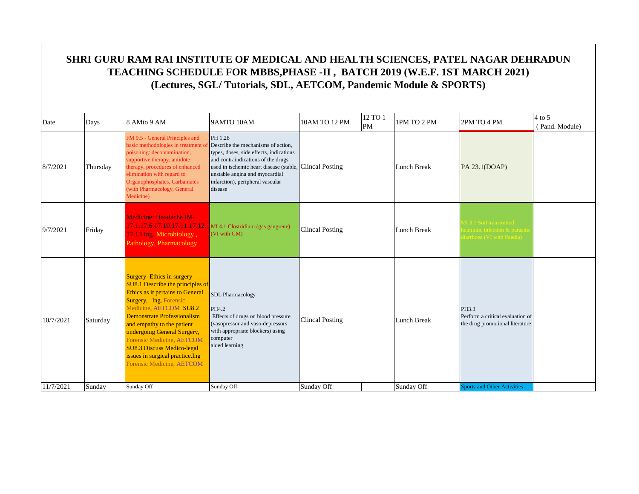| Date      | Days     | 8 AMto 9 AM                                                                                                                                                                                                                                                                                                                                                                                 | 9AMTO 10AM                                                                                                                                                                                                                                                                 | 10AM TO 12 PM          | 12 TO 1<br>PM | 1PM TO 2 PM        | 2PM TO 4 PM                                                                         | $4$ to 5<br>(Pand. Module) |
|-----------|----------|---------------------------------------------------------------------------------------------------------------------------------------------------------------------------------------------------------------------------------------------------------------------------------------------------------------------------------------------------------------------------------------------|----------------------------------------------------------------------------------------------------------------------------------------------------------------------------------------------------------------------------------------------------------------------------|------------------------|---------------|--------------------|-------------------------------------------------------------------------------------|----------------------------|
| 8/7/2021  | Thursday | FM 9.5 - General Principles and<br>basic methodologies in treatment of<br>poisoning: decontamination,<br>supportive therapy, antidote<br>therapy, procedures of enhanced<br>elimination with regard to<br>Organophosphates, Carbamates<br>(with Pharmacology, General<br>Medicine)                                                                                                          | PH 1.28<br>Describe the mechanisms of action.<br>types, doses, side effects, indications<br>and contraindications of the drugs<br>used in ischemic heart disease (stable, Clincal Posting<br>unstable angina and myocardial<br>infarction), peripheral vascular<br>disease |                        |               | <b>Lunch Break</b> | PA 23.1(DOAP)                                                                       |                            |
| 9/7/2021  | Friday   | <b>Medicine: Headache IM-</b><br>17.1.17.6.17.10.17.11.17.12.<br>17.13 Ing. Microbiology,<br>Pathology, Pharmacology                                                                                                                                                                                                                                                                        | MI 4.1 Clostridium (gas gangrene)<br>(VI with GM)                                                                                                                                                                                                                          | <b>Clincal Posting</b> |               | <b>Lunch Break</b> | 113.1 Soil transmitted<br>elmintic infection & parasit<br>iarrhoea (VI with Paedia) |                            |
| 10/7/2021 | Saturday | <b>Surgery-Ethics in surgery</b><br>SU8.1 Describe the principles of<br>Ethics as it pertains to General<br>Surgery, Ing. Forensic<br>Medicine, AETCOM SU8.2<br>Demonstrate Professionalism<br>and empathy to the patient<br>undergoing General Surgery,<br>Forensic Medicine, AETCOM<br><b>SU8.3 Discuss Medico-legal</b><br>issues in surgical practice. Ing<br>Forensic Medicine, AETCOM | <b>SDL</b> Pharmacology<br>PH4.2<br>Effects of drugs on blood pressure<br>(vasopressor and vaso-depressors<br>with appropriate blockers) using<br>computer<br>aided learning                                                                                               | <b>Clincal Posting</b> |               | Lunch Break        | PH3.3<br>Perform a critical evaluation of<br>the drug promotional literature        |                            |
| 11/7/2021 | Sunday   | Sunday Off                                                                                                                                                                                                                                                                                                                                                                                  | Sunday Off                                                                                                                                                                                                                                                                 | Sunday Off             |               | Sunday Off         | <b>Sports and Other Activities</b>                                                  |                            |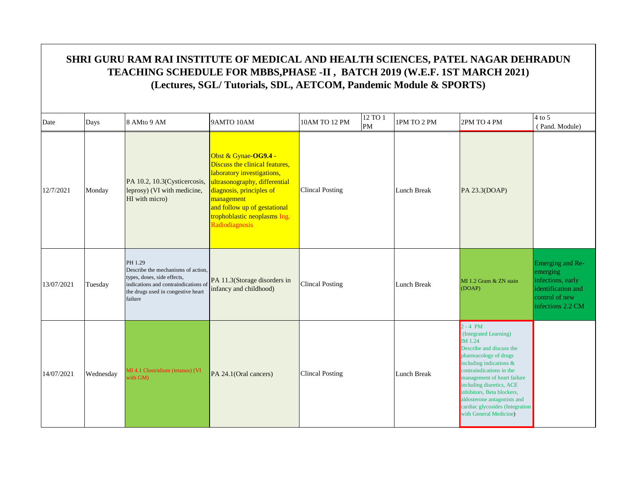| Date       | Days      | 8 AMto 9 AM                                                                                                                                                           | 9AMTO 10AM                                                                                                                                                                                                                                        | 10AM TO 12 PM          | 12 TO 1<br>PM | 1PM TO 2 PM        | 2PM TO 4 PM                                                                                                                                                                                                                                                                                                                                        | $4$ to $5$<br>(Pand. Module)                                                                                   |
|------------|-----------|-----------------------------------------------------------------------------------------------------------------------------------------------------------------------|---------------------------------------------------------------------------------------------------------------------------------------------------------------------------------------------------------------------------------------------------|------------------------|---------------|--------------------|----------------------------------------------------------------------------------------------------------------------------------------------------------------------------------------------------------------------------------------------------------------------------------------------------------------------------------------------------|----------------------------------------------------------------------------------------------------------------|
| 12/7/2021  | Monday    | PA 10.2, 10.3(Cysticercosis,<br>leprosy) (VI with medicine,<br>HI with micro)                                                                                         | Obst & Gynae-OG9.4 -<br>Discuss the clinical features,<br>laboratory investigations,<br>ultrasonography, differential<br>diagnosis, principles of<br>management<br>and follow up of gestational<br>trophoblastic neoplasms Ing.<br>Radiodiagnosis | <b>Clincal Posting</b> |               | Lunch Break        | PA 23.3(DOAP)                                                                                                                                                                                                                                                                                                                                      |                                                                                                                |
| 13/07/2021 | Tuesday   | PH 1.29<br>Describe the mechanisms of action.<br>types, doses, side effects,<br>indications and contraindications of<br>the drugs used in congestive heart<br>failure | PA 11.3(Storage disorders in<br>infancy and childhood)                                                                                                                                                                                            | <b>Clincal Posting</b> |               | <b>Lunch Break</b> | MI 1.2 Gram & ZN stain<br>(DOAP)                                                                                                                                                                                                                                                                                                                   | Emerging and Re-<br>emerging<br>infections, early<br>identification and<br>control of new<br>infections 2.2 CM |
| 14/07/2021 | Wednesday | MI 4.1 Clostridium (tetanus) (VI<br>with GM)                                                                                                                          | PA 24.1(Oral cancers)                                                                                                                                                                                                                             | <b>Clincal Posting</b> |               | Lunch Break        | $2 - 4$ PM<br>(Integrated Learning)<br>IM 1.24<br>Describe and discuss the<br>pharmacology of drugs<br>including indications $\&$<br>contraindications in the<br>management of heart failure<br>including diuretics, ACE<br>inhibitors, Beta blockers,<br>aldosterone antagonists and<br>cardiac glycosides (Integration<br>with General Medicine) |                                                                                                                |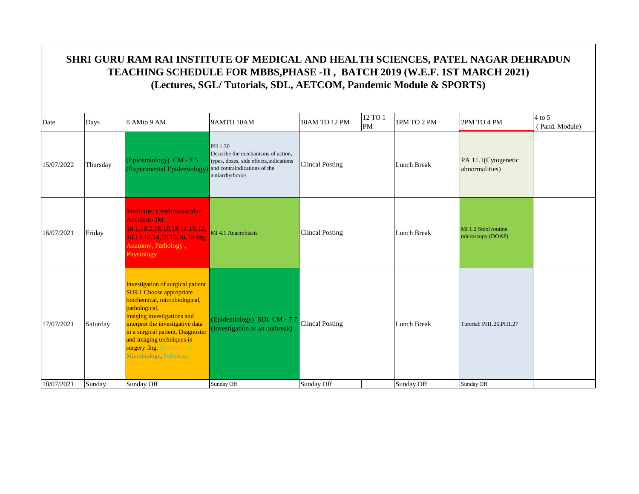| Date       | Days     | 8 AMto 9 AM                                                                                                                                                                                                                                                                                                         | 9AMTO 10AM                                                                                                                                  | 10AM TO 12 PM          | 12 TO 1<br>PM | 1PM TO 2 PM        | 2PM TO 4 PM                               | $4$ to 5<br>(Pand. Module) |
|------------|----------|---------------------------------------------------------------------------------------------------------------------------------------------------------------------------------------------------------------------------------------------------------------------------------------------------------------------|---------------------------------------------------------------------------------------------------------------------------------------------|------------------------|---------------|--------------------|-------------------------------------------|----------------------------|
| 15/07/2022 | Thursday | (Epidemiology) CM - 7.5<br>(Experimental Epidemiology                                                                                                                                                                                                                                                               | PH 1.30<br>Describe the mechanisms of action.<br>types, doses, side effects, indications<br>and contraindications of the<br>antiarrhythmics | <b>Clincal Posting</b> |               | <b>Lunch Break</b> | PA 11.1(Cytogenetic<br>abnormalities)     |                            |
| 16/07/2021 | Friday   | <b>Medicine: Cerebrovascular</b><br><b>Accident-IM</b><br>18.1, 18.2, 18.10, 18.11, 18.12,<br>18.13.18.14,18.15,18.16 Ing.<br>Anatomy, Pathology,<br>Physiology                                                                                                                                                     | MI 4.1 Anaerobiasis                                                                                                                         | <b>Clincal Posting</b> |               | <b>Lunch Break</b> | MI 1.2 Stool routine<br>microscopy (DOAP) |                            |
| 17/07/2021 | Saturday | Investigation of surgical patient<br><b>SU9.1 Choose appropriate</b><br>biochemical, microbiological,<br>pathological,<br>imaging investigations and<br>interpret the investigative data<br>in a surgical patient. Diagnostic<br>and imaging techniques in<br>surgery .Ing. Biochemistry,<br>Microbiology Pathology | (Epidemiology) SDL CM - 7.7<br>(Investigation of an outbreak)                                                                               | <b>Clincal Posting</b> |               | Lunch Break        | Tutorial: PH1.26.PH1.27                   |                            |
| 18/07/2021 | Sunday   | Sunday Off                                                                                                                                                                                                                                                                                                          | Sunday Off                                                                                                                                  | Sunday Off             |               | Sunday Off         | Sunday Off                                |                            |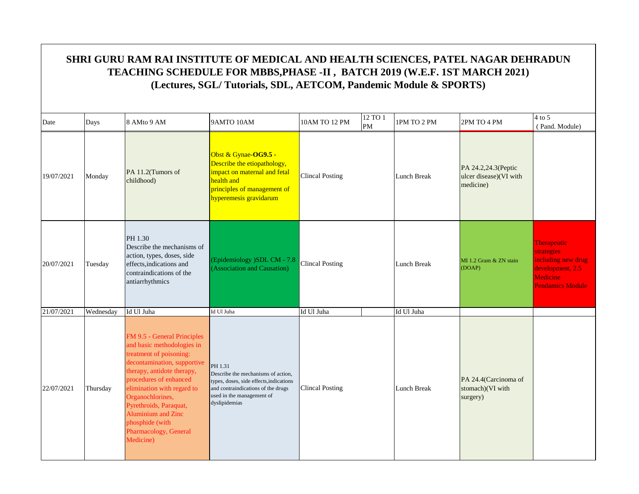| Date       | Days      | 8 AMto 9 AM                                                                                                                                                                                                                                                                                                                            | 9AMTO 10AM                                                                                                                                                                   | 10AM TO 12 PM          | 12 TO 1<br>PM | 1PM TO 2 PM        | 2PM TO 4 PM                                                | $4$ to 5<br>(Pand. Module)                                                                                 |
|------------|-----------|----------------------------------------------------------------------------------------------------------------------------------------------------------------------------------------------------------------------------------------------------------------------------------------------------------------------------------------|------------------------------------------------------------------------------------------------------------------------------------------------------------------------------|------------------------|---------------|--------------------|------------------------------------------------------------|------------------------------------------------------------------------------------------------------------|
| 19/07/2021 | Monday    | PA 11.2(Tumors of<br>childhood)                                                                                                                                                                                                                                                                                                        | Obst & Gynae-OG9.5 -<br>Describe the etiopathology,<br>impact on maternal and fetal<br>health and<br>principles of management of<br>hyperemesis gravidarum                   | <b>Clincal Posting</b> |               | Lunch Break        | PA 24.2,24.3(Peptic<br>ulcer disease)(VI with<br>medicine) |                                                                                                            |
| 20/07/2021 | Tuesday   | PH 1.30<br>Describe the mechanisms of<br>action, types, doses, side<br>effects, indications and<br>contraindications of the<br>antiarrhythmics                                                                                                                                                                                         | (Epidemiology )SDL CM - 7.8<br>(Association and Causation)                                                                                                                   | <b>Clincal Posting</b> |               | <b>Lunch Break</b> | MI 1.2 Gram & ZN stain<br>(DOAP)                           | Therapeutic<br>strategies<br>including new drug<br>development, 2.5<br>Medicine<br><b>Pendamics Module</b> |
| 21/07/2021 | Wednesday | Id Ul Juha                                                                                                                                                                                                                                                                                                                             | Id Ul Juha                                                                                                                                                                   | Id Ul Juha             |               | Id Ul Juha         |                                                            |                                                                                                            |
| 22/07/2021 | Thursday  | FM 9.5 - General Principles<br>and basic methodologies in<br>treatment of poisoning:<br>decontamination, supportive<br>therapy, antidote therapy,<br>procedures of enhanced<br>elimination with regard to<br>Organochlorines,<br>Pyrethroids, Paraquat,<br>Aluminium and Zinc<br>phosphide (with<br>Pharmacology, General<br>Medicine) | PH 1.31<br>Describe the mechanisms of action.<br>types, doses, side effects, indications<br>and contraindications of the drugs<br>used in the management of<br>dyslipidemias | <b>Clincal Posting</b> |               | <b>Lunch Break</b> | PA 24.4(Carcinoma of<br>stomach)(VI with<br>surgery)       |                                                                                                            |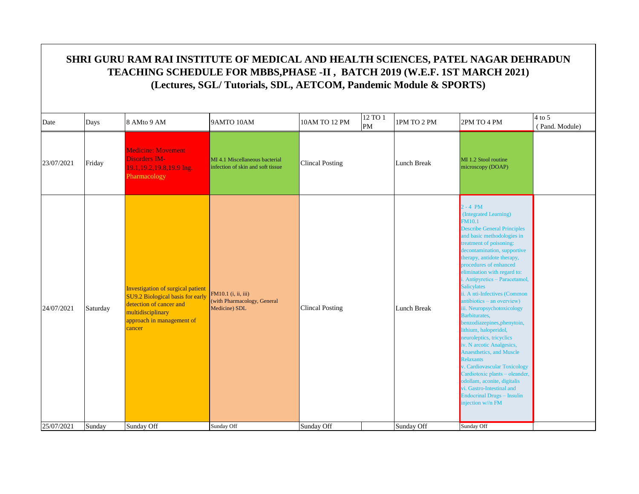|            | SHRI GURU RAM RAI INSTITUTE OF MEDICAL AND HEALTH SCIENCES, PATEL NAGAR DEHRADUN<br>TEACHING SCHEDULE FOR MBBS, PHASE -II, BATCH 2019 (W.E.F. 1ST MARCH 2021)<br>(Lectures, SGL/Tutorials, SDL, AETCOM, Pandemic Module & SPORTS) |                                                                                                                                                                     |                                                                     |                        |               |             |                                                                                                                                                                                                                                                                                                                                                                                                                                                                                                                                                                                                                                                                                                                                                                                                       |                            |  |  |  |
|------------|-----------------------------------------------------------------------------------------------------------------------------------------------------------------------------------------------------------------------------------|---------------------------------------------------------------------------------------------------------------------------------------------------------------------|---------------------------------------------------------------------|------------------------|---------------|-------------|-------------------------------------------------------------------------------------------------------------------------------------------------------------------------------------------------------------------------------------------------------------------------------------------------------------------------------------------------------------------------------------------------------------------------------------------------------------------------------------------------------------------------------------------------------------------------------------------------------------------------------------------------------------------------------------------------------------------------------------------------------------------------------------------------------|----------------------------|--|--|--|
| Date       | Days                                                                                                                                                                                                                              | 8 AMto 9 AM                                                                                                                                                         | 9AMTO 10AM                                                          | 10AM TO 12 PM          | 12 TO 1<br>PM | 1PM TO 2 PM | 2PM TO 4 PM                                                                                                                                                                                                                                                                                                                                                                                                                                                                                                                                                                                                                                                                                                                                                                                           | $4$ to 5<br>(Pand. Module) |  |  |  |
| 23/07/2021 | Friday                                                                                                                                                                                                                            | <b>Medicine: Movement</b><br>Disorders IM-<br>19.1, 19.2, 19.8, 19.9 Ing.<br>Pharmacology                                                                           | MI 4.1 Miscellaneous bacterial<br>infection of skin and soft tissue | <b>Clincal Posting</b> |               | Lunch Break | MI 1.2 Stool routine<br>microscopy (DOAP)                                                                                                                                                                                                                                                                                                                                                                                                                                                                                                                                                                                                                                                                                                                                                             |                            |  |  |  |
| 24/07/2021 | Saturday                                                                                                                                                                                                                          | <b>Investigation of surgical patient</b><br>SU9.2 Biological basis for early<br>detection of cancer and<br>multidisciplinary<br>approach in management of<br>cancer | FM10.1 (i, ii, iii)<br>(with Pharmacology, General<br>Medicine) SDL | <b>Clincal Posting</b> |               | Lunch Break | $2 - 4$ PM<br>(Integrated Learning)<br><b>FM10.1</b><br><b>Describe General Principles</b><br>and basic methodologies in<br>reatment of poisoning:<br>decontamination, supportive<br>therapy, antidote therapy,<br>procedures of enhanced<br>elimination with regard to:<br>i. Antipyretics - Paracetamol,<br><b>Salicylates</b><br>ii. A nti-Infectives (Common<br>antibiotics – an overview)<br>iii. Neuropsychotoxicology<br>Barbiturates,<br>benzodiazepines, phenytoin,<br>lithium, haloperidol,<br>neuroleptics, tricyclics<br>iv. N arcotic Analgesics,<br><b>Anaesthetics</b> , and Muscle<br>Relaxants<br>Cardiovascular Toxicology<br>Cardiotoxic plants - oleander,<br>odollam, aconite, digitalis<br>vi. Gastro-Intestinal and<br><b>Endocrinal Drugs - Insulin</b><br>njection $w/$ n FM |                            |  |  |  |
| 25/07/2021 | Sunday                                                                                                                                                                                                                            | Sunday Off                                                                                                                                                          | Sunday Off                                                          | Sunday Off             |               | Sunday Off  | Sunday Off                                                                                                                                                                                                                                                                                                                                                                                                                                                                                                                                                                                                                                                                                                                                                                                            |                            |  |  |  |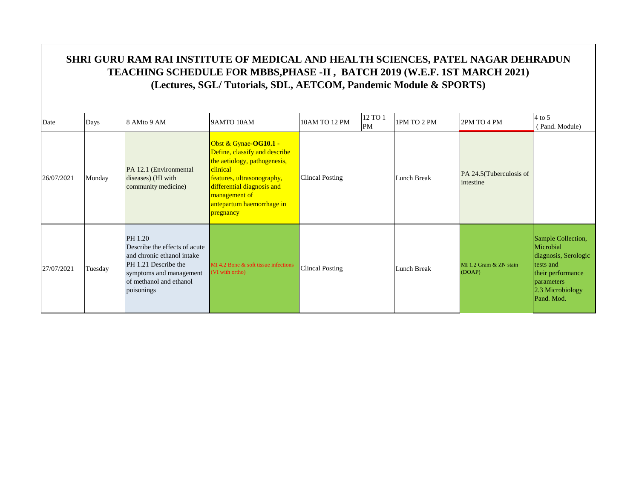| Date       | Days    | 8 AMto 9 AM                                                                                                                                                        | 9AMTO 10AM                                                                                                                                                                                                                | 10AM TO 12 PM          | 12 TO 1<br>PM | 1PM TO 2 PM | 2PM TO 4 PM                           | $4$ to 5<br>(Pand. Module)                                                                                                                         |
|------------|---------|--------------------------------------------------------------------------------------------------------------------------------------------------------------------|---------------------------------------------------------------------------------------------------------------------------------------------------------------------------------------------------------------------------|------------------------|---------------|-------------|---------------------------------------|----------------------------------------------------------------------------------------------------------------------------------------------------|
| 26/07/2021 | Monday  | PA 12.1 (Environmental<br>diseases) (HI with<br>community medicine)                                                                                                | Obst & Gynae-OG10.1 -<br>Define, classify and describe<br>the aetiology, pathogenesis,<br>clinical<br>features, ultrasonography,<br>differential diagnosis and<br>management of<br>antepartum haemorrhage in<br>pregnancy | <b>Clincal Posting</b> |               | Lunch Break | PA 24.5 (Tuberculosis of<br>intestine |                                                                                                                                                    |
| 27/07/2021 | Tuesday | PH 1.20<br>Describe the effects of acute<br>and chronic ethanol intake<br>PH 1.21 Describe the<br>symptoms and management<br>of methanol and ethanol<br>poisonings | MI 4.2 Bone & soft tissue infections<br>(VI with ortho)                                                                                                                                                                   | <b>Clincal Posting</b> |               | Lunch Break | MI 1.2 Gram & ZN stain<br>(DOAP)      | Sample Collection,<br>Microbial<br>diagnosis, Serologic<br>tests and<br>their performance<br><b>parameters</b><br>$2.3$ Microbiology<br>Pand. Mod. |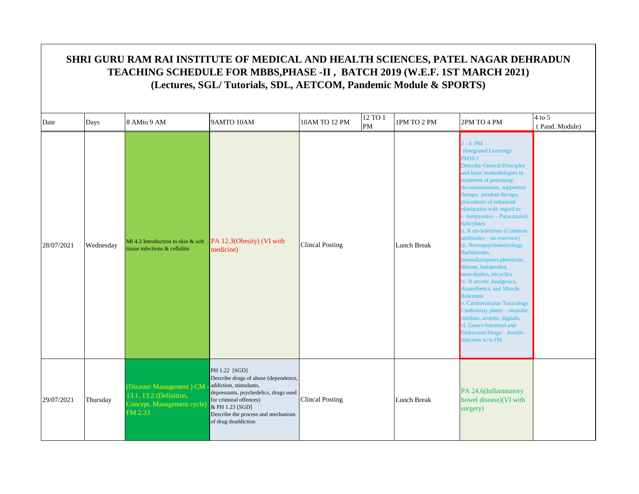| Date       | Days      | 8 AMto 9 AM                                                                                  | 9AMTO 10AM                                                                                                                                                                                                                         | 10AM TO 12 PM          | 12 TO 1<br>PM | 1PM TO 2 PM        | 2PM TO 4 PM                                                                                                                                                                                                                                                                                                                                                                                                                                                                                                                                                                                                                                                                                                                                                                                                    | $4$ to 5<br>(Pand. Module) |
|------------|-----------|----------------------------------------------------------------------------------------------|------------------------------------------------------------------------------------------------------------------------------------------------------------------------------------------------------------------------------------|------------------------|---------------|--------------------|----------------------------------------------------------------------------------------------------------------------------------------------------------------------------------------------------------------------------------------------------------------------------------------------------------------------------------------------------------------------------------------------------------------------------------------------------------------------------------------------------------------------------------------------------------------------------------------------------------------------------------------------------------------------------------------------------------------------------------------------------------------------------------------------------------------|----------------------------|
| 28/07/2021 | Wednesday | $MI$ 4.3 Introduction to skin & soft<br>tissue infections & cellulitis                       | PA 12.3(Obesity) (VI with<br>medicine)                                                                                                                                                                                             | <b>Clincal Posting</b> |               | Lunch Break        | $2 - 4 PM$<br>(Integrated Learning)<br><b>FM10.1</b><br><b>Describe General Principles</b><br>and basic methodologies in<br>reatment of poisoning:<br>econtamination, supportive<br>herapy, antidote therapy,<br>procedures of enhanced<br>elimination with regard to:<br>Antipyretics - Paracetamol,<br><b>Salicylates</b><br>ii. A nti-Infectives (Common<br>antibiotics – an overview)<br>iii. Neuropsychotoxicology<br><b>Barbiturates,</b><br>benzodiazepines, phenytoin,<br>lithium, haloperidol,<br>neuroleptics, tricyclics<br>iv. N arcotic Analgesics,<br><b>Anaesthetics</b> , and Muscle<br><b>Relaxants</b><br>. Cardiovascular Toxicology<br>Cardiotoxic plants - oleander,<br>odollam, aconite, digitalis<br>vi. Gastro-Intestinal and<br><b>Endocrinal Drugs - Insulin</b><br>njection w//n FM |                            |
| 29/07/2021 | Thursday  | (Disaster Management) CM<br>13.1, 13.2 (Definition,<br>Concept, Management cycle)<br>FM 2.33 | PH 1.22 [SGD]<br>Describe drugs of abuse (dependence,<br>addiction, stimulants,<br>depressants, psychedelics, drugs used<br>for criminal offences)<br>& PH 1.23 [SGD]<br>Describe the process and mechanism<br>of drug deaddiction | <b>Clincal Posting</b> |               | <b>Lunch Break</b> | PA 24.6(Inflammatory<br>bowel disease)(VI with<br>surgery)                                                                                                                                                                                                                                                                                                                                                                                                                                                                                                                                                                                                                                                                                                                                                     |                            |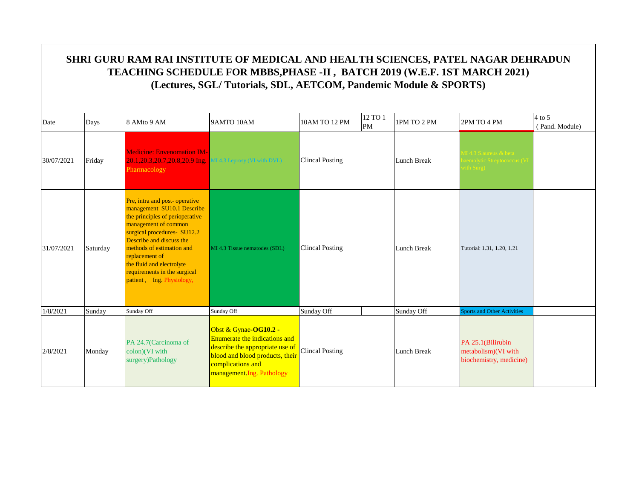| Date       | Days     | 8 AMto 9 AM                                                                                                                                                                                                                                                                                                                | 9AMTO 10AM                                                                                                                                                                             | 10AM TO 12 PM          | 12 TO 1<br>PM | 1PM TO 2 PM        | 2PM TO 4 PM                                                                  | $4$ to 5<br>(Pand. Module) |
|------------|----------|----------------------------------------------------------------------------------------------------------------------------------------------------------------------------------------------------------------------------------------------------------------------------------------------------------------------------|----------------------------------------------------------------------------------------------------------------------------------------------------------------------------------------|------------------------|---------------|--------------------|------------------------------------------------------------------------------|----------------------------|
| 30/07/2021 | Friday   | <b>Medicine: Envenomation IM-</b><br>20.1, 20.3, 20.7, 20.8, 20.9 Ing.<br>Pharmacology                                                                                                                                                                                                                                     | <b>II 4.3 Leprosy (VI with DVL)</b>                                                                                                                                                    | <b>Clincal Posting</b> |               | Lunch Break        | $\overline{1}$ 4.3 S. aureus & beta<br>emolytic Streptococcus (V<br>th Surg) |                            |
| 31/07/2021 | Saturday | Pre, intra and post-operative<br>management SU10.1 Describe<br>the principles of perioperative<br>management of common<br>surgical procedures- SU12.2<br>Describe and discuss the<br>methods of estimation and<br>replacement of<br>the fluid and electrolyte<br>requirements in the surgical<br>patient, Ing. Physiology, | MI 4.3 Tissue nematodes (SDL)                                                                                                                                                          | <b>Clincal Posting</b> |               | <b>Lunch Break</b> | Tutorial: 1.31, 1.20, 1.21                                                   |                            |
| 1/8/2021   | Sunday   | Sunday Off                                                                                                                                                                                                                                                                                                                 | Sunday Off                                                                                                                                                                             | Sunday Off             |               | Sunday Off         | <b>Sports and Other Activities</b>                                           |                            |
| 2/8/2021   | Monday   | PA 24.7(Carcinoma of<br>colon)(VI with<br>surgery)Pathology                                                                                                                                                                                                                                                                | Obst & Gynae-OG10.2 -<br><b>Enumerate the indications and</b><br>describe the appropriate use of<br>blood and blood products, their<br>complications and<br>management. Ing. Pathology | <b>Clincal Posting</b> |               | Lunch Break        | PA 25.1(Bilirubin<br>metabolism)(VI with<br>biochemistry, medicine)          |                            |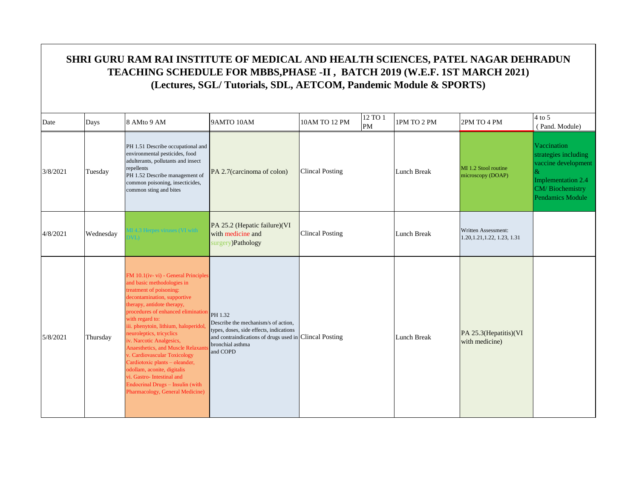|          | SHRI GURU RAM RAI INSTITUTE OF MEDICAL AND HEALTH SCIENCES, PATEL NAGAR DEHRADUN<br>TEACHING SCHEDULE FOR MBBS, PHASE -II, BATCH 2019 (W.E.F. 1ST MARCH 2021)<br>(Lectures, SGL/Tutorials, SDL, AETCOM, Pandemic Module & SPORTS) |                                                                                                                                                                                                                                                                                                                                                                                                                                                                                                                                                               |                                                                                                                                                                                     |                        |               |                    |                                                     |                                                                                                                         |  |  |  |
|----------|-----------------------------------------------------------------------------------------------------------------------------------------------------------------------------------------------------------------------------------|---------------------------------------------------------------------------------------------------------------------------------------------------------------------------------------------------------------------------------------------------------------------------------------------------------------------------------------------------------------------------------------------------------------------------------------------------------------------------------------------------------------------------------------------------------------|-------------------------------------------------------------------------------------------------------------------------------------------------------------------------------------|------------------------|---------------|--------------------|-----------------------------------------------------|-------------------------------------------------------------------------------------------------------------------------|--|--|--|
| Date     | Days                                                                                                                                                                                                                              | 8 AMto 9 AM                                                                                                                                                                                                                                                                                                                                                                                                                                                                                                                                                   | 9AMTO 10AM                                                                                                                                                                          | 10AM TO 12 PM          | 12 TO 1<br>PM | 1PM TO 2 PM        | 2PM TO 4 PM                                         | $4$ to 5<br>(Pand. Module)                                                                                              |  |  |  |
| 3/8/2021 | Tuesday                                                                                                                                                                                                                           | PH 1.51 Describe occupational and<br>environmental pesticides, food<br>adulterants, pollutants and insect<br>repellents<br>PH 1.52 Describe management of<br>common poisoning, insecticides,<br>common sting and bites                                                                                                                                                                                                                                                                                                                                        | PA 2.7(carcinoma of colon)                                                                                                                                                          | <b>Clincal Posting</b> |               | <b>Lunch Break</b> | MI 1.2 Stool routine<br>microscopy (DOAP)           | Vaccination<br>strategies including<br>vaccine development<br>Implementation 2.4<br>CM/Biochemistry<br>Pendamics Module |  |  |  |
| 4/8/2021 | Wednesday                                                                                                                                                                                                                         | Herpes viruses (VL with                                                                                                                                                                                                                                                                                                                                                                                                                                                                                                                                       | PA 25.2 (Hepatic failure)(VI<br>with medicine and<br>surgery)Pathology                                                                                                              | <b>Clincal Posting</b> |               | Lunch Break        | Written Assessment:<br>1.20, 1.21, 1.22, 1.23, 1.31 |                                                                                                                         |  |  |  |
| 5/8/2021 | Thursday                                                                                                                                                                                                                          | FM 10.1(iv-vi) - General Principles<br>and basic methodologies in<br>treatment of poisoning:<br>decontamination, supportive<br>therapy, antidote therapy,<br>procedures of enhanced elimination<br>with regard to:<br>iii. phenytoin, lithium, haloperidol,<br>neuroleptics, tricyclics<br>iv. Narcotic Analgesics,<br>Anaesthetics, and Muscle Relaxant<br>v. Cardiovascular Toxicology<br>Cardiotoxic plants - oleander,<br>odollam, aconite, digitalis<br>vi. Gastro-Intestinal and<br>Endocrinal Drugs - Insulin (with<br>Pharmacology, General Medicine) | PH 1.32<br>Describe the mechanism/s of action.<br>types, doses, side effects, indications<br>and contraindications of drugs used in Clincal Posting<br>bronchial asthma<br>and COPD |                        |               | <b>Lunch Break</b> | PA 25.3(Hepatitis)(VI<br>with medicine)             |                                                                                                                         |  |  |  |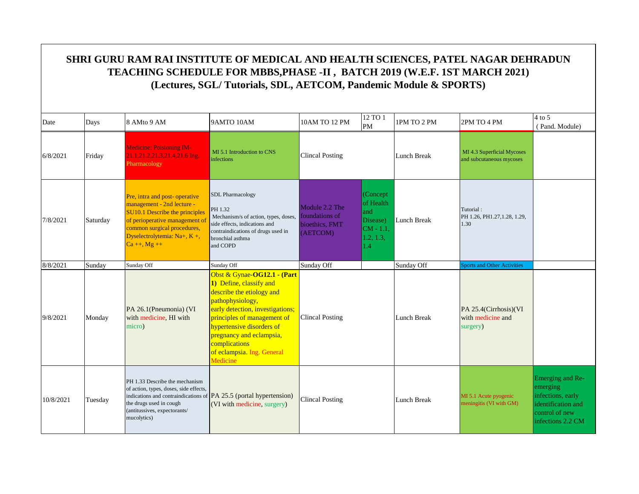#### Date  $\begin{array}{|c|c|c|c|c|c|}\n\hline\n\text{Days} & \text{8 AMto 9 AM} & \text{9AMTO 10AM} & \text{10AM TO 12 PM} & \text{12 TO 1} \\
\hline\n\end{array}$  $\begin{array}{|l|c|c|c|c|}\n 12\, \text{TO 1} & \text{IPM TO 2 PM} & \text{2PM TO 4 PM} & \text{QP} & \text{QP} \\
 \hline\n \text{PM} & & & \text{QP} & \text{QP} & \text{QP} \\
 \end{array}$  ( Pand. Module) **SHRI GURU RAM RAI INSTITUTE OF MEDICAL AND HEALTH SCIENCES, PATEL NAGAR DEHRADUN TEACHING SCHEDULE FOR MBBS,PHASE -II , BATCH 2019 (W.E.F. 1ST MARCH 2021) (Lectures, SGL/ Tutorials, SDL, AETCOM, Pandemic Module & SPORTS)** 6/8/2021 Friday Medicine: Poisioning IM-21.1,21.2,21.3,21.4,21.6 Ing. Pharmacology MI 5.1 Introduction to CNS MI 5.1 Introduction to CNS<br>
Clincal Posting<br>
Clincal And Subcutaneous mycoses and subcutaneous mycoses 7/8/2021 Saturday Pre, intra and post- operative management - 2nd lecture - SU10.1 Describe the principles of perioperative management of common surgical procedures, Dyselectrolytemia: Na+, K +,  $Ca + 1, Mg + 1$ SDL Pharmacology PH 1.32 Mechanism/s of action, types, doses, side effects, indications and contraindications of drugs used in bronchial asthma and COPD Module 2.2 The foundations of bioethics, FMT (AETCOM) (Concept of Health and Disease) CM - 1.1,  $1.2, 1.3,$ 1.4 Lunch Break Tutorial : PH 1.26, PH1.27,1.28, 1.29, 1.30 8/8/2021 Sunday Sunday Sunday Off Sunday Off Sunday Off Sunday Off Sports and Other Activities 9/8/2021 Monday PA 26.1(Pneumonia) (VI with medicine, HI with micro) Obst & Gynae-**OG12.1 - (Part 1)** Define, classify and describe the etiology and pathophysiology, early detection, investigations; principles of management of hypertensive disorders of pregnancy and eclampsia, complications of eclampsia. Ing. General Medicine Lunch Break PA 25.4(Cirrhosis)(VI with medicine and surgery) 10/8/2021 Tuesday PH 1.33 Describe the mechanism of action, types, doses, side effects, indications and contraindications of  $\overline{PA}$  25.5 (portal hypertension) the drugs used in cough (antitussives, expectorants/ mucolytics) (VI with medicine, surgery) Lunch Break MI 5.1 Acute pyogenic meningitis (VI with GM) Emerging and Reemerging infections, early identification and control of new infections 2.2 CM Clincal Posting Clincal Posting Clincal Posting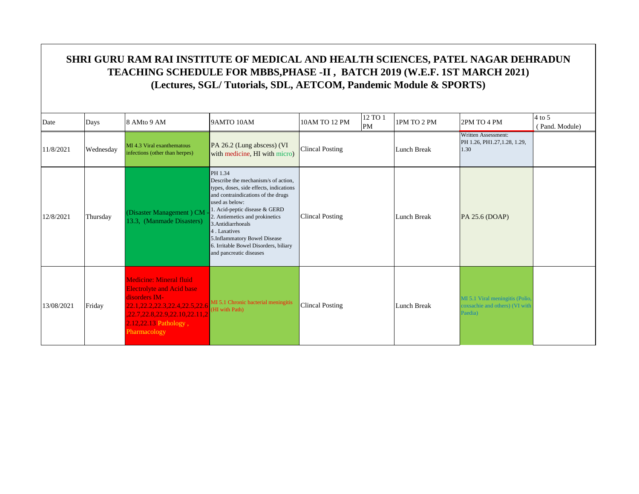| Date       | Days      | 8 AMto 9 AM                                                                                                                                                                                        | 9AMTO 10AM                                                                                                                                                                                                                                                                                                                                                     | 10AM TO 12 PM          | 12 TO 1<br>PM | 1PM TO 2 PM | 2PM TO 4 PM                                                                 | $4$ to 5<br>(Pand. Module) |
|------------|-----------|----------------------------------------------------------------------------------------------------------------------------------------------------------------------------------------------------|----------------------------------------------------------------------------------------------------------------------------------------------------------------------------------------------------------------------------------------------------------------------------------------------------------------------------------------------------------------|------------------------|---------------|-------------|-----------------------------------------------------------------------------|----------------------------|
| 11/8/2021  | Wednesday | MI 4.3 Viral exanthematous<br>infections (other than herpes)                                                                                                                                       | PA 26.2 (Lung abscess) (VI<br>with medicine, HI with micro)                                                                                                                                                                                                                                                                                                    | Clincal Posting        |               | Lunch Break | Written Assessment:<br>PH 1.26, PH1.27, 1.28, 1.29,<br>1.30                 |                            |
| 12/8/2021  | Thursday  | (Disaster Management) CM<br>13.3, (Manmade Disasters)                                                                                                                                              | PH 1.34<br>Describe the mechanism/s of action.<br>types, doses, side effects, indications<br>and contraindications of the drugs<br>used as below:<br>1. Acid-peptic disease & GERD<br>2. Antiemetics and prokinetics<br>3. Antidiarrhoeals<br>4. Laxatives<br>5.Inflammatory Bowel Disease<br>6. Irritable Bowel Disorders, biliary<br>and pancreatic diseases | Clincal Posting        |               | Lunch Break | PA 25.6 (DOAP)                                                              |                            |
| 13/08/2021 | Friday    | <b>Medicine: Mineral fluid</b><br><b>Electrolyte and Acid base</b><br>disorders IM-<br>22.1, 22.2, 22.3, 22.4, 22.5, 22.6<br>22.7.22.8.22.9.22.10.22.11.2<br>2.12,22.13 Pathology,<br>Pharmacology | MI 5.1 Chronic bacterial meningitis<br>(HI with Path)                                                                                                                                                                                                                                                                                                          | <b>Clincal Posting</b> |               | Lunch Break | MI 5.1 Viral meningitis (Polio<br>coxsachie and others) (VI with<br>Paedia) |                            |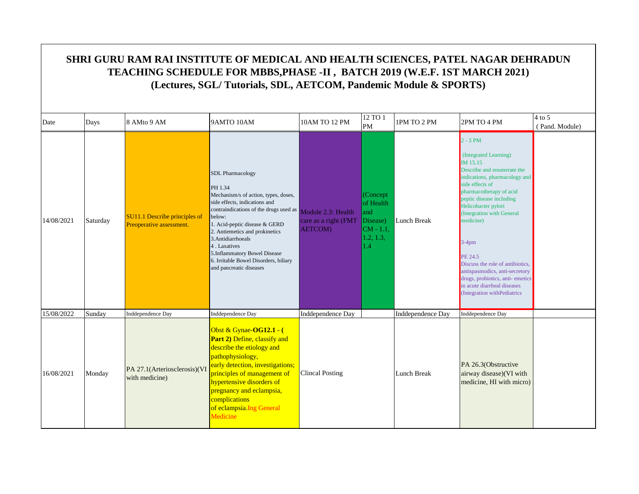| Date       | Days     | 8 AMto 9 AM                                               | 9AMTO 10AM                                                                                                                                                                                                                                                                                                                                                                                      | 10AM TO 12 PM                           | 12 TO 1<br>PM                                                                 | 1PM TO 2 PM       | 2PM TO 4 PM                                                                                                                                                                                                                                                                                                                                                                                                                                                    | $4$ to 5<br>(Pand. Module) |
|------------|----------|-----------------------------------------------------------|-------------------------------------------------------------------------------------------------------------------------------------------------------------------------------------------------------------------------------------------------------------------------------------------------------------------------------------------------------------------------------------------------|-----------------------------------------|-------------------------------------------------------------------------------|-------------------|----------------------------------------------------------------------------------------------------------------------------------------------------------------------------------------------------------------------------------------------------------------------------------------------------------------------------------------------------------------------------------------------------------------------------------------------------------------|----------------------------|
| 14/08/2021 | Saturday | SU11.1 Describe principles of<br>Preoperative assessment. | <b>SDL Pharmacology</b><br>PH 1.34<br>Mechanism/s of action, types, doses,<br>side effects, indications and<br>contraindications of the drugs used as Module 2.3: Health<br>below:<br>1. Acid-peptic disease & GERD<br>2. Antiemetics and prokinetics<br>3. Antidiarrhoeals<br>4. Laxatives<br>5.Inflammatory Bowel Disease<br>6. Irritable Bowel Disorders, biliary<br>and pancreatic diseases | care as a right (FMT<br><b>AETCOM</b> ) | (Concept)<br>of Health<br>and<br>Disease)<br>$CM - 1.1$ ,<br>1.2, 1.3,<br>1.4 | Lunch Break       | $2 - 3 PM$<br>(Integrated Learning)<br>IM 15.15<br>Describe and enumerate the<br>indications, pharmacology and<br>side effects of<br>pharmacotherapy of acid<br>peptic disease including<br>Helicobacter pylori<br>(Integration with General<br>medicine)<br>$3-4$ pm<br><b>PE 24.5</b><br>Discuss the role of antibiotics.<br>antispasmodics, anti-secretory<br>drugs, probiotics, anti-emetics<br>in acute diarrheal diseases<br>(Integration withPediatrics |                            |
| 15/08/2022 | Sunday   | Inddependence Day                                         | Inddependence Day                                                                                                                                                                                                                                                                                                                                                                               | Inddependence Day                       |                                                                               | Inddependence Day | Inddependence Day                                                                                                                                                                                                                                                                                                                                                                                                                                              |                            |
| 16/08/2021 | Monday   | PA 27.1(Arteriosclerosis)(V)<br>with medicine)            | Obst & Gynae-OG12.1 - (<br>Part 2) Define, classify and<br>describe the etiology and<br>pathophysiology,<br>early detection, investigations;<br>principles of management of<br>hypertensive disorders of<br>pregnancy and eclampsia,<br>complications<br>of eclampsia. Ing General<br>Medicine                                                                                                  | <b>Clincal Posting</b>                  |                                                                               | Lunch Break       | PA 26.3(Obstructive<br>airway disease)(VI with<br>medicine, HI with micro)                                                                                                                                                                                                                                                                                                                                                                                     |                            |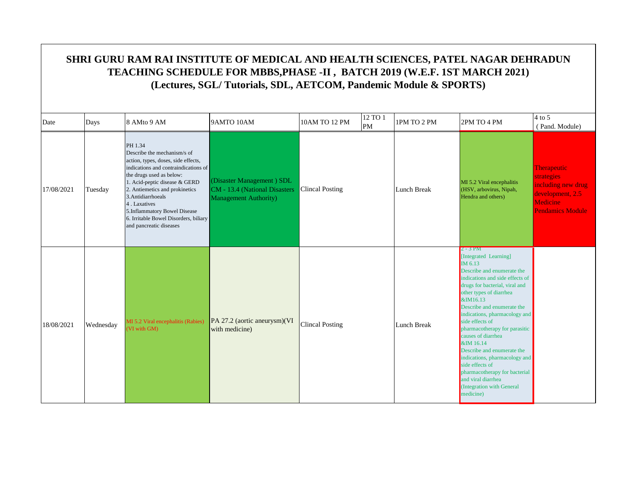|            | SHRI GURU RAM RAI INSTITUTE OF MEDICAL AND HEALTH SCIENCES, PATEL NAGAR DEHRADUN<br>TEACHING SCHEDULE FOR MBBS, PHASE -II, BATCH 2019 (W.E.F. 1ST MARCH 2021)<br>(Lectures, SGL/Tutorials, SDL, AETCOM, Pandemic Module & SPORTS) |                                                                                                                                                                                                                                                                                                                                                                |                                                                                             |                        |                      |             |                                                                                                                                                                                                                                                                                                                                                                                                                                                                                                                                   |                                                                                                                   |  |  |  |
|------------|-----------------------------------------------------------------------------------------------------------------------------------------------------------------------------------------------------------------------------------|----------------------------------------------------------------------------------------------------------------------------------------------------------------------------------------------------------------------------------------------------------------------------------------------------------------------------------------------------------------|---------------------------------------------------------------------------------------------|------------------------|----------------------|-------------|-----------------------------------------------------------------------------------------------------------------------------------------------------------------------------------------------------------------------------------------------------------------------------------------------------------------------------------------------------------------------------------------------------------------------------------------------------------------------------------------------------------------------------------|-------------------------------------------------------------------------------------------------------------------|--|--|--|
| Date       | Days                                                                                                                                                                                                                              | 8 AMto 9 AM                                                                                                                                                                                                                                                                                                                                                    | 9AMTO 10AM                                                                                  | 10AM TO 12 PM          | 12 TO 1<br><b>PM</b> | 1PM TO 2 PM | 2PM TO 4 PM                                                                                                                                                                                                                                                                                                                                                                                                                                                                                                                       | $4$ to 5<br>(Pand. Module)                                                                                        |  |  |  |
| 17/08/2021 | Tuesday                                                                                                                                                                                                                           | PH 1.34<br>Describe the mechanism/s of<br>action, types, doses, side effects,<br>indications and contraindications of<br>the drugs used as below:<br>1. Acid-peptic disease & GERD<br>2. Antiemetics and prokinetics<br>3. Antidiarrhoeals<br>4. Laxatives<br>5.Inflammatory Bowel Disease<br>6. Irritable Bowel Disorders, biliary<br>and pancreatic diseases | (Disaster Management) SDL<br>CM - 13.4 (National Disasters<br><b>Management Authority</b> ) | <b>Clincal Posting</b> |                      | Lunch Break | MI 5.2 Viral encephalitis<br>(HSV, arbovirus, Nipah,<br>Hendra and others)                                                                                                                                                                                                                                                                                                                                                                                                                                                        | <b>Therapeutic</b><br>strategies<br>including new drug<br>development, 2.5<br>Medicine<br><b>Pendamics Module</b> |  |  |  |
| 18/08/2021 | Wednesday                                                                                                                                                                                                                         | MI 5.2 Viral encephalitis (Rabies)<br>VI with GM)                                                                                                                                                                                                                                                                                                              | PA 27.2 (aortic aneurysm)(VI<br>with medicine)                                              | <b>Clincal Posting</b> |                      | Lunch Break | $2 - 3$ PM<br>[Integrated Learning]<br>IM 6.13<br>Describe and enumerate the<br>indications and side effects of<br>drugs for bacterial, viral and<br>other types of diarrhea<br>&IM16.13<br>Describe and enumerate the<br>indications, pharmacology and<br>side effects of<br>pharmacotherapy for parasitic<br>causes of diarrhea<br>&IM 16.14<br>Describe and enumerate the<br>indications, pharmacology and<br>side effects of<br>pharmacotherapy for bacterial<br>and viral diarrhea<br>(Integration with General<br>medicine) |                                                                                                                   |  |  |  |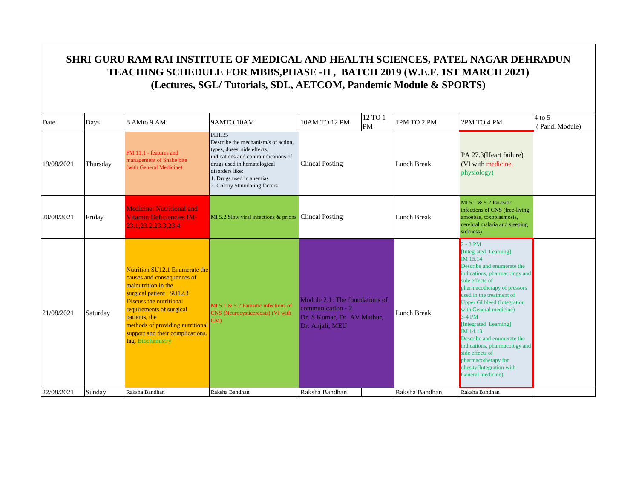| Date       | Days     | 8 AMto 9 AM                                                                                                                                                                                                                                                                         | 9AMTO 10AM                                                                                                                                                                                                                          | 10AM TO 12 PM                                                                                                  | 12 TO 1<br>PM | 1PM TO 2 PM        | 2PM TO 4 PM                                                                                                                                                                                                                                                                                                                                                                                                                                                      | $4$ to 5<br>(Pand. Module) |
|------------|----------|-------------------------------------------------------------------------------------------------------------------------------------------------------------------------------------------------------------------------------------------------------------------------------------|-------------------------------------------------------------------------------------------------------------------------------------------------------------------------------------------------------------------------------------|----------------------------------------------------------------------------------------------------------------|---------------|--------------------|------------------------------------------------------------------------------------------------------------------------------------------------------------------------------------------------------------------------------------------------------------------------------------------------------------------------------------------------------------------------------------------------------------------------------------------------------------------|----------------------------|
| 19/08/2021 | Thursday | FM 11.1 - features and<br>management of Snake bite<br>(with General Medicine)                                                                                                                                                                                                       | PH1.35<br>Describe the mechanism/s of action.<br>types, doses, side effects,<br>indications and contraindications of<br>drugs used in hematological<br>disorders like:<br>1. Drugs used in anemias<br>2. Colony Stimulating factors | <b>Clincal Posting</b>                                                                                         |               | <b>Lunch Break</b> | PA 27.3(Heart failure)<br>(VI with medicine,<br>physiology)                                                                                                                                                                                                                                                                                                                                                                                                      |                            |
| 20/08/2021 | Friday   | <b>Medicine: Nutritional and</b><br><b>Vitamin Deficiencies IM-</b><br>23.1.23.2.23.3.23.4                                                                                                                                                                                          | MI 5.2 Slow viral infections & prions Clincal Posting                                                                                                                                                                               |                                                                                                                |               | <b>Lunch Break</b> | MI 5.1 & 5.2 Parasitic<br>infections of CNS (free-living<br>amoebae, toxoplasmosis,<br>cerebral malaria and sleeping<br>sickness)                                                                                                                                                                                                                                                                                                                                |                            |
| 21/08/2021 | Saturday | Nutrition SU12.1 Enumerate the<br>causes and consequences of<br>malnutrition in the<br>surgical patient SU12.3<br>Discuss the nutritional<br>requirements of surgical<br>patients, the<br>methods of providing nutritional<br>support and their complications.<br>Ing. Biochemistry | MI 5.1 $\&$ 5.2 Parasitic infections of<br>CNS (Neurocysticercosis) (VI with<br>GM)                                                                                                                                                 | Module 2.1: The foundations of<br>$\alpha$ communication - 2<br>Dr. S.Kumar, Dr. AV Mathur,<br>Dr. Anjali, MEU |               | Lunch Break        | $2 - 3 PM$<br>[Integrated Learning]<br>IM 15.14<br>Describe and enumerate the<br>indications, pharmacology and<br>side effects of<br>pharmacotherapy of pressors<br>used in the treatment of<br>Upper GI bleed (Integration<br>with General medicine)<br>$3-4$ PM<br>[Integrated Learning]<br>IM 14.13<br>Describe and enumerate the<br>indications, pharmacology and<br>side effects of<br>pharmacotherapy for<br>obesity(Integration with<br>General medicine) |                            |
| 22/08/2021 | Sunday   | Raksha Bandhan                                                                                                                                                                                                                                                                      | Raksha Bandhan                                                                                                                                                                                                                      | Raksha Bandhan                                                                                                 |               | Raksha Bandhan     | Raksha Bandhan                                                                                                                                                                                                                                                                                                                                                                                                                                                   |                            |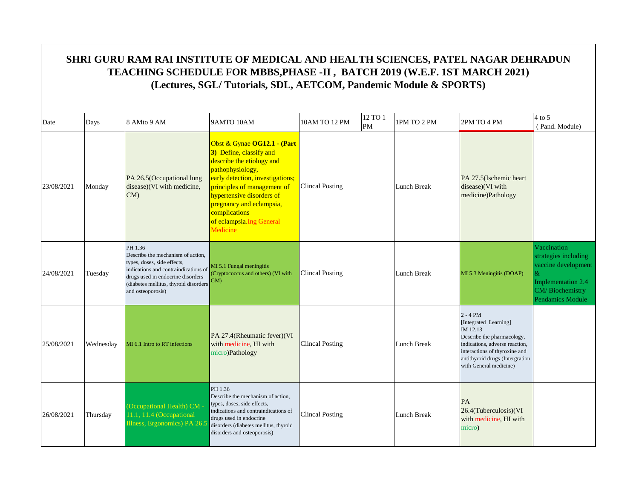| Date       | Days      | 8 AMto 9 AM                                                                                                                                                                                                            | 9AMTO 10AM                                                                                                                                                                                                                                                                                    | 10AM TO 12 PM          | 12 TO 1<br><b>PM</b> | 1PM TO 2 PM        | 2PM TO 4 PM                                                                                                                                                                                                   | $4$ to 5<br>(Pand. Module)                                                                                                   |
|------------|-----------|------------------------------------------------------------------------------------------------------------------------------------------------------------------------------------------------------------------------|-----------------------------------------------------------------------------------------------------------------------------------------------------------------------------------------------------------------------------------------------------------------------------------------------|------------------------|----------------------|--------------------|---------------------------------------------------------------------------------------------------------------------------------------------------------------------------------------------------------------|------------------------------------------------------------------------------------------------------------------------------|
| 23/08/2021 | Monday    | PA 26.5(Occupational lung<br>disease)(VI with medicine,<br>CM                                                                                                                                                          | Obst & Gynae OG12.1 - (Part<br>3) Define, classify and<br>describe the etiology and<br>pathophysiology,<br>early detection, investigations;<br>principles of management of<br>hypertensive disorders of<br>pregnancy and eclampsia,<br>complications<br>of eclampsia. Ing General<br>Medicine | <b>Clincal Posting</b> |                      | <b>Lunch Break</b> | PA 27.5(Ischemic heart<br>disease)(VI with<br>medicine)Pathology                                                                                                                                              |                                                                                                                              |
| 24/08/2021 | Tuesday   | PH 1.36<br>Describe the mechanism of action.<br>types, doses, side effects,<br>indications and contraindications of<br>drugs used in endocrine disorders<br>(diabetes mellitus, thyroid disorders<br>and osteoporosis) | MI 5.1 Fungal meningitis<br>(Cryptococcus and others) (VI with<br>GM)                                                                                                                                                                                                                         | <b>Clincal Posting</b> |                      | Lunch Break        | MI 5.3 Meningitis (DOAP)                                                                                                                                                                                      | Vaccination<br>strategies including<br>vaccine development<br>&<br>Implementation 2.4<br>CM/Biochemistry<br>Pendamics Module |
| 25/08/2021 | Wednesday | MI 6.1 Intro to RT infections                                                                                                                                                                                          | PA 27.4(Rheumatic fever)(VI<br>with medicine, HI with<br>micro)Pathology                                                                                                                                                                                                                      | <b>Clincal Posting</b> |                      | <b>Lunch Break</b> | $2 - 4 PM$<br>[Integrated Learning]<br>IM 12.13<br>Describe the pharmacology,<br>indications, adverse reaction,<br>interactions of thyroxine and<br>antithyroid drugs (Intergration<br>with General medicine) |                                                                                                                              |
| 26/08/2021 | Thursday  | (Occupational Health) CM .<br>11.1, 11.4 (Occupational<br>Illness, Ergonomics) PA 26.                                                                                                                                  | PH 1.36<br>Describe the mechanism of action.<br>types, doses, side effects,<br>indications and contraindications of<br>drugs used in endocrine<br>disorders (diabetes mellitus, thyroid<br>disorders and osteoporosis)                                                                        | Clincal Posting        |                      | Lunch Break        | PA<br>26.4(Tuberculosis)(VI<br>with medicine, HI with<br>micro)                                                                                                                                               |                                                                                                                              |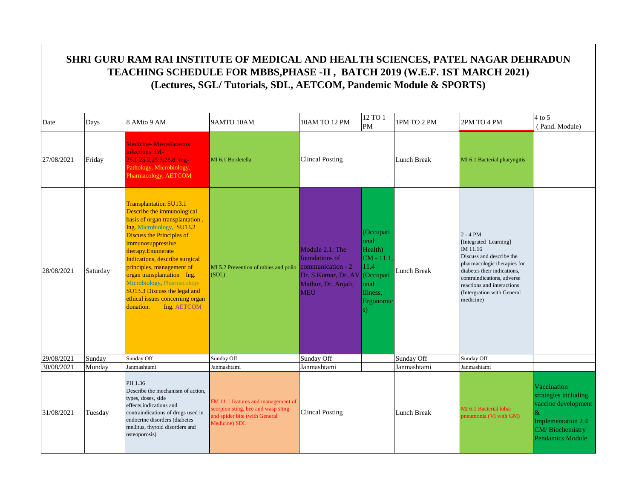|            | SHRI GURU RAM RAI INSTITUTE OF MEDICAL AND HEALTH SCIENCES, PATEL NAGAR DEHRADUN<br>TEACHING SCHEDULE FOR MBBS, PHASE -II, BATCH 2019 (W.E.F. 1ST MARCH 2021)<br>(Lectures, SGL/Tutorials, SDL, AETCOM, Pandemic Module & SPORTS) |                                                                                                                                                                                                                                                                                                                                                                                                                                     |                                                                                                                            |                                                                                               |                                                                                                         |             |                                                                                                                                                                                                                                                  |                                                                                                                                |  |  |  |
|------------|-----------------------------------------------------------------------------------------------------------------------------------------------------------------------------------------------------------------------------------|-------------------------------------------------------------------------------------------------------------------------------------------------------------------------------------------------------------------------------------------------------------------------------------------------------------------------------------------------------------------------------------------------------------------------------------|----------------------------------------------------------------------------------------------------------------------------|-----------------------------------------------------------------------------------------------|---------------------------------------------------------------------------------------------------------|-------------|--------------------------------------------------------------------------------------------------------------------------------------------------------------------------------------------------------------------------------------------------|--------------------------------------------------------------------------------------------------------------------------------|--|--|--|
| Date       | Days                                                                                                                                                                                                                              | 8 AMto 9 AM                                                                                                                                                                                                                                                                                                                                                                                                                         | 9AMTO 10AM                                                                                                                 | 10AM TO 12 PM                                                                                 | 12 TO 1<br><b>PM</b>                                                                                    | 1PM TO 2 PM | 2PM TO 4 PM                                                                                                                                                                                                                                      | $4$ to 5<br>(Pand. Module)                                                                                                     |  |  |  |
| 27/08/2021 | Friday                                                                                                                                                                                                                            | <b>Medicine- Miscellaneous</b><br>infections IM-<br>25.1, 25.2, 25.3, 25.8 Ing-<br>Pathology, Microbiology,<br>Pharmacology, AETCOM                                                                                                                                                                                                                                                                                                 | MI 6.1 Bordetella                                                                                                          | <b>Clincal Posting</b>                                                                        |                                                                                                         | Lunch Break | MI 6.1 Bacterial pharyngitis                                                                                                                                                                                                                     |                                                                                                                                |  |  |  |
| 28/08/2021 | Saturday                                                                                                                                                                                                                          | <b>Transplantation SU13.1</b><br>Describe the immunological<br>basis of organ transplantation.<br>Ing. Microbiology, SU13.2<br>Discuss the Principles of<br>immunosuppressive<br>therapy.Enumerate<br>Indications, describe surgical<br>principles, management of<br>organ transplantation Ing.<br>Microbiology, Pharmacology<br><b>SU13.3 Discuss the legal and</b><br>ethical issues concerning organ<br>donation.<br>Ing. AETCOM | MI 5.2 Prevention of rabies and polio communication - 2<br>(SDL)                                                           | Module 2.1: The<br>foundations of<br>Dr. S.Kumar, Dr. AV<br>Mathur, Dr. Anjali,<br><b>MEU</b> | (Occupati<br>onal<br>Health)<br>$CM - 11.1$<br>11.4<br>(Occupati<br>onal<br>Illness,<br>Ergonomic<br>s) | Lunch Break | $2 - 4 PM$<br>[Integrated Learning]<br>IM 11.16<br>Discuss and describe the<br>pharmacologic therapies for<br>diabetes their indications,<br>contraindications, adverse<br>reactions and interactions<br>(Intergration with General<br>medicine) |                                                                                                                                |  |  |  |
| 29/08/2021 | Sunday                                                                                                                                                                                                                            | Sunday Off                                                                                                                                                                                                                                                                                                                                                                                                                          | Sunday Off                                                                                                                 | Sunday Off                                                                                    |                                                                                                         | Sunday Off  | Sunday Off                                                                                                                                                                                                                                       |                                                                                                                                |  |  |  |
| 30/08/2021 | Monday                                                                                                                                                                                                                            | Janmashtami                                                                                                                                                                                                                                                                                                                                                                                                                         | Janmashtami                                                                                                                | Janmashtami                                                                                   |                                                                                                         | Janmashtami | Janmashtami                                                                                                                                                                                                                                      |                                                                                                                                |  |  |  |
| 31/08/2021 | Tuesday                                                                                                                                                                                                                           | PH 1.36<br>Describe the mechanism of action,<br>types, doses, side<br>effects, indications and<br>contraindications of drugs used in<br>endocrine disorders (diabetes<br>mellitus, thyroid disorders and<br>osteoporosis)                                                                                                                                                                                                           | FM 11.1 features and management of<br>scorpion sting, bee and wasp sting<br>and spider bite (with General<br>Medicine) SDL | <b>Clincal Posting</b>                                                                        |                                                                                                         | Lunch Break | MI 6.1 Bacterial lobar<br>oneumonia (VI with GM)                                                                                                                                                                                                 | Vaccination<br>strategies including<br>vaccine development<br><b>Implementation 2.4</b><br>CM/Biochemistry<br>Pendamics Module |  |  |  |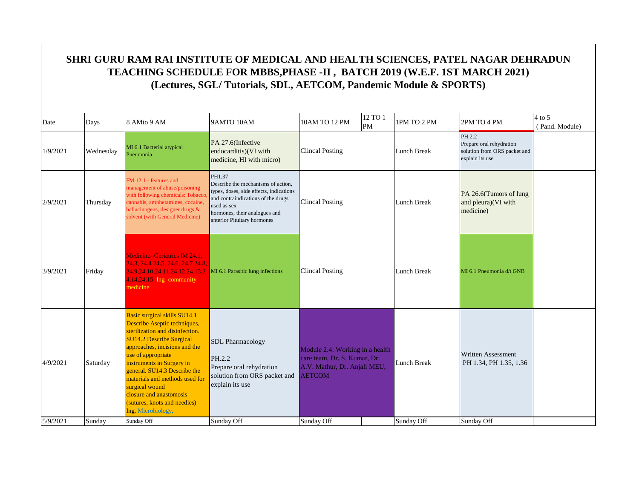| Date     | Days      | 8 AMto 9 AM                                                                                                                                                                                                                                                                                                                                                                                 | 9AMTO 10AM                                                                                                                                                                                                   | 10AM TO 12 PM                                                                                                    | 12 TO 1<br>PM | 1PM TO 2 PM        | 2PM TO 4 PM                                                                           | $4$ to 5<br>(Pand. Module) |
|----------|-----------|---------------------------------------------------------------------------------------------------------------------------------------------------------------------------------------------------------------------------------------------------------------------------------------------------------------------------------------------------------------------------------------------|--------------------------------------------------------------------------------------------------------------------------------------------------------------------------------------------------------------|------------------------------------------------------------------------------------------------------------------|---------------|--------------------|---------------------------------------------------------------------------------------|----------------------------|
| 1/9/2021 | Wednesday | MI 6.1 Bacterial atypical<br>Pneumonia                                                                                                                                                                                                                                                                                                                                                      | PA 27.6(Infective<br>endocarditis)(VI with<br>medicine, HI with micro)                                                                                                                                       | <b>Clincal Posting</b>                                                                                           |               | Lunch Break        | PH.2.2<br>Prepare oral rehydration<br>solution from ORS packet and<br>explain its use |                            |
| 2/9/2021 | Thursday  | FM 12.1 - features and<br>management of abuse/poisoning<br>with following chemicals: Tobacc<br>cannabis, amphetamines, cocaine,<br>hallucinogens, designer drugs &<br>solvent (with General Medicine)                                                                                                                                                                                       | PH1.37<br>Describe the mechanisms of action.<br>types, doses, side effects, indications<br>and contraindications of the drugs<br>used as sex<br>hormones, their analogues and<br>anterior Pituitary hormones | <b>Clincal Posting</b>                                                                                           |               | Lunch Break        | PA 26.6(Tumors of lung<br>and pleura)(VI with<br>medicine)                            |                            |
| 3/9/2021 | Friday    | Medicine--Geriatrics IM 24.1,<br>24.3, 24.4 24.5, 24.6, 24.7 24.8,<br>24.9.24.10.24.11.24.12.24.13.2<br>$4.14,24.15$ Ing-community<br>medicine                                                                                                                                                                                                                                              | MI 6.1 Parasitic lung infections                                                                                                                                                                             | <b>Clincal Posting</b>                                                                                           |               | <b>Lunch Break</b> | MI 6.1 Pneumonia d/t GNB                                                              |                            |
| 4/9/2021 | Saturday  | Basic surgical skills SU14.1<br>Describe Aseptic techniques,<br>sterilization and disinfection.<br><b>SU14.2 Describe Surgical</b><br>approaches, incisions and the<br>use of appropriate<br>instruments in Surgery in<br>general. SU14.3 Describe the<br>materials and methods used for<br>surgical wound<br>closure and anastomosis<br>(sutures, knots and needles)<br>Ing. Microbiology, | <b>SDL</b> Pharmacology<br>PH.2.2<br>Prepare oral rehydration<br>solution from ORS packet and<br>explain its use                                                                                             | Module 2.4: Working in a health<br>care team, Dr. S. Kumar, Dr.<br>A.V. Mathur, Dr. Anjali MEU,<br><b>AETCOM</b> |               | <b>Lunch Break</b> | <b>Written Assessment</b><br>PH 1.34, PH 1.35, 1.36                                   |                            |
| 5/9/2021 | Sunday    | Sunday Off                                                                                                                                                                                                                                                                                                                                                                                  | Sunday Off                                                                                                                                                                                                   | Sunday Off                                                                                                       |               | Sunday Off         | Sunday Off                                                                            |                            |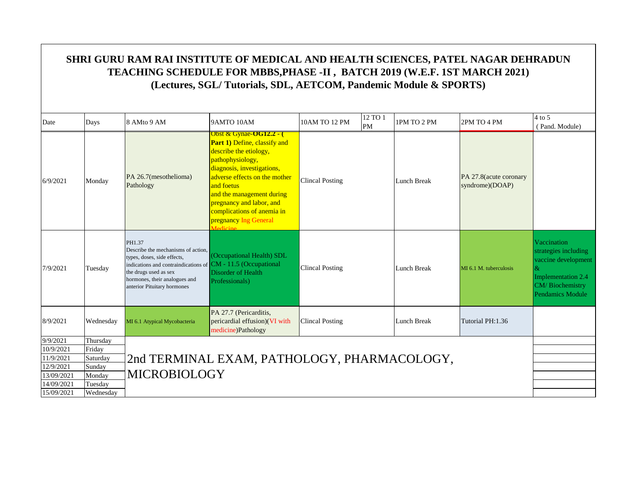|                         | SHRI GURU RAM RAI INSTITUTE OF MEDICAL AND HEALTH SCIENCES, PATEL NAGAR DEHRADUN<br>TEACHING SCHEDULE FOR MBBS, PHASE -II, BATCH 2019 (W.E.F. 1ST MARCH 2021)<br>(Lectures, SGL/Tutorials, SDL, AETCOM, Pandemic Module & SPORTS) |                                                                                                                                                                                                                                      |                                                                                                                                                                                                                                                                                                                                          |                        |               |                    |                                           |                                                                                                                                |  |  |  |
|-------------------------|-----------------------------------------------------------------------------------------------------------------------------------------------------------------------------------------------------------------------------------|--------------------------------------------------------------------------------------------------------------------------------------------------------------------------------------------------------------------------------------|------------------------------------------------------------------------------------------------------------------------------------------------------------------------------------------------------------------------------------------------------------------------------------------------------------------------------------------|------------------------|---------------|--------------------|-------------------------------------------|--------------------------------------------------------------------------------------------------------------------------------|--|--|--|
| Date                    | Days                                                                                                                                                                                                                              | 8 AMto 9 AM                                                                                                                                                                                                                          | 9AMTO 10AM                                                                                                                                                                                                                                                                                                                               | 10AM TO 12 PM          | 12 TO 1<br>PM | 1PM TO 2 PM        | 2PM TO 4 PM                               | $4$ to 5<br>(Pand. Module)                                                                                                     |  |  |  |
| 6/9/2021                | Monday                                                                                                                                                                                                                            | PA 26.7(mesothelioma)<br>Pathology                                                                                                                                                                                                   | <u> Obst &amp; Gynae-OG12.2 - (</u><br><b>Part 1)</b> Define, classify and<br>describe the etiology,<br>pathophysiology,<br>diagnosis, investigations,<br>adverse effects on the mother<br>and foetus<br>and the management during<br>pregnancy and labor, and<br>complications of anemia in<br>pregnancy Ing General<br><i>Aodicina</i> | <b>Clincal Posting</b> |               | <b>Lunch Break</b> | PA 27.8(acute coronary<br>syndrome)(DOAP) |                                                                                                                                |  |  |  |
| 7/9/2021                | Tuesday                                                                                                                                                                                                                           | PH1.37<br>Describe the mechanisms of action,<br>types, doses, side effects,<br>indications and contraindications of CM - 11.5 (Occupational<br>the drugs used as sex<br>hormones, their analogues and<br>anterior Pituitary hormones | (Occupational Health) SDL<br>Disorder of Health<br>Professionals)                                                                                                                                                                                                                                                                        | <b>Clincal Posting</b> |               | <b>Lunch Break</b> | MI 6.1 M. tuberculosis                    | Vaccination<br>strategies including<br>vaccine development<br><b>Implementation 2.4</b><br>CM/Biochemistry<br>Pendamics Module |  |  |  |
| 8/9/2021                | Wednesday                                                                                                                                                                                                                         | MI 6.1 Atypical Mycobacteria                                                                                                                                                                                                         | PA 27.7 (Pericarditis,<br>pericardial effusion)(VI with<br>medicine)Pathology                                                                                                                                                                                                                                                            | <b>Clincal Posting</b> |               | Lunch Break        | Tutorial PH:1.36                          |                                                                                                                                |  |  |  |
| 9/9/2021                | Thursday                                                                                                                                                                                                                          |                                                                                                                                                                                                                                      |                                                                                                                                                                                                                                                                                                                                          |                        |               |                    |                                           |                                                                                                                                |  |  |  |
| 10/9/2021               | Friday                                                                                                                                                                                                                            |                                                                                                                                                                                                                                      |                                                                                                                                                                                                                                                                                                                                          |                        |               |                    |                                           |                                                                                                                                |  |  |  |
| 11/9/2021               | Saturday                                                                                                                                                                                                                          |                                                                                                                                                                                                                                      | 2nd TERMINAL EXAM, PATHOLOGY, PHARMACOLOGY,                                                                                                                                                                                                                                                                                              |                        |               |                    |                                           |                                                                                                                                |  |  |  |
| 12/9/2021<br>13/09/2021 | Sunday<br>Monday                                                                                                                                                                                                                  | <b>MICROBIOLOGY</b>                                                                                                                                                                                                                  |                                                                                                                                                                                                                                                                                                                                          |                        |               |                    |                                           |                                                                                                                                |  |  |  |
| 14/09/2021              | Tuesday                                                                                                                                                                                                                           |                                                                                                                                                                                                                                      |                                                                                                                                                                                                                                                                                                                                          |                        |               |                    |                                           |                                                                                                                                |  |  |  |
| 15/09/2021              | Wednesday                                                                                                                                                                                                                         |                                                                                                                                                                                                                                      |                                                                                                                                                                                                                                                                                                                                          |                        |               |                    |                                           |                                                                                                                                |  |  |  |
|                         |                                                                                                                                                                                                                                   |                                                                                                                                                                                                                                      |                                                                                                                                                                                                                                                                                                                                          |                        |               |                    |                                           |                                                                                                                                |  |  |  |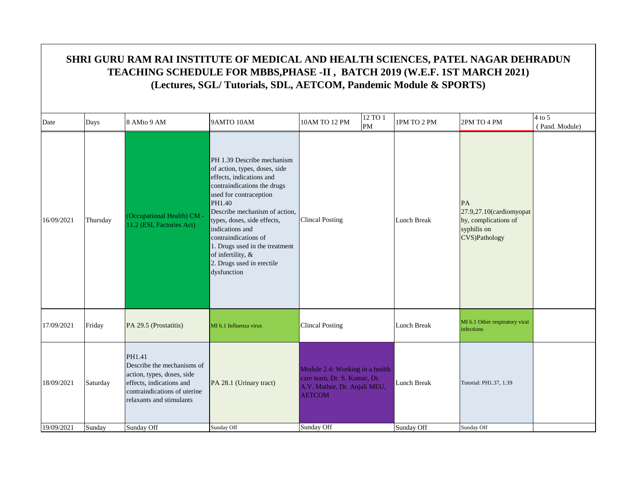| Date       | Days     | 8 AMto 9 AM                                                                                                                                                | 9AMTO 10AM                                                                                                                                                                                                                                                                                                                                                               | 10AM TO 12 PM<br>PM                                                                                              | 12 TO 1 | 1PM TO 2 PM        | 2PM TO 4 PM                                                                           | $4$ to 5<br>(Pand. Module) |
|------------|----------|------------------------------------------------------------------------------------------------------------------------------------------------------------|--------------------------------------------------------------------------------------------------------------------------------------------------------------------------------------------------------------------------------------------------------------------------------------------------------------------------------------------------------------------------|------------------------------------------------------------------------------------------------------------------|---------|--------------------|---------------------------------------------------------------------------------------|----------------------------|
| 16/09/2021 | Thursday | (Occupational Health) CM -<br>11.2 (ESI, Factories Act)                                                                                                    | PH 1.39 Describe mechanism<br>of action, types, doses, side<br>effects, indications and<br>contraindications the drugs<br>used for contraception<br>PH1.40<br>Describe mechanism of action,<br>types, doses, side effects,<br>indications and<br>contraindications of<br>1. Drugs used in the treatment<br>of infertility, &<br>2. Drugs used in erectile<br>dysfunction | <b>Clincal Posting</b>                                                                                           |         | Lunch Break        | PA<br>27.9,27.10(cardiomyopat<br>hy, complications of<br>syphilis on<br>CVS)Pathology |                            |
| 17/09/2021 | Friday   | PA 29.5 (Prostatitis)                                                                                                                                      | MI 6.1 Influenza virus                                                                                                                                                                                                                                                                                                                                                   | <b>Clincal Posting</b>                                                                                           |         | Lunch Break        | MI 6.1 Other respiratory viral<br>infections                                          |                            |
| 18/09/2021 | Saturday | PH1.41<br>Describe the mechanisms of<br>action, types, doses, side<br>effects, indications and<br>contraindications of uterine<br>relaxants and stimulants | PA 28.1 (Urinary tract)                                                                                                                                                                                                                                                                                                                                                  | Module 2.4: Working in a health<br>care team, Dr. S. Kumar, Dr.<br>A.V. Mathur, Dr. Anjali MEU,<br><b>AETCOM</b> |         | <b>Lunch Break</b> | Tutorial: PH1.37, 1.39                                                                |                            |
| 19/09/2021 | Sunday   | Sunday Off                                                                                                                                                 | Sunday Off                                                                                                                                                                                                                                                                                                                                                               | Sunday Off                                                                                                       |         | Sunday Off         | Sunday Off                                                                            |                            |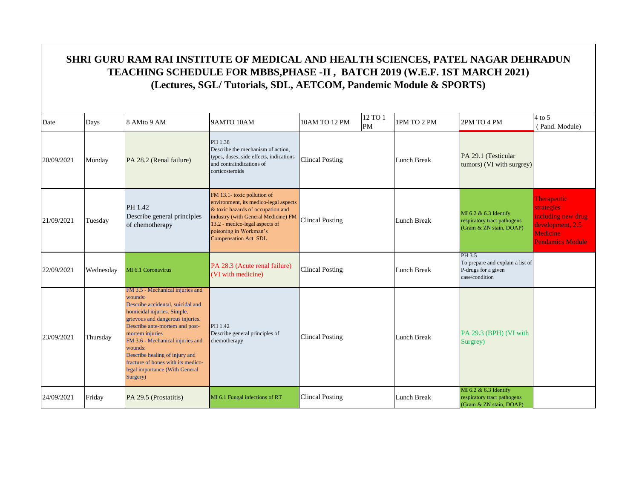| Date       | Days      | 8 AMto 9 AM                                                                                                                                                                                                                                                                                                                                                                   | 9AMTO 10AM                                                                                                                                                                                                                                  | 10AM TO 12 PM          | 12 TO 1<br>PM | 1PM TO 2 PM        | 2PM TO 4 PM                                                                         | $4$ to 5<br>(Pand. Module)                                                                                               |
|------------|-----------|-------------------------------------------------------------------------------------------------------------------------------------------------------------------------------------------------------------------------------------------------------------------------------------------------------------------------------------------------------------------------------|---------------------------------------------------------------------------------------------------------------------------------------------------------------------------------------------------------------------------------------------|------------------------|---------------|--------------------|-------------------------------------------------------------------------------------|--------------------------------------------------------------------------------------------------------------------------|
| 20/09/2021 | Monday    | PA 28.2 (Renal failure)                                                                                                                                                                                                                                                                                                                                                       | PH 1.38<br>Describe the mechanism of action.<br>types, doses, side effects, indications<br>and contraindications of<br>corticosteroids                                                                                                      | <b>Clincal Posting</b> |               | Lunch Break        | PA 29.1 (Testicular<br>tumors) (VI with surgrey)                                    |                                                                                                                          |
| 21/09/2021 | Tuesday   | PH 1.42<br>Describe general principles<br>of chemotherapy                                                                                                                                                                                                                                                                                                                     | FM 13.1- toxic pollution of<br>environment, its medico-legal aspects<br>& toxic hazards of occupation and<br>industry (with General Medicine) FM<br>13.2 - medico-legal aspects of<br>poisoning in Workman's<br><b>Compensation Act SDL</b> | <b>Clincal Posting</b> |               | Lunch Break        | MI 6.2 & 6.3 Identify<br>respiratory tract pathogens<br>(Gram & ZN stain, DOAP)     | <b>Therapeutic</b><br><b>strategies</b><br>including new drug<br>development, 2.5<br>Medicine<br><b>Pendamics Module</b> |
| 22/09/2021 | Wednesday | MI 6.1 Coronavirus                                                                                                                                                                                                                                                                                                                                                            | PA 28.3 (Acute renal failure)<br>(VI with medicine)                                                                                                                                                                                         | <b>Clincal Posting</b> |               | Lunch Break        | PH 3.5<br>To prepare and explain a list of<br>P-drugs for a given<br>case/condition |                                                                                                                          |
| 23/09/2021 | Thursday  | FM 3.5 - Mechanical injuries and<br>wounds:<br>Describe accidental, suicidal and<br>homicidal injuries. Simple,<br>grievous and dangerous injuries.<br>Describe ante-mortem and post-<br>mortem injuries<br>FM 3.6 - Mechanical injuries and<br>wounds:<br>Describe healing of injury and<br>fracture of bones with its medico-<br>legal importance (With General<br>Surgery) | PH 1.42<br>Describe general principles of<br>chemotherapy                                                                                                                                                                                   | <b>Clincal Posting</b> |               | <b>Lunch Break</b> | PA 29.3 (BPH) (VI with<br>Surgrey)                                                  |                                                                                                                          |
| 24/09/2021 | Friday    | PA 29.5 (Prostatitis)                                                                                                                                                                                                                                                                                                                                                         | MI 6.1 Fungal infections of RT                                                                                                                                                                                                              | <b>Clincal Posting</b> |               | <b>Lunch Break</b> | MI 6.2 & 6.3 Identify<br>respiratory tract pathogens<br>(Gram & ZN stain, DOAP)     |                                                                                                                          |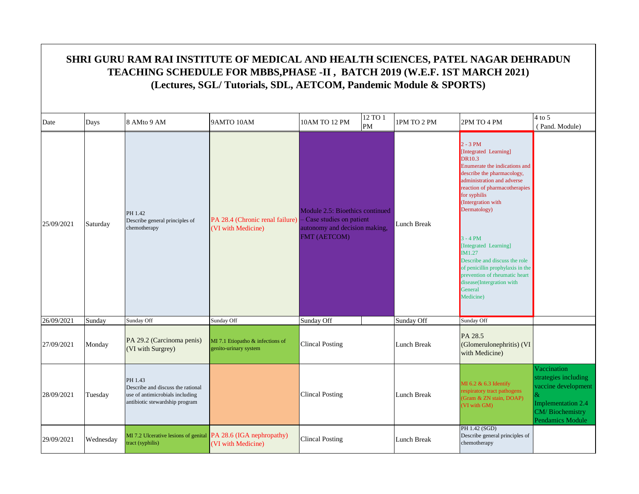| Date       | Days      | 8 AMto 9 AM                                                                                                       | 9AMTO 10AM                                                | 10AM TO 12 PM                                                                                               | 12 TO 1<br>PM | 1PM TO 2 PM        | 2PM TO 4 PM                                                                                                                                                                                                                                                                                                                                                                                                                                          | $4$ to 5<br>(Pand. Module)                                                                                                          |
|------------|-----------|-------------------------------------------------------------------------------------------------------------------|-----------------------------------------------------------|-------------------------------------------------------------------------------------------------------------|---------------|--------------------|------------------------------------------------------------------------------------------------------------------------------------------------------------------------------------------------------------------------------------------------------------------------------------------------------------------------------------------------------------------------------------------------------------------------------------------------------|-------------------------------------------------------------------------------------------------------------------------------------|
| 25/09/2021 | Saturday  | PH 1.42<br>Describe general principles of<br>chemotherapy                                                         | PA 28.4 (Chronic renal failure)<br>(VI with Medicine)     | Module 2.5: Bioethics continued<br>Case studies on patient<br>autonomy and decision making,<br>FMT (AETCOM) |               | <b>Lunch Break</b> | $2 - 3 PM$<br>[Integrated Learning]<br><b>DR10.3</b><br>Enumerate the indications and<br>describe the pharmacology,<br>administration and adverse<br>reaction of pharmacotherapies<br>for syphilis<br>(Intergration with<br>Dermatology)<br>$3 - 4 PM$<br>[Integrated Learning]<br>IM1.27<br>Describe and discuss the role<br>of penicillin prophylaxis in the<br>prevention of rheumatic heart<br>disease(Intergration with<br>General<br>Medicine) |                                                                                                                                     |
| 26/09/2021 | Sunday    | Sunday Off                                                                                                        | Sunday Off                                                | Sunday Off                                                                                                  |               | Sunday Off         | Sunday Off                                                                                                                                                                                                                                                                                                                                                                                                                                           |                                                                                                                                     |
| 27/09/2021 | Monday    | PA 29.2 (Carcinoma penis)<br>(VI with Surgrey)                                                                    | MI 7.1 Etiopatho & infections of<br>genito-urinary system | <b>Clincal Posting</b>                                                                                      |               | Lunch Break        | PA 28.5<br>(Glomerulonephritis) (VI<br>with Medicine)                                                                                                                                                                                                                                                                                                                                                                                                |                                                                                                                                     |
| 28/09/2021 | Tuesday   | PH 1.43<br>Describe and discuss the rational<br>use of antimicrobials including<br>antibiotic stewardship program |                                                           | <b>Clincal Posting</b>                                                                                      |               | Lunch Break        | MI 6.2 & 6.3 Identify<br>respiratory tract pathogens<br>(Gram & ZN stain, DOAP)<br>(VI with GM)                                                                                                                                                                                                                                                                                                                                                      | Vaccination<br>strategies including<br>vaccine development<br>$\alpha$<br>Implementation 2.4<br>CM/Biochemistry<br>Pendamics Module |
| 29/09/2021 | Wednesday | MI 7.2 Ulcerative lesions of genital PA 28.6 (IGA nephropathy)<br>tract (syphilis)                                | (VI with Medicine)                                        | Clincal Posting                                                                                             |               | <b>Lunch Break</b> | PH 1.42 (SGD)<br>Describe general principles of<br>chemotherapy                                                                                                                                                                                                                                                                                                                                                                                      |                                                                                                                                     |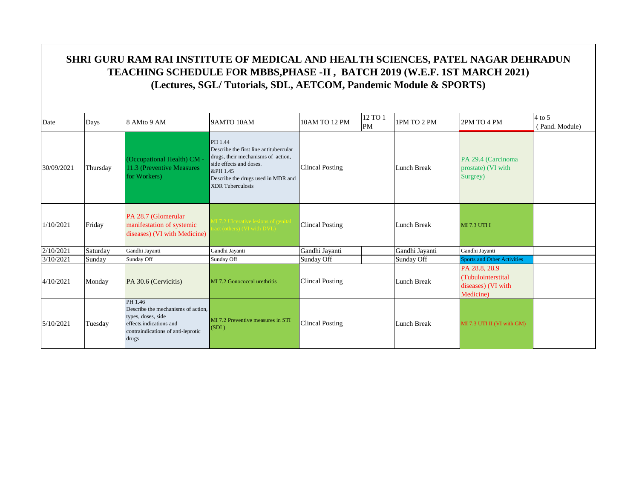| Date       | Days     | 8 AMto 9 AM                                                                                                                                    | 9AMTO 10AM                                                                                                                                                                                      | 10AM TO 12 PM          | 12 TO 1<br>PM | 1PM TO 2 PM    | 2PM TO 4 PM                                                            | $4$ to 5<br>(Pand. Module) |
|------------|----------|------------------------------------------------------------------------------------------------------------------------------------------------|-------------------------------------------------------------------------------------------------------------------------------------------------------------------------------------------------|------------------------|---------------|----------------|------------------------------------------------------------------------|----------------------------|
| 30/09/2021 | Thursday | (Occupational Health) CM -<br>11.3 (Preventive Measures)<br>for Workers)                                                                       | PH 1.44<br>Describe the first line antitubercular<br>drugs, their mechanisms of action,<br>side effects and doses.<br>&PH 1.45<br>Describe the drugs used in MDR and<br><b>XDR</b> Tuberculosis | <b>Clincal Posting</b> |               | Lunch Break    | PA 29.4 (Carcinoma<br>prostate) (VI with<br>Surgrey)                   |                            |
| 1/10/2021  | Friday   | PA 28.7 (Glomerular<br>manifestation of systemic<br>diseases) (VI with Medicine)                                                               | I 7.2 Ulcerative lesions of genital<br>ct (others) (VI with DVL)                                                                                                                                | <b>Clincal Posting</b> |               | Lunch Break    | <b>MI 7.3 UTI I</b>                                                    |                            |
| 2/10/2021  | Saturday | Gandhi Jayanti                                                                                                                                 | Gandhi Jayanti                                                                                                                                                                                  | Gandhi Jayanti         |               | Gandhi Jayanti | Gandhi Jayanti                                                         |                            |
| 3/10/2021  | Sunday   | Sunday Off                                                                                                                                     | Sunday Off                                                                                                                                                                                      | Sunday Off             |               | Sunday Off     | <b>Sports and Other Activities</b>                                     |                            |
| 4/10/2021  | Monday   | PA 30.6 (Cervicitis)                                                                                                                           | MI 7.2 Gonococcal urethritis                                                                                                                                                                    | <b>Clincal Posting</b> |               | Lunch Break    | PA 28.8, 28.9<br>(Tubulointerstital<br>diseases) (VI with<br>Medicine) |                            |
| 5/10/2021  | Tuesday  | PH 1.46<br>Describe the mechanisms of action.<br>types, doses, side<br>effects, indications and<br>contraindications of anti-leprotic<br>drugs | MI 7.2 Preventive measures in STI<br>(SDL)                                                                                                                                                      | <b>Clincal Posting</b> |               | Lunch Break    | MI 7.3 UTI II (VI with GM)                                             |                            |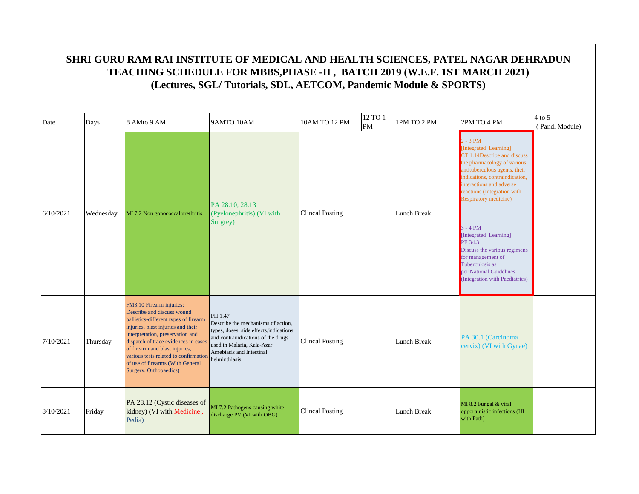|           | SHRI GURU RAM RAI INSTITUTE OF MEDICAL AND HEALTH SCIENCES, PATEL NAGAR DEHRADUN<br>TEACHING SCHEDULE FOR MBBS, PHASE -II, BATCH 2019 (W.E.F. 1ST MARCH 2021)<br>(Lectures, SGL/Tutorials, SDL, AETCOM, Pandemic Module & SPORTS) |                                                                                                                                                                                                                                                                                                                                                            |                                                                                                                                                                                                            |                        |               |             |                                                                                                                                                                                                                                                                                                                                                                                                                                                        |                            |  |  |
|-----------|-----------------------------------------------------------------------------------------------------------------------------------------------------------------------------------------------------------------------------------|------------------------------------------------------------------------------------------------------------------------------------------------------------------------------------------------------------------------------------------------------------------------------------------------------------------------------------------------------------|------------------------------------------------------------------------------------------------------------------------------------------------------------------------------------------------------------|------------------------|---------------|-------------|--------------------------------------------------------------------------------------------------------------------------------------------------------------------------------------------------------------------------------------------------------------------------------------------------------------------------------------------------------------------------------------------------------------------------------------------------------|----------------------------|--|--|
| Date      | Days                                                                                                                                                                                                                              | 8 AMto 9 AM                                                                                                                                                                                                                                                                                                                                                | 9AMTO 10AM                                                                                                                                                                                                 | 10AM TO 12 PM          | 12 TO 1<br>PM | 1PM TO 2 PM | 2PM TO 4 PM                                                                                                                                                                                                                                                                                                                                                                                                                                            | $4$ to 5<br>(Pand. Module) |  |  |
| 6/10/2021 | Wednesday                                                                                                                                                                                                                         | MI 7.2 Non gonococcal urethritis                                                                                                                                                                                                                                                                                                                           | PA 28.10, 28.13<br>(Pyelonephritis) (VI with<br>Surgrey)                                                                                                                                                   | <b>Clincal Posting</b> |               | Lunch Break | $2 - 3 PM$<br>[Integrated Learning]<br>CT 1.14Describe and discuss<br>the pharmacology of various<br>antituberculous agents, their<br>indications, contraindication,<br>interactions and adverse<br>reactions (Integration with<br><b>Respiratory medicine)</b><br>$3 - 4 PM$<br>[Integrated Learning]<br>PE 34.3<br>Discuss the various regimens<br>for management of<br>Tuberculosis as<br>per National Guidelines<br>(Integration with Paediatrics) |                            |  |  |
| 7/10/2021 | Thursday                                                                                                                                                                                                                          | FM3.10 Firearm injuries:<br>Describe and discuss wound<br>ballistics-different types of firearm<br>injuries, blast injuries and their<br>interpretation, preservation and<br>dispatch of trace evidences in cases<br>of firearm and blast injuries,<br>various tests related to confirmation<br>of use of firearms (With General<br>Surgery, Orthopaedics) | PH 1.47<br>Describe the mechanisms of action,<br>types, doses, side effects, indications<br>and contraindications of the drugs<br>used in Malaria, Kala-Azar,<br>Amebiasis and Intestinal<br>helminthiasis | <b>Clincal Posting</b> |               | Lunch Break | PA 30.1 (Carcinoma<br>cervix) (VI with Gynae)                                                                                                                                                                                                                                                                                                                                                                                                          |                            |  |  |
| 8/10/2021 | Friday                                                                                                                                                                                                                            | PA 28.12 (Cystic diseases of<br>kidney) (VI with Medicine,<br>Pedia)                                                                                                                                                                                                                                                                                       | MI 7.2 Pathogens causing white<br>discharge PV (VI with OBG)                                                                                                                                               | <b>Clincal Posting</b> |               | Lunch Break | MI 8.2 Fungal & viral<br>opportunistic infections (HI<br>with Path)                                                                                                                                                                                                                                                                                                                                                                                    |                            |  |  |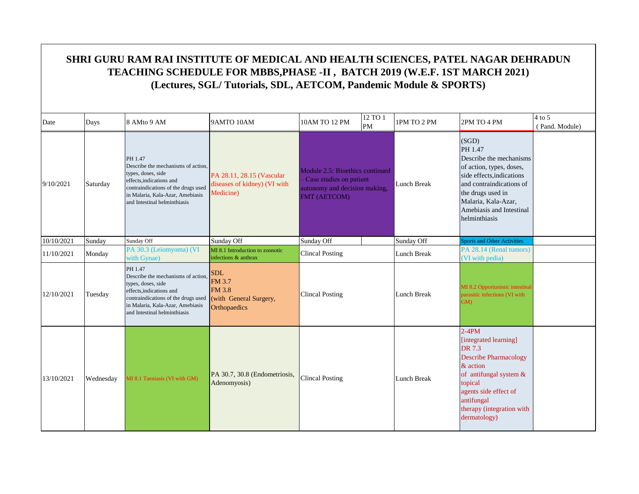| Date       | Days      | 8 AMto 9 AM                                                                                                                                                                                                | 9AMTO 10AM                                                                      | 10AM TO 12 PM                                                                                               | 12 TO 1<br>PM | 1PM TO 2 PM        | 2PM TO 4 PM                                                                                                                                                                                                               | $4$ to 5<br>(Pand. Module) |
|------------|-----------|------------------------------------------------------------------------------------------------------------------------------------------------------------------------------------------------------------|---------------------------------------------------------------------------------|-------------------------------------------------------------------------------------------------------------|---------------|--------------------|---------------------------------------------------------------------------------------------------------------------------------------------------------------------------------------------------------------------------|----------------------------|
| 9/10/2021  | Saturday  | PH 1.47<br>Describe the mechanisms of action.<br>types, doses, side<br>effects, indications and<br>contraindications of the drugs used<br>in Malaria, Kala-Azar, Amebiasis<br>and Intestinal helminthiasis | PA 28.11, 28.15 (Vascular<br>diseases of kidney) (VI with<br>Medicine)          | Module 2.5: Bioethics continued<br>Case studies on patient<br>autonomy and decision making,<br>FMT (AETCOM) |               | Lunch Break        | (SGD)<br>PH 1.47<br>Describe the mechanisms<br>of action, types, doses,<br>side effects, indications<br>and contraindications of<br>the drugs used in<br>Malaria, Kala-Azar,<br>Amebiasis and Intestinal<br>helminthiasis |                            |
| 10/10/2021 | Sunday    | Sunday Off                                                                                                                                                                                                 | Sunday Off                                                                      | Sunday Off                                                                                                  |               | Sunday Off         | <b>Sports and Other Activities</b>                                                                                                                                                                                        |                            |
| 11/10/2021 | Monday    | PA 30.3 (Leiomyoma) (VI<br>with Gynae)                                                                                                                                                                     | MI 8.1 Introduction to zoonotic<br>infections & anthrax                         | <b>Clincal Posting</b>                                                                                      |               | Lunch Break        | PA 28.14 (Renal tumors)<br>(VI with pedia)                                                                                                                                                                                |                            |
| 12/10/2021 | Tuesday   | PH 1.47<br>Describe the mechanisms of action,<br>types, doses, side<br>effects, indications and<br>contraindications of the drugs used<br>in Malaria, Kala-Azar, Amebiasis<br>and Intestinal helminthiasis | <b>SDL</b><br>FM 3.7<br><b>FM 3.8</b><br>(with General Surgery,<br>Orthopaedics | <b>Clincal Posting</b>                                                                                      |               | <b>Lunch Break</b> | MI 8.2 Opportunistic intestinal<br>parasitic infections (VI with<br>GM)                                                                                                                                                   |                            |
| 13/10/2021 | Wednesday | MI 8.1 Taeniasis (VI with GM)                                                                                                                                                                              | PA 30.7, 30.8 (Endometriosis,<br>Adenomyosis)                                   | <b>Clincal Posting</b>                                                                                      |               | <b>Lunch Break</b> | $2-4PM$<br>[integrated learning]<br>DR 7.3<br><b>Describe Pharmacology</b><br>& action<br>of antifungal system &<br>topical<br>agents side effect of<br>antifungal<br>therapy (integration with<br>dermatology)           |                            |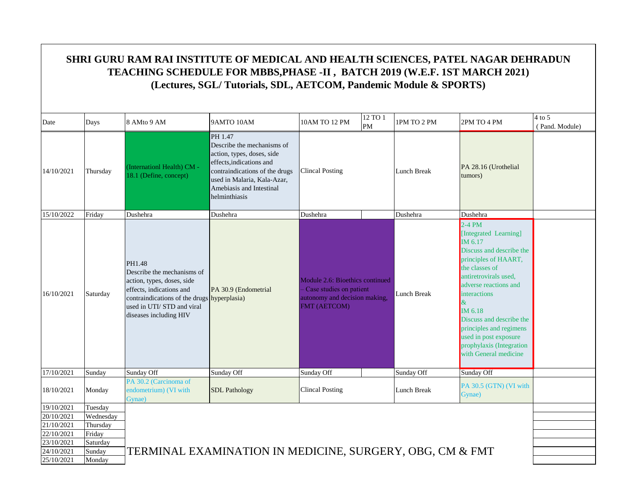|                          |                    | SHRI GURU RAM RAI INSTITUTE OF MEDICAL AND HEALTH SCIENCES, PATEL NAGAR DEHRADUN<br>TEACHING SCHEDULE FOR MBBS, PHASE -II, BATCH 2019 (W.E.F. 1ST MARCH 2021)                                        | (Lectures, SGL/Tutorials, SDL, AETCOM, Pandemic Module & SPORTS)                                                                                                                                              |                                                                                                             |               |             |                                                                                                                                                                                                                                                                                                                                                     |                            |
|--------------------------|--------------------|------------------------------------------------------------------------------------------------------------------------------------------------------------------------------------------------------|---------------------------------------------------------------------------------------------------------------------------------------------------------------------------------------------------------------|-------------------------------------------------------------------------------------------------------------|---------------|-------------|-----------------------------------------------------------------------------------------------------------------------------------------------------------------------------------------------------------------------------------------------------------------------------------------------------------------------------------------------------|----------------------------|
| Date                     | Days               | 8 AMto 9 AM                                                                                                                                                                                          | 9AMTO 10AM                                                                                                                                                                                                    | 10AM TO 12 PM                                                                                               | 12 TO 1<br>PM | 1PM TO 2 PM | 2PM TO 4 PM                                                                                                                                                                                                                                                                                                                                         | $4$ to 5<br>(Pand. Module) |
| 14/10/2021               | Thursday           | (Internationl Health) CM -<br>18.1 (Define, concept)                                                                                                                                                 | PH 1.47<br>Describe the mechanisms of<br>action, types, doses, side<br>effects, indications and<br>contraindications of the drugs<br>used in Malaria, Kala-Azar,<br>Amebiasis and Intestinal<br>helminthiasis | Clincal Posting                                                                                             |               | Lunch Break | PA 28.16 (Urothelial<br>tumors)                                                                                                                                                                                                                                                                                                                     |                            |
| 15/10/2022               | Friday             | Dushehra                                                                                                                                                                                             | Dushehra                                                                                                                                                                                                      | Dushehra                                                                                                    |               | Dushehra    | Dushehra                                                                                                                                                                                                                                                                                                                                            |                            |
| 16/10/2021               | Saturday           | PH1.48<br>Describe the mechanisms of<br>action, types, doses, side<br>effects, indications and<br>contraindications of the drugs hyperplasia)<br>used in UTI/STD and viral<br>diseases including HIV | PA 30.9 (Endometrial                                                                                                                                                                                          | Module 2.6: Bioethics continued<br>Case studies on patient<br>autonomy and decision making,<br>FMT (AETCOM) |               | Lunch Break | $2-4$ PM<br>[Integrated Learning]<br>IM 6.17<br>Discuss and describe the<br>principles of HAART,<br>the classes of<br>antiretrovirals used,<br>adverse reactions and<br><i>interactions</i><br>$\&$<br>IM 6.18<br>Discuss and describe the<br>principles and regimens<br>used in post exposure<br>prophylaxis (Integration<br>with General medicine |                            |
| 17/10/2021               | Sunday             | Sunday Off                                                                                                                                                                                           | Sunday Off                                                                                                                                                                                                    | Sunday Off                                                                                                  |               | Sunday Off  | Sunday Off                                                                                                                                                                                                                                                                                                                                          |                            |
| 18/10/2021               | Monday             | PA 30.2 (Carcinoma of<br>endometrium) (VI with<br>Gynae)                                                                                                                                             | <b>SDL</b> Pathology                                                                                                                                                                                          | <b>Clincal Posting</b>                                                                                      |               | Lunch Break | PA 30.5 (GTN) (VI with<br>Gynae)                                                                                                                                                                                                                                                                                                                    |                            |
| 19/10/2021               | Tuesday            |                                                                                                                                                                                                      |                                                                                                                                                                                                               |                                                                                                             |               |             |                                                                                                                                                                                                                                                                                                                                                     |                            |
| 20/10/2021               | Wednesday          |                                                                                                                                                                                                      |                                                                                                                                                                                                               |                                                                                                             |               |             |                                                                                                                                                                                                                                                                                                                                                     |                            |
| 21/10/2021               | Thursday           |                                                                                                                                                                                                      |                                                                                                                                                                                                               |                                                                                                             |               |             |                                                                                                                                                                                                                                                                                                                                                     |                            |
| 22/10/2021               | Friday             |                                                                                                                                                                                                      |                                                                                                                                                                                                               |                                                                                                             |               |             |                                                                                                                                                                                                                                                                                                                                                     |                            |
| 23/10/2021<br>24/10/2021 | Saturday<br>Sunday |                                                                                                                                                                                                      |                                                                                                                                                                                                               |                                                                                                             |               |             |                                                                                                                                                                                                                                                                                                                                                     |                            |
| 25/10/2021               | Monday             |                                                                                                                                                                                                      | TERMINAL EXAMINATION IN MEDICINE, SURGERY, OBG, CM & FMT                                                                                                                                                      |                                                                                                             |               |             |                                                                                                                                                                                                                                                                                                                                                     |                            |
|                          |                    |                                                                                                                                                                                                      |                                                                                                                                                                                                               |                                                                                                             |               |             |                                                                                                                                                                                                                                                                                                                                                     |                            |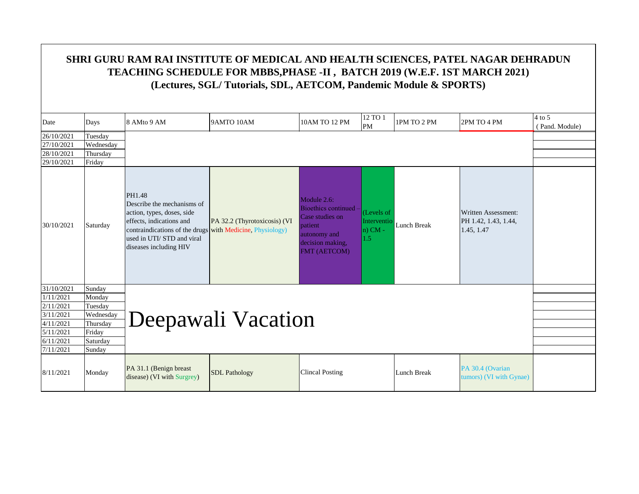| Date       | Days      | 8 AMto 9 AM                                                                                                                                                                                                        | 9AMTO 10AM                   | 10AM TO 12 PM                                                                                                               | 12 TO 1<br>PM                                 | 1PM TO 2 PM | 2PM TO 4 PM                                               | $4$ to 5<br>(Pand. Module) |
|------------|-----------|--------------------------------------------------------------------------------------------------------------------------------------------------------------------------------------------------------------------|------------------------------|-----------------------------------------------------------------------------------------------------------------------------|-----------------------------------------------|-------------|-----------------------------------------------------------|----------------------------|
| 26/10/2021 | Tuesday   |                                                                                                                                                                                                                    |                              |                                                                                                                             |                                               |             |                                                           |                            |
| 27/10/2021 | Wednesday |                                                                                                                                                                                                                    |                              |                                                                                                                             |                                               |             |                                                           |                            |
| 28/10/2021 | Thursday  |                                                                                                                                                                                                                    |                              |                                                                                                                             |                                               |             |                                                           |                            |
| 29/10/2021 | Friday    |                                                                                                                                                                                                                    |                              |                                                                                                                             |                                               |             |                                                           |                            |
| 30/10/2021 | Saturday  | PH1.48<br>Describe the mechanisms of<br>action, types, doses, side<br>effects, indications and<br>contraindications of the drugs with Medicine, Physiology)<br>used in UTI/STD and viral<br>diseases including HIV | PA 32.2 (Thyrotoxicosis) (VI | Module 2.6:<br><b>Bioethics continued</b><br>Case studies on<br>patient<br>autonomy and<br>decision making,<br>FMT (AETCOM) | (Levels of<br>Interventio<br>$n)$ CM -<br>1.5 | Lunch Break | Written Assessment:<br>PH 1.42, 1.43, 1.44,<br>1.45, 1.47 |                            |
| 31/10/2021 | Sunday    |                                                                                                                                                                                                                    |                              |                                                                                                                             |                                               |             |                                                           |                            |
| 1/11/2021  | Monday    |                                                                                                                                                                                                                    |                              |                                                                                                                             |                                               |             |                                                           |                            |
| 2/11/2021  | Tuesday   |                                                                                                                                                                                                                    |                              |                                                                                                                             |                                               |             |                                                           |                            |
| 3/11/2021  | Wednesday |                                                                                                                                                                                                                    | Deepawali Vacation           |                                                                                                                             |                                               |             |                                                           |                            |
| 4/11/2021  | Thursday  |                                                                                                                                                                                                                    |                              |                                                                                                                             |                                               |             |                                                           |                            |
| 5/11/2021  | Friday    |                                                                                                                                                                                                                    |                              |                                                                                                                             |                                               |             |                                                           |                            |
| 6/11/2021  | Saturday  |                                                                                                                                                                                                                    |                              |                                                                                                                             |                                               |             |                                                           |                            |
| 7/11/2021  | Sunday    |                                                                                                                                                                                                                    |                              |                                                                                                                             |                                               |             |                                                           |                            |
| 8/11/2021  | Monday    | PA 31.1 (Benign breast<br>disease) (VI with Surgrey)                                                                                                                                                               | <b>SDL</b> Pathology         | <b>Clincal Posting</b>                                                                                                      |                                               | Lunch Break | PA 30.4 (Ovarian<br>tumors) (VI with Gynae)               |                            |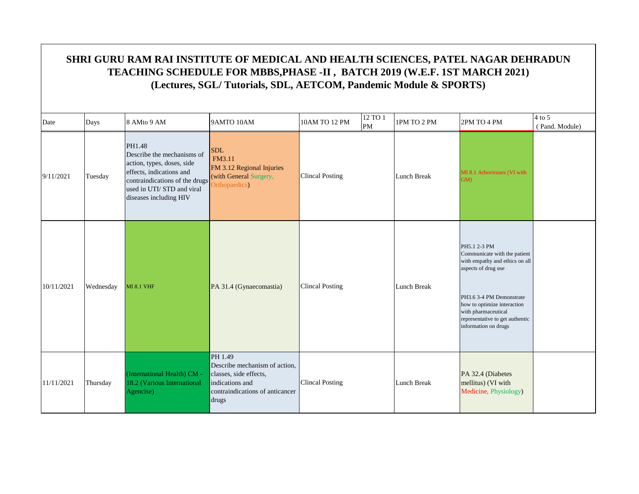|            | SHRI GURU RAM RAI INSTITUTE OF MEDICAL AND HEALTH SCIENCES, PATEL NAGAR DEHRADUN<br>TEACHING SCHEDULE FOR MBBS, PHASE -II, BATCH 2019 (W.E.F. 1ST MARCH 2021)<br>(Lectures, SGL/Tutorials, SDL, AETCOM, Pandemic Module & SPORTS) |                                                                                                                                                                                         |                                                                                                                                   |                        |                      |                    |                                                                                                                                                                                                                                                    |                            |  |  |  |  |  |
|------------|-----------------------------------------------------------------------------------------------------------------------------------------------------------------------------------------------------------------------------------|-----------------------------------------------------------------------------------------------------------------------------------------------------------------------------------------|-----------------------------------------------------------------------------------------------------------------------------------|------------------------|----------------------|--------------------|----------------------------------------------------------------------------------------------------------------------------------------------------------------------------------------------------------------------------------------------------|----------------------------|--|--|--|--|--|
| Date       | Days                                                                                                                                                                                                                              | 8 AMto 9 AM                                                                                                                                                                             | 9AMTO 10AM                                                                                                                        | 10AM TO 12 PM          | 12 TO 1<br><b>PM</b> | 1PM TO 2 PM        | 2PM TO 4 PM                                                                                                                                                                                                                                        | $4$ to 5<br>(Pand. Module) |  |  |  |  |  |
| 9/11/2021  | Tuesday                                                                                                                                                                                                                           | PH1.48<br>Describe the mechanisms of<br>action, types, doses, side<br>effects, indications and<br>contraindications of the drugs<br>used in UTI/STD and viral<br>diseases including HIV | <b>SDL</b><br>FM3.11<br>FM 3.12 Regional Injuries<br>(with General Surgery,<br>Orthopaedics)                                      | <b>Clincal Posting</b> |                      | Lunch Break        | MI 8.1 Arboviruses (VI with<br><b>GM</b>                                                                                                                                                                                                           |                            |  |  |  |  |  |
| 10/11/2021 | Wednesday                                                                                                                                                                                                                         | <b>MI 8.1 VHF</b>                                                                                                                                                                       | PA 31.4 (Gynaecomastia)                                                                                                           | <b>Clincal Posting</b> |                      | <b>Lunch Break</b> | PH5.1 2-3 PM<br>Communicate with the patient<br>with empathy and ethics on all<br>aspects of drug use<br>PH3.6 3-4 PM Demonstrate<br>how to optimize interaction<br>with pharmaceutical<br>representative to get authentic<br>information on drugs |                            |  |  |  |  |  |
| 11/11/2021 | Thursday                                                                                                                                                                                                                          | (International Health) CM -<br>18.2 (Various International<br>Agencise)                                                                                                                 | PH 1.49<br>Describe mechanism of action,<br>classes, side effects,<br>indications and<br>contraindications of anticancer<br>drugs | <b>Clincal Posting</b> |                      | Lunch Break        | PA 32.4 (Diabetes<br>mellitus) (VI with<br>Medicine, Physiology)                                                                                                                                                                                   |                            |  |  |  |  |  |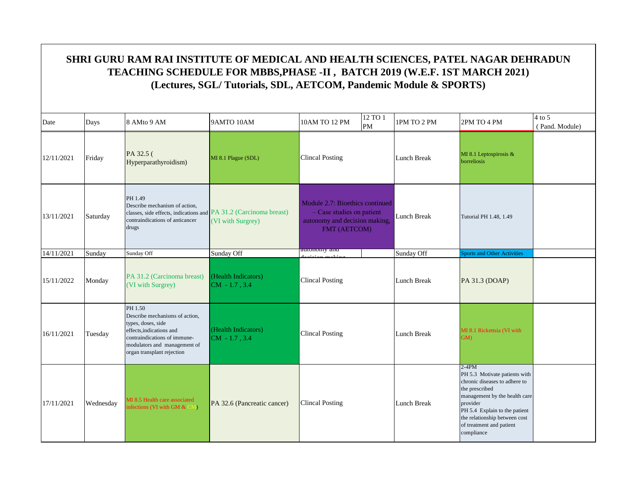| Date       | Days      | 8 AMto 9 AM                                                                                                                                                                               | 9AMTO 10AM                             | 10AM TO 12 PM                                                                                                   | 12 TO 1<br>PM | 1PM TO 2 PM        | 2PM TO 4 PM                                                                                                                                                                                                                                          | $4$ to 5<br>(Pand. Module) |
|------------|-----------|-------------------------------------------------------------------------------------------------------------------------------------------------------------------------------------------|----------------------------------------|-----------------------------------------------------------------------------------------------------------------|---------------|--------------------|------------------------------------------------------------------------------------------------------------------------------------------------------------------------------------------------------------------------------------------------------|----------------------------|
| 12/11/2021 | Friday    | PA 32.5 (<br>Hyperparathyroidism)                                                                                                                                                         | MI 8.1 Plague (SDL)                    | <b>Clincal Posting</b>                                                                                          |               | Lunch Break        | MI 8.1 Leptospirosis &<br>borreliosis                                                                                                                                                                                                                |                            |
| 13/11/2021 | Saturday  | PH 1.49<br>Describe mechanism of action,<br>classes, side effects, indications and PA 31.2 (Carcinoma breast)<br>contraindications of anticancer<br>drugs                                 | (VI with Surgrey)                      | Module 2.7: Bioethics continued<br>$-$ Case studies on patient<br>autonomy and decision making,<br>FMT (AETCOM) |               | <b>Lunch Break</b> | Tutorial PH 1.48, 1.49                                                                                                                                                                                                                               |                            |
| 14/11/2021 | Sunday    | Sunday Off                                                                                                                                                                                | Sunday Off                             | autonomy and                                                                                                    |               | Sunday Off         | <b>Sports and Other Activities</b>                                                                                                                                                                                                                   |                            |
| 15/11/2022 | Monday    | PA 31.2 (Carcinoma breast)<br>(VI with Surgrey)                                                                                                                                           | (Health Indicators)<br>$CM - 1.7, 3.4$ | <b>Clincal Posting</b>                                                                                          |               | Lunch Break        | PA 31.3 (DOAP)                                                                                                                                                                                                                                       |                            |
| 16/11/2021 | Tuesday   | PH 1.50<br>Describe mechanisms of action,<br>types, doses, side<br>effects, indications and<br>contraindications of immune-<br>modulators and management of<br>organ transplant rejection | (Health Indicators)<br>$CM - 1.7, 3.4$ | <b>Clincal Posting</b>                                                                                          |               | Lunch Break        | MI 8.1 Rickettsia (VI with<br>GM)                                                                                                                                                                                                                    |                            |
| 17/11/2021 | Wednesday | MI 8.5 Health care associated<br>infections (VI with GM $&$ CM)                                                                                                                           | PA 32.6 (Pancreatic cancer)            | <b>Clincal Posting</b>                                                                                          |               | Lunch Break        | $2-4PM$<br>PH 5.3 Motivate patients with<br>chronic diseases to adhere to<br>the prescribed<br>management by the health care<br>provider<br>PH 5.4 Explain to the patient<br>the relationship between cost<br>of treatment and patient<br>compliance |                            |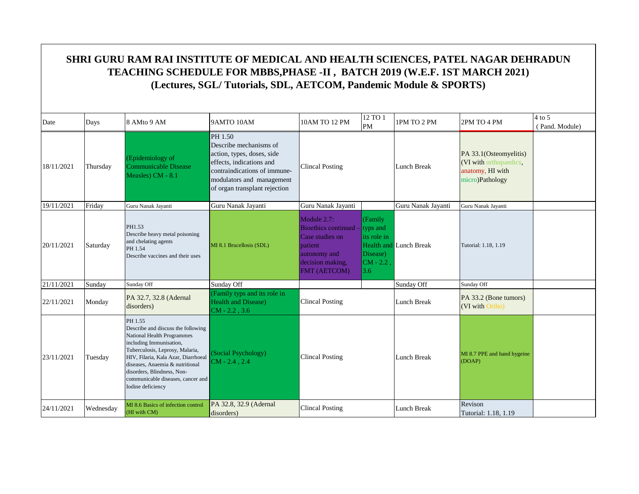|            |           |                                                                                                                                                                                                                                                                                                             | SHRI GURU RAM RAI INSTITUTE OF MEDICAL AND HEALTH SCIENCES, PATEL NAGAR DEHRADUN<br>TEACHING SCHEDULE FOR MBBS, PHASE -II, BATCH 2019 (W.E.F. 1ST MARCH 2021)<br>(Lectures, SGL/Tutorials, SDL, AETCOM, Pandemic Module & SPORTS) |                                                                                                                      |                                                                               |                               |                                                                                         |                            |
|------------|-----------|-------------------------------------------------------------------------------------------------------------------------------------------------------------------------------------------------------------------------------------------------------------------------------------------------------------|-----------------------------------------------------------------------------------------------------------------------------------------------------------------------------------------------------------------------------------|----------------------------------------------------------------------------------------------------------------------|-------------------------------------------------------------------------------|-------------------------------|-----------------------------------------------------------------------------------------|----------------------------|
| Date       | Days      | 8 AMto 9 AM                                                                                                                                                                                                                                                                                                 | 9AMTO 10AM                                                                                                                                                                                                                        | 10AM TO 12 PM                                                                                                        | 12 TO 1<br><b>PM</b>                                                          | 1PM TO 2 PM                   | 2PM TO 4 PM                                                                             | $4$ to 5<br>(Pand. Module) |
| 18/11/2021 | Thursday  | (Epidemiology of<br><b>Communicable Disease</b><br>Measles) CM - 8.1                                                                                                                                                                                                                                        | PH 1.50<br>Describe mechanisms of<br>action, types, doses, side<br>effects, indications and<br>contraindications of immune-<br>modulators and management<br>of organ transplant rejection                                         | <b>Clincal Posting</b>                                                                                               |                                                                               | Lunch Break                   | PA 33.1(Osteomyelitis)<br>(VI with orthopaedics,<br>anatomy, HI with<br>micro)Pathology |                            |
| 19/11/2021 | Friday    | Guru Nanak Jayanti                                                                                                                                                                                                                                                                                          | Guru Nanak Jayanti                                                                                                                                                                                                                | Guru Nanak Jayanti                                                                                                   |                                                                               | Guru Nanak Jayanti            | Guru Nanak Jayanti                                                                      |                            |
| 20/11/2021 | Saturday  | PH1.53<br>Describe heavy metal poisoning<br>and chelating agents<br>PH 1.54<br>Describe vaccines and their uses                                                                                                                                                                                             | MI 8.1 Brucellosis (SDL)                                                                                                                                                                                                          | Module 2.7:<br>Bioethics continued<br>Case studies on<br>patient<br>autonomy and<br>decision making,<br>FMT (AETCOM) | (Family<br>typs and<br>its role in<br>Disease)<br>$CM - 2.2$<br>$3.6^{\circ}$ | <b>Health and Lunch Break</b> | Tutorial: 1.18, 1.19                                                                    |                            |
| 21/11/2021 | Sunday    | Sunday Off                                                                                                                                                                                                                                                                                                  | Sunday Off                                                                                                                                                                                                                        |                                                                                                                      |                                                                               | Sunday Off                    | Sunday Off                                                                              |                            |
| 22/11/2021 | Monday    | PA 32.7, 32.8 (Adernal<br>disorders)                                                                                                                                                                                                                                                                        | (Family typs and its role in<br><b>Health and Disease)</b><br>$CM - 2.2, 3.6$                                                                                                                                                     | <b>Clincal Posting</b>                                                                                               |                                                                               | Lunch Break                   | PA 33.2 (Bone tumors)<br>(VI with Ortho)                                                |                            |
| 23/11/2021 | Tuesday   | PH 1.55<br>Describe and discuss the following<br>National Health Programmes<br>including Immunisation,<br>Tuberculosis, Leprosy, Malaria,<br>HIV, Filaria, Kala Azar, Diarrhoeal<br>diseases, Anaemia & nutritional<br>disorders, Blindness, Non-<br>communicable diseases, cancer and<br>Iodine deficiency | (Social Psychology)<br>$CM - 2.4$ , 2.4                                                                                                                                                                                           | <b>Clincal Posting</b>                                                                                               |                                                                               | <b>Lunch Break</b>            | MI 8.7 PPE and hand hygeine<br>(DOAP)                                                   |                            |
| 24/11/2021 | Wednesday | MI 8.6 Basics of infection control<br>(HI with CM)                                                                                                                                                                                                                                                          | PA 32.8, 32.9 (Adernal<br>disorders)                                                                                                                                                                                              | <b>Clincal Posting</b>                                                                                               |                                                                               | Lunch Break                   | Revison<br>Tutorial: 1.18, 1.19                                                         |                            |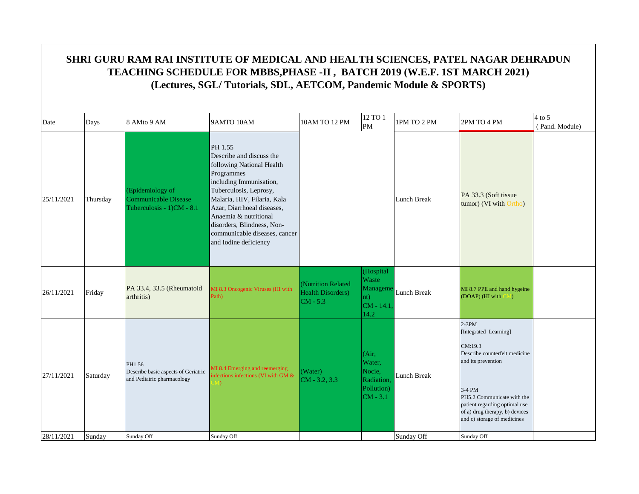|            | SHRI GURU RAM RAI INSTITUTE OF MEDICAL AND HEALTH SCIENCES, PATEL NAGAR DEHRADUN<br>TEACHING SCHEDULE FOR MBBS, PHASE -II, BATCH 2019 (W.E.F. 1ST MARCH 2021)<br>(Lectures, SGL/Tutorials, SDL, AETCOM, Pandemic Module & SPORTS) |                                                                                   |                                                                                                                                                                                                                                                                                                                   |                                                               |                                                                     |                    |                                                                                                                                                                                                                                              |                            |  |  |  |  |
|------------|-----------------------------------------------------------------------------------------------------------------------------------------------------------------------------------------------------------------------------------|-----------------------------------------------------------------------------------|-------------------------------------------------------------------------------------------------------------------------------------------------------------------------------------------------------------------------------------------------------------------------------------------------------------------|---------------------------------------------------------------|---------------------------------------------------------------------|--------------------|----------------------------------------------------------------------------------------------------------------------------------------------------------------------------------------------------------------------------------------------|----------------------------|--|--|--|--|
| Date       | Days                                                                                                                                                                                                                              | 8 AMto 9 AM                                                                       | 9AMTO 10AM                                                                                                                                                                                                                                                                                                        | 10AM TO 12 PM                                                 | 12 TO 1<br>PM                                                       | 1PM TO 2 PM        | 2PM TO 4 PM                                                                                                                                                                                                                                  | $4$ to 5<br>(Pand. Module) |  |  |  |  |
| 25/11/2021 | Thursday                                                                                                                                                                                                                          | (Epidemiology of<br><b>Communicable Disease</b><br>Tuberculosis - $1)$ CM - $8.1$ | PH 1.55<br>Describe and discuss the<br>following National Health<br>Programmes<br>including Immunisation,<br>Tuberculosis, Leprosy,<br>Malaria, HIV, Filaria, Kala<br>Azar, Diarrhoeal diseases,<br>Anaemia & nutritional<br>disorders, Blindness, Non-<br>communicable diseases, cancer<br>and Iodine deficiency |                                                               |                                                                     | Lunch Break        | PA 33.3 (Soft tissue)<br>tumor) (VI with Ortho)                                                                                                                                                                                              |                            |  |  |  |  |
| 26/11/2021 | Friday                                                                                                                                                                                                                            | PA 33.4, 33.5 (Rheumatoid<br>arthritis)                                           | MI 8.3 Oncogenic Viruses (HI with<br>Path)                                                                                                                                                                                                                                                                        | (Nutrition Related<br><b>Health Disorders</b> )<br>$CM - 5.3$ | (Hospital<br>Waste<br>Manageme<br>nt)<br>$CM - 14.1$<br>14.2        | <b>Lunch Break</b> | MI 8.7 PPE and hand hygeine<br>(DOAP) (HI with CM)                                                                                                                                                                                           |                            |  |  |  |  |
| 27/11/2021 | Saturday                                                                                                                                                                                                                          | PH1.56<br>Describe basic aspects of Geriatric<br>and Pediatric pharmacology       | MI 8.4 Emerging and reemerging<br>nfections infections (VI with GM &                                                                                                                                                                                                                                              | (Water)<br>$CM - 3.2, 3.3$                                    | (Air,<br>Water,<br>Nocie,<br>Radiation,<br>Pollution)<br>$CM - 3.1$ | Lunch Break        | $2-3PM$<br>[Integrated Learning]<br>CM:19.3<br>Describe counterfeit medicine<br>and its prevention<br>3-4 PM<br>PH5.2 Communicate with the<br>patient regarding optimal use<br>of a) drug therapy, b) devices<br>and c) storage of medicines |                            |  |  |  |  |
| 28/11/2021 | Sunday                                                                                                                                                                                                                            | Sunday Off                                                                        | Sunday Off                                                                                                                                                                                                                                                                                                        |                                                               |                                                                     | Sunday Off         | Sunday Off                                                                                                                                                                                                                                   |                            |  |  |  |  |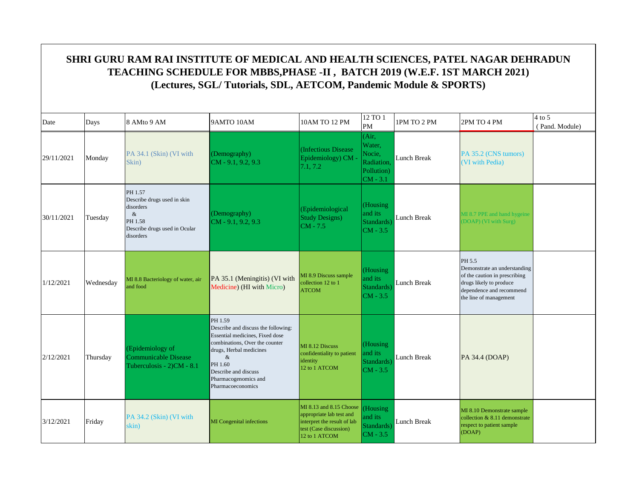| Date       | Days      | 8 AMto 9 AM                                                                                                          | 9AMTO 10AM                                                                                                                                                                                                                             | 10AM TO 12 PM                                                                                                                 | 12 TO 1<br>PM                                                       | 1PM TO 2 PM | 2PM TO 4 PM                                                                                                                                              | $4$ to 5<br>(Pand. Module) |
|------------|-----------|----------------------------------------------------------------------------------------------------------------------|----------------------------------------------------------------------------------------------------------------------------------------------------------------------------------------------------------------------------------------|-------------------------------------------------------------------------------------------------------------------------------|---------------------------------------------------------------------|-------------|----------------------------------------------------------------------------------------------------------------------------------------------------------|----------------------------|
| 29/11/2021 | Monday    | PA 34.1 (Skin) (VI with<br>Skin)                                                                                     | (Demography)<br>$CM - 9.1, 9.2, 9.3$                                                                                                                                                                                                   | (Infectious Disease)<br>Epidemiology) CM -<br>7.1, 7.2                                                                        | (Air,<br>Water,<br>Nocie.<br>Radiation,<br>Pollution)<br>$CM - 3.1$ | Lunch Break | PA 35.2 (CNS tumors)<br>(VI with Pedia)                                                                                                                  |                            |
| 30/11/2021 | Tuesday   | PH 1.57<br>Describe drugs used in skin<br>disorders<br>$\&$<br>PH 1.58<br>Describe drugs used in Ocular<br>disorders | (Demography)<br>$CM - 9.1, 9.2, 9.3$                                                                                                                                                                                                   | (Epidemiological<br><b>Study Designs)</b><br>$CM - 7.5$                                                                       | (Housing<br>and its<br>Standards)<br>$CM - 3.5$                     | Lunch Break | MI 8.7 PPE and hand hygeine<br>(DOAP) (VI with Surg)                                                                                                     |                            |
| 1/12/2021  | Wednesday | MI 8.8 Bacteriology of water, air<br>and food                                                                        | PA 35.1 (Meningitis) (VI with<br>Medicine) (HI with Micro)                                                                                                                                                                             | MI 8.9 Discuss sample<br>collection 12 to 1<br><b>ATCOM</b>                                                                   | (Housing<br>and its<br>Standards)<br>$CM - 3.5$                     | Lunch Break | PH 5.5<br>Demonstrate an understanding<br>of the caution in prescribing<br>drugs likely to produce<br>dependence and recommend<br>the line of management |                            |
| 2/12/2021  | Thursday  | (Epidemiology of<br>Communicable Disease<br>Tuberculosis - 2)CM - 8.1                                                | PH 1.59<br>Describe and discuss the following:<br>Essential medicines. Fixed dose<br>combinations. Over the counter<br>drugs, Herbal medicines<br>$\&$<br>PH 1.60<br>Describe and discuss<br>Pharmacogenomics and<br>Pharmacoeconomics | MI 8.12 Discuss<br>confidentiality to patient<br>identity<br>12 to 1 ATCOM                                                    | (Housing<br>and its<br>Standards)<br>$CM - 3.5$                     | Lunch Break | PA 34.4 (DOAP)                                                                                                                                           |                            |
| 3/12/2021  | Friday    | PA 34.2 (Skin) (VI with<br>skin)                                                                                     | MI Congenital infections                                                                                                                                                                                                               | MI 8.13 and 8.15 Choose<br>appropriate lab test and<br>interpret the result of lab<br>test (Case discussion)<br>12 to 1 ATCOM | (Housing<br>and its<br>Standards)<br>$CM - 3.5$                     | Lunch Break | MI 8.10 Demonstrate sample<br>collection & 8.11 demonstrate<br>respect to patient sample<br>(DOAP)                                                       |                            |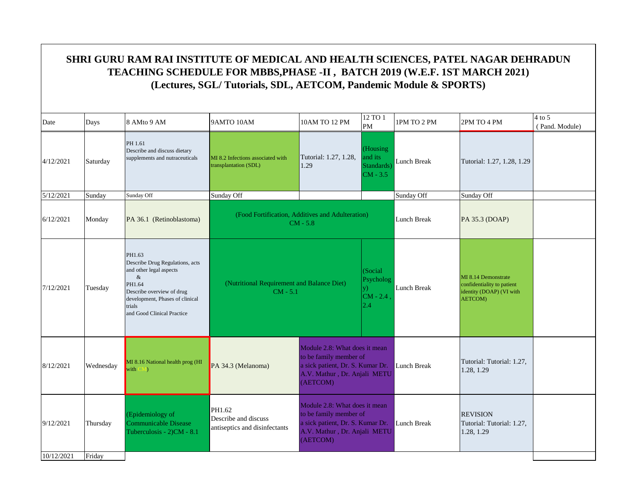| $4$ to 5<br>12 TO 1<br>8 AMto 9 AM<br>9AMTO 10AM<br>10AM TO 12 PM<br>1PM TO 2 PM<br>2PM TO 4 PM<br>Days<br>PM<br>(Pand. Module)<br>PH 1.61<br>(Housing<br>Describe and discuss dietary<br>and its<br>Tutorial: 1.27, 1.28,<br>supplements and nutraceuticals<br>MI 8.2 Infections associated with<br>Lunch Break<br>Saturday<br>Tutorial: 1.27, 1.28, 1.29<br>transplantation (SDL)<br>1.29<br>Standards)<br>$CM - 3.5$<br>Sunday Off<br>Sunday Off<br>Sunday<br>Sunday Off<br>Sunday Off<br>(Food Fortification, Additives and Adulteration)<br><b>Lunch Break</b><br>Monday<br>PA 36.1 (Retinoblastoma)<br>PA 35.3 (DOAP)<br>$CM - 5.8$<br>PH1.63<br>Describe Drug Regulations, acts<br>and other legal aspects<br>(Social)<br>$\&$<br>MI 8.14 Demonstrate<br>Psycholog<br>(Nutritional Requirement and Balance Diet)<br>PH1.64<br>confidentiality to patient<br>Lunch Break<br>Tuesday<br>V)<br>Describe overview of drug<br>$CM - 5.1$<br>identity (DOAP) (VI with<br>$CM - 2.4$<br>development, Phases of clinical<br><b>AETCOM</b> )<br>2.4<br>trials<br>and Good Clinical Practice<br>Module 2.8: What does it mean<br>to be family member of<br>Tutorial: Tutorial: 1.27,<br>MI 8.16 National health prog (HI<br>a sick patient, Dr. S. Kumar Dr.<br>PA 34.3 (Melanoma)<br>Lunch Break<br>Wednesday<br>with CM)<br>1.28, 1.29<br>A.V. Mathur, Dr. Anjali METU<br>(AETCOM)<br>Module 2.8: What does it mean<br>PH1.62<br>to be family member of<br>(Epidemiology of<br><b>REVISION</b><br>Describe and discuss<br>a sick patient, Dr. S. Kumar Dr.<br>Communicable Disease<br>Lunch Break<br>Tutorial: Tutorial: 1.27,<br>Thursday<br>antiseptics and disinfectants<br>A.V. Mathur, Dr. Anjali METU<br>Tuberculosis - 2)CM - 8.1<br>1.28, 1.29<br>(AETCOM)<br>Friday |            |  |  |  |  |  |  |
|-----------------------------------------------------------------------------------------------------------------------------------------------------------------------------------------------------------------------------------------------------------------------------------------------------------------------------------------------------------------------------------------------------------------------------------------------------------------------------------------------------------------------------------------------------------------------------------------------------------------------------------------------------------------------------------------------------------------------------------------------------------------------------------------------------------------------------------------------------------------------------------------------------------------------------------------------------------------------------------------------------------------------------------------------------------------------------------------------------------------------------------------------------------------------------------------------------------------------------------------------------------------------------------------------------------------------------------------------------------------------------------------------------------------------------------------------------------------------------------------------------------------------------------------------------------------------------------------------------------------------------------------------------------------------------------------------------------------------------------------------------------------------------|------------|--|--|--|--|--|--|
|                                                                                                                                                                                                                                                                                                                                                                                                                                                                                                                                                                                                                                                                                                                                                                                                                                                                                                                                                                                                                                                                                                                                                                                                                                                                                                                                                                                                                                                                                                                                                                                                                                                                                                                                                                             | Date       |  |  |  |  |  |  |
|                                                                                                                                                                                                                                                                                                                                                                                                                                                                                                                                                                                                                                                                                                                                                                                                                                                                                                                                                                                                                                                                                                                                                                                                                                                                                                                                                                                                                                                                                                                                                                                                                                                                                                                                                                             | 4/12/2021  |  |  |  |  |  |  |
|                                                                                                                                                                                                                                                                                                                                                                                                                                                                                                                                                                                                                                                                                                                                                                                                                                                                                                                                                                                                                                                                                                                                                                                                                                                                                                                                                                                                                                                                                                                                                                                                                                                                                                                                                                             | 5/12/2021  |  |  |  |  |  |  |
|                                                                                                                                                                                                                                                                                                                                                                                                                                                                                                                                                                                                                                                                                                                                                                                                                                                                                                                                                                                                                                                                                                                                                                                                                                                                                                                                                                                                                                                                                                                                                                                                                                                                                                                                                                             | 6/12/2021  |  |  |  |  |  |  |
|                                                                                                                                                                                                                                                                                                                                                                                                                                                                                                                                                                                                                                                                                                                                                                                                                                                                                                                                                                                                                                                                                                                                                                                                                                                                                                                                                                                                                                                                                                                                                                                                                                                                                                                                                                             | 7/12/2021  |  |  |  |  |  |  |
|                                                                                                                                                                                                                                                                                                                                                                                                                                                                                                                                                                                                                                                                                                                                                                                                                                                                                                                                                                                                                                                                                                                                                                                                                                                                                                                                                                                                                                                                                                                                                                                                                                                                                                                                                                             | 8/12/2021  |  |  |  |  |  |  |
|                                                                                                                                                                                                                                                                                                                                                                                                                                                                                                                                                                                                                                                                                                                                                                                                                                                                                                                                                                                                                                                                                                                                                                                                                                                                                                                                                                                                                                                                                                                                                                                                                                                                                                                                                                             | 9/12/2021  |  |  |  |  |  |  |
|                                                                                                                                                                                                                                                                                                                                                                                                                                                                                                                                                                                                                                                                                                                                                                                                                                                                                                                                                                                                                                                                                                                                                                                                                                                                                                                                                                                                                                                                                                                                                                                                                                                                                                                                                                             | 10/12/2021 |  |  |  |  |  |  |